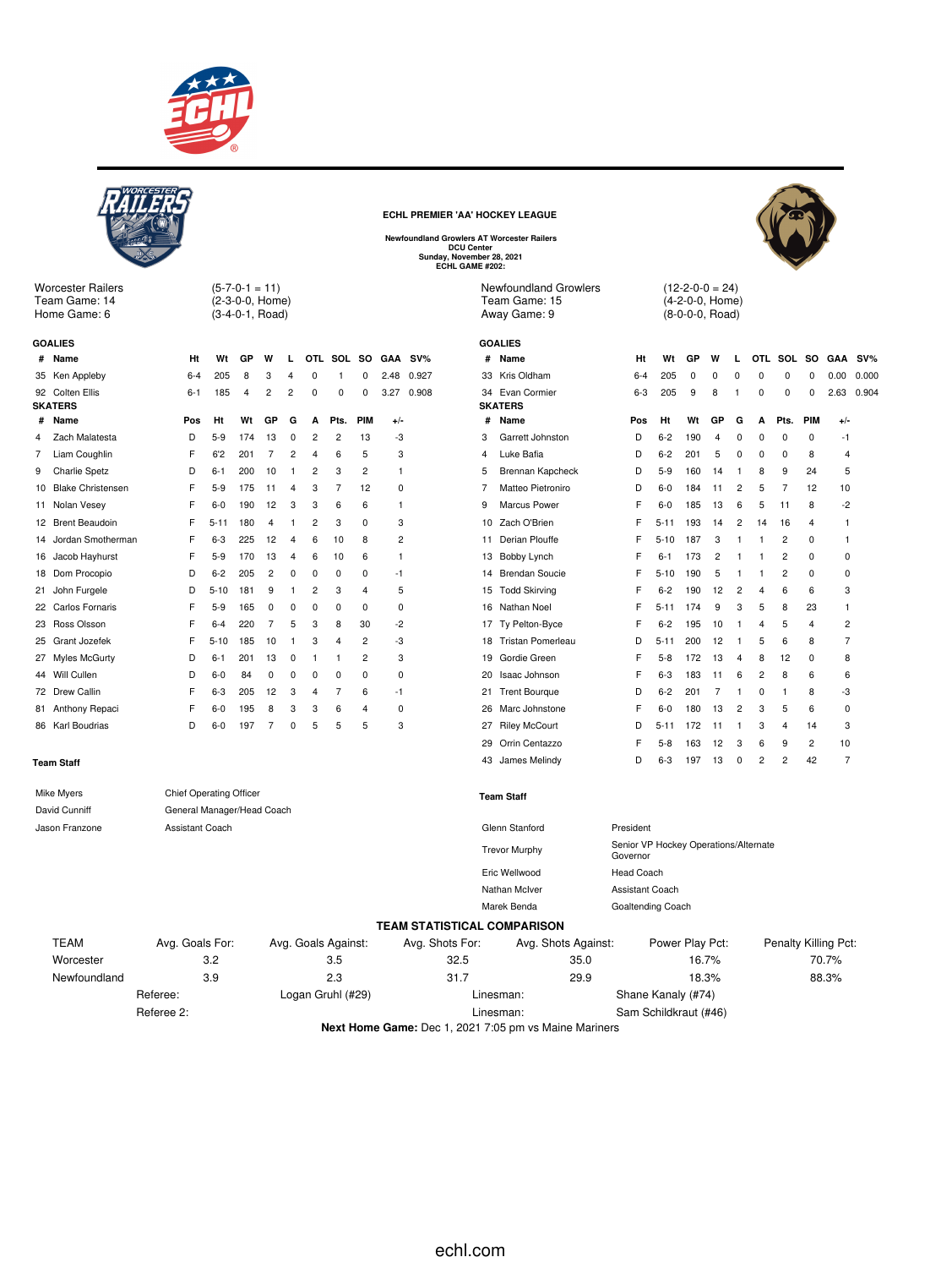

|                   |                                                                                                           |                                                       |          |                                                        |                |                         |                         |                     |            |              | ECHL PREMIER 'AA' HOCKEY LEAGUE<br><b>Newfoundland Growlers AT Worcester Railers</b><br><b>DCU Center</b><br>Sunday, November 28, 2021<br>ECHL GAME #202: |    |                                                               |                                                   |                 |                                                       |                |                         |            |                |                |                      |       |
|-------------------|-----------------------------------------------------------------------------------------------------------|-------------------------------------------------------|----------|--------------------------------------------------------|----------------|-------------------------|-------------------------|---------------------|------------|--------------|-----------------------------------------------------------------------------------------------------------------------------------------------------------|----|---------------------------------------------------------------|---------------------------------------------------|-----------------|-------------------------------------------------------|----------------|-------------------------|------------|----------------|----------------|----------------------|-------|
|                   | <b>Worcester Railers</b><br>Team Game: 14<br>Home Game: 6                                                 |                                                       |          | $(5-7-0-1=11)$<br>(2-3-0-0, Home)<br>$(3-4-0-1, Road)$ |                |                         |                         |                     |            |              |                                                                                                                                                           |    | <b>Newfoundland Growlers</b><br>Team Game: 15<br>Away Game: 9 |                                                   |                 | $(12-2-0-0=24)$<br>(4-2-0-0, Home)<br>(8-0-0-0, Road) |                |                         |            |                |                |                      |       |
|                   | <b>GOALIES</b>                                                                                            |                                                       |          |                                                        |                |                         |                         |                     |            |              |                                                                                                                                                           |    | <b>GOALIES</b>                                                |                                                   |                 |                                                       |                |                         |            |                |                |                      |       |
|                   | # Name                                                                                                    | Ht                                                    | Wt       | GP                                                     | W              | L                       | OTL.                    |                     | SOL SO     | GAA          | $SV\%$                                                                                                                                                    |    | # Name                                                        | Ht                                                | Wt              | GP                                                    | W              | L                       | <b>OTL</b> | SOL            |                | SO GAA               | SV%   |
|                   | 35 Ken Appleby                                                                                            | $6 - 4$                                               | 205      | 8                                                      | 3              | 4                       | 0                       | -1                  | 0          | 2.48         | 0.927                                                                                                                                                     |    | 33 Kris Oldham                                                | $6 - 4$                                           | 205             | 0                                                     | 0              | $\Omega$                | $\Omega$   | $\Omega$       | 0              | 0.00                 | 0.000 |
|                   | 92 Colten Ellis                                                                                           | $6 - 1$                                               | 185      | 4                                                      | 2              | $\overline{c}$          | 0                       | 0                   | 0          | 3.27         | 0.908                                                                                                                                                     |    | 34 Evan Cormier                                               | $6 - 3$                                           | 205             | 9                                                     | 8              | -1                      | 0          | 0              | 0              | 2.63                 | 0.904 |
|                   | <b>SKATERS</b>                                                                                            |                                                       |          |                                                        |                |                         |                         |                     |            |              |                                                                                                                                                           |    | <b>SKATERS</b>                                                |                                                   |                 |                                                       |                |                         |            |                |                |                      |       |
| #                 | Name                                                                                                      | Pos                                                   | Ht       | Wt                                                     | GР             | G                       | А                       | Pts.                | <b>PIM</b> | $+/-$        |                                                                                                                                                           | #  | Name                                                          | Pos                                               | Ht              | Wt                                                    | GР             | G                       | A          | Pts.           | <b>PIM</b>     | $+/-$                |       |
| 4                 | Zach Malatesta                                                                                            | D                                                     | $5-9$    | 174                                                    | 13             | 0                       | 2                       | 2                   | 13         | -3           |                                                                                                                                                           | 3  | Garrett Johnston                                              | D                                                 | $6 - 2$         | 190                                                   | 4              | 0                       | 0          | 0              | 0              | -1                   |       |
| 7                 | Liam Coughlin                                                                                             | F                                                     | 6'2      | 201                                                    | 7              | $\overline{\mathbf{c}}$ | $\overline{4}$          | 6                   | 5          | 3            |                                                                                                                                                           | 4  | Luke Bafia                                                    | D                                                 | $6 - 2$         | 201                                                   | 5              | 0                       | $\Omega$   | 0              | 8              | 4                    |       |
| 9                 | <b>Charlie Spetz</b>                                                                                      | D                                                     | $6 - 1$  | 200                                                    | 10             | $\mathbf{1}$            | 2                       | 3                   | 2          | $\mathbf{1}$ |                                                                                                                                                           | 5  | Brennan Kapcheck                                              | D                                                 | $5-9$           | 160                                                   | 14             | -1                      | 8          | 9              | 24             | 5                    |       |
|                   | 10 Blake Christensen                                                                                      | F                                                     | $5-9$    | 175                                                    | 11             | 4                       | 3                       | 7                   | 12         | 0            |                                                                                                                                                           | 7  | Matteo Pietroniro                                             | D                                                 | $6-0$           | 184                                                   | -11            | $\overline{2}$          | 5          | 7              | 12             | 10                   |       |
|                   | 11 Nolan Vesey                                                                                            | F                                                     | $6-0$    | 190                                                    | 12             | 3                       | 3                       | 6                   | 6          | $\mathbf{1}$ |                                                                                                                                                           | 9  | Marcus Power                                                  | F                                                 | $6-0$           | 185                                                   | 13             | 6                       | 5          | 11             | 8              | $-2$                 |       |
|                   | 12 Brent Beaudoin                                                                                         | F                                                     | $5 - 11$ | 180                                                    | $\overline{4}$ | -1                      | $\overline{\mathbf{c}}$ | 3                   | 0          | 3            |                                                                                                                                                           |    | 10 Zach O'Brien                                               | F                                                 | $5 - 11$        | 193                                                   | 14             | $\overline{\mathbf{c}}$ | 14         | 16             | $\overline{4}$ | -1                   |       |
| 14                | Jordan Smotherman                                                                                         | F                                                     | 6-3      | 225                                                    | 12             | 4                       | 6                       | 10                  | 8          | 2            |                                                                                                                                                           |    | 11 Derian Plouffe                                             | F                                                 | $5 - 10$        | 187                                                   | 3              |                         | -1         | $\overline{c}$ | 0              | -1                   |       |
| 16                | Jacob Hayhurst                                                                                            | F                                                     | $5-9$    | 170                                                    | 13             | 4                       | 6                       | 10                  | 6          | $\mathbf{1}$ |                                                                                                                                                           |    | 13 Bobby Lynch                                                | F                                                 | $6 - 1$         | 173                                                   | $\overline{c}$ | -1                      | -1         | $\overline{c}$ | $\mathbf 0$    | 0                    |       |
|                   | 18 Dom Procopio                                                                                           | D                                                     | $6 - 2$  | 205                                                    | $\overline{c}$ | 0                       | 0                       | 0                   | 0          | $-1$         |                                                                                                                                                           | 14 | Brendan Soucie                                                | F                                                 | 5-10            | 190                                                   | 5              |                         | -1         | $\overline{c}$ | 0              | 0                    |       |
|                   | 21 John Furgele                                                                                           | D                                                     | $5 - 10$ | 181                                                    | 9              | -1                      | 2                       | 3                   | 4          | 5            |                                                                                                                                                           |    | 15 Todd Skirving                                              | F                                                 | $6 - 2$         | 190                                                   | 12             | $\overline{c}$          | 4          | 6              | 6              | 3                    |       |
|                   | 22 Carlos Fornaris                                                                                        | F                                                     | $5-9$    | 165                                                    | 0              | 0                       | 0                       | 0                   | 0          | 0            |                                                                                                                                                           |    | 16 Nathan Noel                                                | F                                                 | 5-11            | 174                                                   | 9              | 3                       | 5          | 8              | 23             | 1                    |       |
| 23                | Ross Olsson                                                                                               | F                                                     | $6 - 4$  | 220                                                    | 7              | 5                       | 3                       | 8                   | 30         | $-2$         |                                                                                                                                                           |    | 17 Ty Pelton-Byce                                             | F                                                 | $6 - 2$         | 195                                                   | 10             | -1                      | 4          | 5              | 4              | $\overline{c}$       |       |
|                   | 25 Grant Jozefek                                                                                          | F                                                     | $5 - 10$ | 185                                                    | 10             | -1                      | 3                       | 4                   | 2          | -3           |                                                                                                                                                           | 18 | Tristan Pomerleau                                             | D                                                 | $5 - 11$        | 200                                                   | 12             | 1                       | 5          | 6              | 8              | 7                    |       |
|                   | 27 Myles McGurty                                                                                          | D                                                     | $6 - 1$  | 201                                                    | 13             | 0                       | 1                       | -1                  | 2          | 3            |                                                                                                                                                           | 19 | Gordie Green                                                  | F                                                 | $5-8$           | 172                                                   | 13             | 4                       | 8          | 12             | 0              | 8                    |       |
|                   | 44 Will Cullen                                                                                            | D                                                     | $6-0$    | 84                                                     | 0              | 0                       | $\Omega$                | 0                   | 0          | 0            |                                                                                                                                                           |    | 20 Isaac Johnson                                              | F                                                 | $6 - 3$         | 183                                                   | 11             | 6                       | 2          | 8              | 6              | 6                    |       |
|                   | 72 Drew Callin                                                                                            | F                                                     | $6 - 3$  | 205                                                    | 12             | 3                       | 4                       | 7                   | 6          | $-1$         |                                                                                                                                                           |    | 21 Trent Bourque                                              | D                                                 | $6 - 2$         | 201                                                   | 7              |                         | 0          | -1             | 8              | -3                   |       |
|                   | 81 Anthony Repaci                                                                                         | F                                                     | $6-0$    | 195                                                    | 8              | 3                       | 3                       | 6                   | 4          | 0            |                                                                                                                                                           |    | 26 Marc Johnstone                                             | F                                                 | $6-0$           | 180                                                   | 13             | $\overline{2}$          | 3          | 5              | 6              | 0                    |       |
|                   | 86 Karl Boudrias                                                                                          | D                                                     | 6-0      | 197                                                    | 7              | 0                       | 5                       | 5                   | 5          | 3            |                                                                                                                                                           |    | 27 Riley McCourt                                              | D                                                 | $5 - 11$        | 172                                                   | 11             | -1                      | 3          | 4              | 14             | 3                    |       |
|                   |                                                                                                           |                                                       |          |                                                        |                |                         |                         |                     |            |              |                                                                                                                                                           | 29 | Orrin Centazzo                                                | F                                                 | $5 - 8$         | 163                                                   | 12             | 3                       | 6          | 9              | 2              | 10                   |       |
|                   | <b>Team Staff</b>                                                                                         |                                                       |          |                                                        |                |                         |                         |                     |            |              |                                                                                                                                                           | 43 | James Melindy                                                 | D                                                 | $6 - 3$         | 197                                                   | 13             | 0                       | 2          | $\overline{c}$ | 42             | 7                    |       |
|                   | <b>Mike Myers</b><br>David Cunniff                                                                        | Chief Operating Officer<br>General Manager/Head Coach |          |                                                        |                |                         |                         |                     |            |              |                                                                                                                                                           |    | <b>Team Staff</b>                                             |                                                   |                 |                                                       |                |                         |            |                |                |                      |       |
|                   | Jason Franzone                                                                                            | Assistant Coach                                       |          |                                                        |                |                         |                         |                     |            |              |                                                                                                                                                           |    | Glenn Stanford                                                | President                                         |                 |                                                       |                |                         |            |                |                |                      |       |
|                   |                                                                                                           |                                                       |          |                                                        |                |                         |                         |                     |            |              |                                                                                                                                                           |    | <b>Trevor Murphy</b>                                          | Senior VP Hockey Operations/Alternate<br>Governor |                 |                                                       |                |                         |            |                |                |                      |       |
|                   |                                                                                                           |                                                       |          |                                                        |                |                         |                         |                     |            |              |                                                                                                                                                           |    | Eric Wellwood                                                 | <b>Head Coach</b>                                 |                 |                                                       |                |                         |            |                |                |                      |       |
|                   |                                                                                                           |                                                       |          |                                                        |                |                         |                         |                     |            |              |                                                                                                                                                           |    | Nathan McIver                                                 | Assistant Coach                                   |                 |                                                       |                |                         |            |                |                |                      |       |
|                   |                                                                                                           |                                                       |          |                                                        |                |                         |                         |                     |            |              |                                                                                                                                                           |    | Marek Benda                                                   | Goaltending Coach                                 |                 |                                                       |                |                         |            |                |                |                      |       |
|                   |                                                                                                           |                                                       |          |                                                        |                |                         |                         |                     |            |              | <b>TEAM STATISTICAL COMPARISON</b>                                                                                                                        |    |                                                               |                                                   |                 |                                                       |                |                         |            |                |                |                      |       |
|                   | <b>TEAM</b>                                                                                               | Avg. Goals For:                                       |          |                                                        |                |                         |                         | Avg. Goals Against: |            |              | Avg. Shots For:                                                                                                                                           |    | Avg. Shots Against:                                           |                                                   | Power Play Pct: |                                                       |                |                         |            |                |                | Penalty Killing Pct: |       |
|                   | Worcester                                                                                                 |                                                       | 3.2      |                                                        |                |                         |                         | 3.5                 |            |              | 32.5                                                                                                                                                      |    | 35.0                                                          |                                                   |                 | 16.7%                                                 |                |                         |            |                |                | 70.7%                |       |
|                   | Newfoundland                                                                                              |                                                       | 3.9      |                                                        |                |                         |                         | 2.3                 |            |              | 31.7                                                                                                                                                      |    | 29.9                                                          |                                                   |                 | 18.3%                                                 |                |                         |            |                |                | 88.3%                |       |
|                   |                                                                                                           | Referee:                                              |          |                                                        |                |                         |                         |                     |            |              |                                                                                                                                                           |    | Linesman:                                                     | Shane Kanaly (#74)                                |                 |                                                       |                |                         |            |                |                |                      |       |
| Logan Gruhl (#29) |                                                                                                           |                                                       |          |                                                        |                |                         |                         |                     |            |              |                                                                                                                                                           |    |                                                               |                                                   |                 |                                                       |                |                         |            |                |                |                      |       |
|                   | Sam Schildkraut (#46)<br>Referee 2:<br>Linesman:<br>Next Home Game: Dec 1, 2021 7:05 pm vs Maine Mariners |                                                       |          |                                                        |                |                         |                         |                     |            |              |                                                                                                                                                           |    |                                                               |                                                   |                 |                                                       |                |                         |            |                |                |                      |       |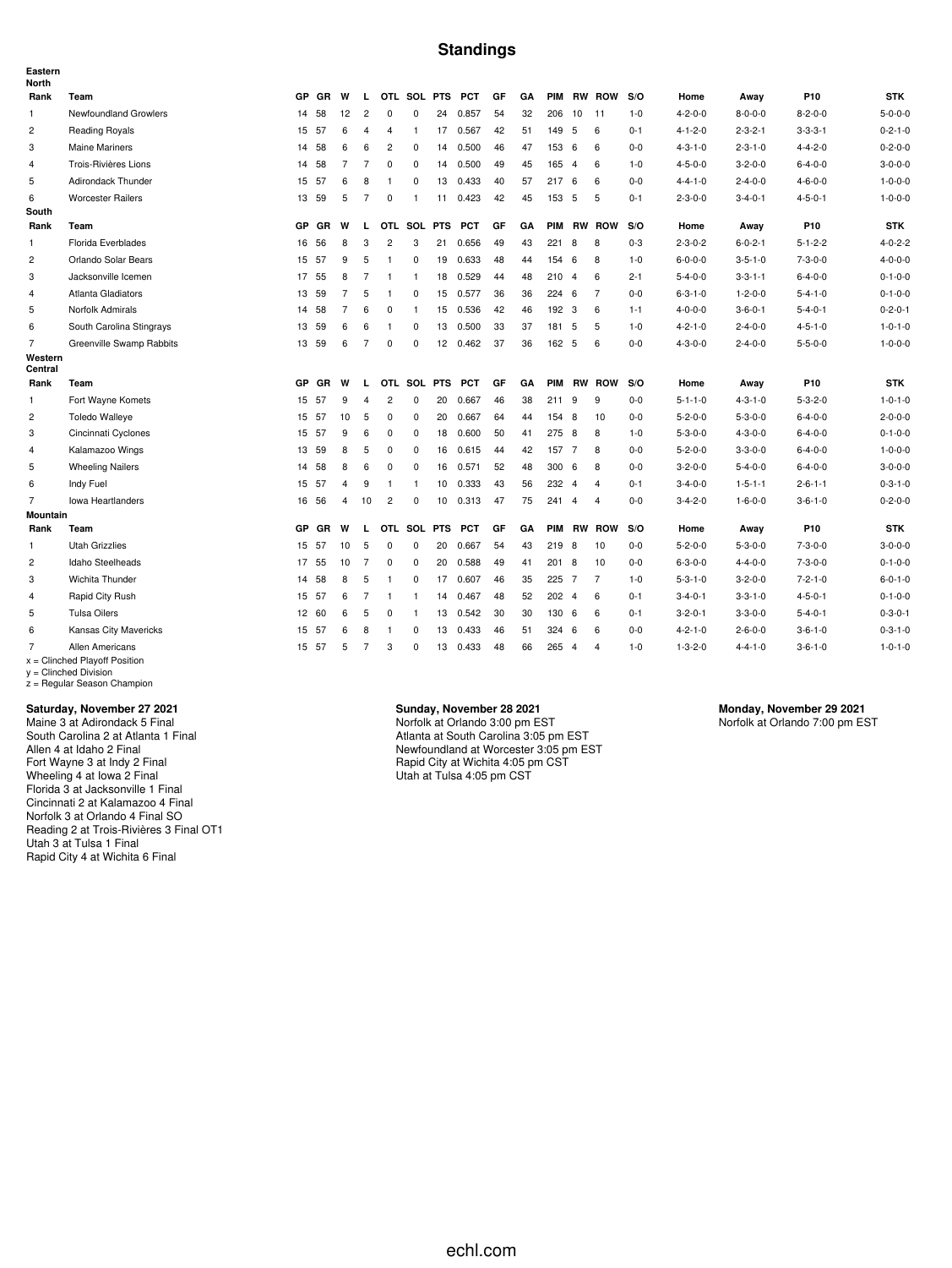### **Standings**

| Eastern<br><b>North</b> |                                                    |           |           |                |                |                |                |                 |            |    |    |       |                |                |         |                 |                 |                 |                 |
|-------------------------|----------------------------------------------------|-----------|-----------|----------------|----------------|----------------|----------------|-----------------|------------|----|----|-------|----------------|----------------|---------|-----------------|-----------------|-----------------|-----------------|
| Rank                    | Team                                               | GP        | GR        | W              | L.             |                | OTL SOL PTS    |                 | <b>PCT</b> | GF | GA |       |                | PIM RW ROW     | S/O     | Home            | Away            | P10             | <b>STK</b>      |
| $\mathbf{1}$            | Newfoundland Growlers                              | 14        | 58        | 12             | $\overline{c}$ | $\mathbf 0$    | $\mathbf 0$    | 24              | 0.857      | 54 | 32 | 206   | 10             | 11             | $1 - 0$ | $4 - 2 - 0 - 0$ | $8 - 0 - 0 - 0$ | $8 - 2 - 0 - 0$ | $5 - 0 - 0 - 0$ |
| 2                       | <b>Reading Royals</b>                              | 15        | -57       | 6              | $\overline{4}$ | $\overline{4}$ | $\mathbf{1}$   | 17              | 0.567      | 42 | 51 | 149   | -5             | 6              | $0 - 1$ | $4 - 1 - 2 - 0$ | $2 - 3 - 2 - 1$ | $3 - 3 - 3 - 1$ | $0 - 2 - 1 - 0$ |
| 3                       | <b>Maine Mariners</b>                              | 14        | 58        | 6              | 6              | $\overline{c}$ | $\mathbf 0$    | 14              | 0.500      | 46 | 47 | 153   | 6              | 6              | $0-0$   | $4 - 3 - 1 - 0$ | $2 - 3 - 1 - 0$ | $4 - 4 - 2 - 0$ | $0 - 2 - 0 - 0$ |
| $\overline{4}$          | Trois-Rivières Lions                               | 14        | 58        | $\overline{7}$ | $\overline{7}$ | $\mathbf 0$    | 0              | 14              | 0.500      | 49 | 45 | 165   | $\overline{4}$ | 6              | $1 - 0$ | $4 - 5 - 0 - 0$ | $3 - 2 - 0 - 0$ | $6 - 4 - 0 - 0$ | $3 - 0 - 0 - 0$ |
| 5                       | Adirondack Thunder                                 | 15        | 57        | 6              | 8              | $\mathbf{1}$   | 0              | 13              | 0.433      | 40 | 57 | 2176  |                | 6              | $0-0$   | $4 - 4 - 1 - 0$ | $2 - 4 - 0 - 0$ | $4 - 6 - 0 - 0$ | $1 - 0 - 0 - 0$ |
| 6                       | <b>Worcester Railers</b>                           | 13        | 59        | 5              | 7              | 0              | $\mathbf{1}$   | 11              | 0.423      | 42 | 45 | 153 5 |                | 5              | $0 - 1$ | $2 - 3 - 0 - 0$ | $3 - 4 - 0 - 1$ | $4 - 5 - 0 - 1$ | $1 - 0 - 0 - 0$ |
| South                   |                                                    |           |           |                |                |                |                |                 |            |    |    |       |                |                |         |                 |                 |                 |                 |
| Rank                    | Team                                               | GP        | GR        | W              | L.             |                | OTL SOL PTS    |                 | <b>PCT</b> | GF | GA |       |                | PIM RW ROW     | S/O     | Home            | Away            | P10             | <b>STK</b>      |
| $\mathbf{1}$            | Florida Everblades                                 | 16        | 56        | 8              | 3              | $\overline{c}$ | 3              | 21              | 0.656      | 49 | 43 | 221   | 8              | 8              | $0 - 3$ | $2 - 3 - 0 - 2$ | $6 - 0 - 2 - 1$ | $5 - 1 - 2 - 2$ | $4 - 0 - 2 - 2$ |
| $\overline{c}$          | Orlando Solar Bears                                | 15        | 57        | 9              | 5              | $\overline{1}$ | 0              | 19              | 0.633      | 48 | 44 | 154   | 6              | 8              | $1 - 0$ | $6 - 0 - 0 - 0$ | $3 - 5 - 1 - 0$ | $7 - 3 - 0 - 0$ | $4 - 0 - 0 - 0$ |
| 3                       | Jacksonville Icemen                                | 17        | 55        | 8              | $\overline{7}$ | $\overline{1}$ | $\mathbf{1}$   | 18              | 0.529      | 44 | 48 | 210   | $\overline{4}$ | 6              | $2 - 1$ | $5 - 4 - 0 - 0$ | $3 - 3 - 1 - 1$ | $6 - 4 - 0 - 0$ | $0 - 1 - 0 - 0$ |
| $\overline{4}$          | <b>Atlanta Gladiators</b>                          |           | 13 59     | $\overline{7}$ | 5              | $\mathbf{1}$   | 0              | 15              | 0.577      | 36 | 36 | 224 6 |                | $\overline{7}$ | $0 - 0$ | $6 - 3 - 1 - 0$ | $1 - 2 - 0 - 0$ | $5 - 4 - 1 - 0$ | $0 - 1 - 0 - 0$ |
| 5                       | Norfolk Admirals                                   | 14        | 58        | $\overline{7}$ | 6              | 0              | $\mathbf{1}$   | 15              | 0.536      | 42 | 46 | 192 3 |                | 6              | $1 - 1$ | $4 - 0 - 0 - 0$ | $3 - 6 - 0 - 1$ | $5 - 4 - 0 - 1$ | $0 - 2 - 0 - 1$ |
| 6                       | South Carolina Stingrays                           | 13        | 59        | 6              | 6              | $\mathbf{1}$   | 0              | 13              | 0.500      | 33 | 37 | 181   | 5              | 5              | $1 - 0$ | $4 - 2 - 1 - 0$ | $2 - 4 - 0 - 0$ | $4 - 5 - 1 - 0$ | $1 - 0 - 1 - 0$ |
| $\overline{7}$          | Greenville Swamp Rabbits                           | 13        | 59        | 6              | 7              | 0              | 0              | 12 <sup>2</sup> | 0.462      | 37 | 36 | 162 5 |                | 6              | $0 - 0$ | $4 - 3 - 0 - 0$ | $2 - 4 - 0 - 0$ | $5 - 5 - 0 - 0$ | $1 - 0 - 0 - 0$ |
| Western<br>Central      |                                                    |           |           |                |                |                |                |                 |            |    |    |       |                |                |         |                 |                 |                 |                 |
| Rank                    | Team                                               | <b>GP</b> | <b>GR</b> | W              | $\mathbf{L}$   |                | OTL SOL PTS    |                 | <b>PCT</b> | GF | GA |       |                | PIM RW ROW     | S/O     | Home            | Away            | P10             | <b>STK</b>      |
| 1                       | Fort Wayne Komets                                  | 15        | 57        | 9              | 4              | $\overline{c}$ | 0              | 20              | 0.667      | 46 | 38 | 211   | 9              | 9              | $0 - 0$ | $5 - 1 - 1 - 0$ | $4 - 3 - 1 - 0$ | $5 - 3 - 2 - 0$ | $1 - 0 - 1 - 0$ |
| $\overline{c}$          | <b>Toledo Walleye</b>                              | 15        | 57        | 10             | 5              | $\mathbf 0$    | 0              | 20              | 0.667      | 64 | 44 | 154 8 |                | 10             | $0-0$   | $5 - 2 - 0 - 0$ | $5 - 3 - 0 - 0$ | $6 - 4 - 0 - 0$ | $2 - 0 - 0 - 0$ |
| 3                       | Cincinnati Cyclones                                | 15        | 57        | 9              | 6              | 0              | 0              | 18              | 0.600      | 50 | 41 | 275   | 8              | 8              | $1 - 0$ | $5 - 3 - 0 - 0$ | $4 - 3 - 0 - 0$ | $6 - 4 - 0 - 0$ | $0 - 1 - 0 - 0$ |
| 4                       | Kalamazoo Wings                                    | 13        | 59        | 8              | 5              | 0              | $\pmb{0}$      | 16              | 0.615      | 44 | 42 | 157   | $\overline{7}$ | 8              | $0-0$   | $5 - 2 - 0 - 0$ | $3 - 3 - 0 - 0$ | $6 - 4 - 0 - 0$ | $1 - 0 - 0 - 0$ |
| 5                       | <b>Wheeling Nailers</b>                            | 14        | 58        | 8              | 6              | $^{\circ}$     | $\mathbf 0$    | 16              | 0.571      | 52 | 48 | 300   | 6              | 8              | $0-0$   | $3 - 2 - 0 - 0$ | $5 - 4 - 0 - 0$ | $6 - 4 - 0 - 0$ | $3 - 0 - 0 - 0$ |
| 6                       | Indy Fuel                                          | 15        | 57        | $\overline{4}$ | 9              | $\overline{1}$ | $\mathbf{1}$   | 10              | 0.333      | 43 | 56 | 232   | $\overline{4}$ | $\overline{4}$ | $0 - 1$ | $3 - 4 - 0 - 0$ | $1 - 5 - 1 - 1$ | $2 - 6 - 1 - 1$ | $0 - 3 - 1 - 0$ |
| $\overline{7}$          | <b>Iowa Heartlanders</b>                           | 16        | 56        | 4              | 10             | $\overline{c}$ | $\pmb{0}$      | 10              | 0.313      | 47 | 75 | 241   | $\overline{4}$ | 4              | $0-0$   | $3 - 4 - 2 - 0$ | $1 - 6 - 0 - 0$ | $3 - 6 - 1 - 0$ | $0 - 2 - 0 - 0$ |
| <b>Mountain</b>         |                                                    |           |           |                |                |                |                |                 |            |    |    |       |                |                |         |                 |                 |                 |                 |
| Rank                    | Team                                               | <b>GP</b> | GR        | W              | L              |                | OTL SOL        | <b>PTS</b>      | <b>PCT</b> | GF | GA |       |                | PIM RW ROW     | S/O     | Home            | Away            | P10             | <b>STK</b>      |
| 1                       | <b>Utah Grizzlies</b>                              | 15        | -57       | 10             | 5              | 0              | 0              | 20              | 0.667      | 54 | 43 | 219   | 8              | 10             | $0-0$   | $5 - 2 - 0 - 0$ | $5 - 3 - 0 - 0$ | $7 - 3 - 0 - 0$ | $3 - 0 - 0 - 0$ |
| $\overline{c}$          | Idaho Steelheads                                   | 17        | 55        | 10             | 7              | 0              | 0              | 20              | 0.588      | 49 | 41 | 201 8 |                | 10             | $0-0$   | $6 - 3 - 0 - 0$ | $4 - 4 - 0 - 0$ | $7 - 3 - 0 - 0$ | $0 - 1 - 0 - 0$ |
| 3                       | Wichita Thunder                                    | 14        | 58        | 8              | 5              | $\overline{1}$ | 0              | 17              | 0.607      | 46 | 35 | 225   | $\overline{7}$ | $\overline{7}$ | $1 - 0$ | $5 - 3 - 1 - 0$ | $3 - 2 - 0 - 0$ | $7 - 2 - 1 - 0$ | $6 - 0 - 1 - 0$ |
| 4                       | Rapid City Rush                                    | 15        | -57       | 6              | $\overline{7}$ | $\overline{1}$ | $\overline{1}$ | 14              | 0.467      | 48 | 52 | 202   | $\overline{4}$ | 6              | $0 - 1$ | $3 - 4 - 0 - 1$ | $3 - 3 - 1 - 0$ | $4 - 5 - 0 - 1$ | $0 - 1 - 0 - 0$ |
| 5                       | <b>Tulsa Oilers</b>                                | 12        | 60        | 6              | 5              | 0              | $\mathbf{1}$   | 13              | 0.542      | 30 | 30 | 130   | 6              | 6              | $0 - 1$ | $3 - 2 - 0 - 1$ | $3 - 3 - 0 - 0$ | $5 - 4 - 0 - 1$ | $0 - 3 - 0 - 1$ |
| 6                       | Kansas City Mavericks                              | 15        | 57        | 6              | 8              | $\overline{1}$ | 0              | 13              | 0.433      | 46 | 51 | 324   | 6              | 6              | $0-0$   | $4 - 2 - 1 - 0$ | $2 - 6 - 0 - 0$ | $3 - 6 - 1 - 0$ | $0 - 3 - 1 - 0$ |
| $\overline{7}$          | Allen Americans<br>$x =$ Clinched Playoff Position |           | 15 57     | 5              | 7              | 3              | $\Omega$       | 13              | 0.433      | 48 | 66 | 265   | $\overline{4}$ | $\overline{4}$ | $1 - 0$ | $1 - 3 - 2 - 0$ | $4 - 4 - 1 - 0$ | $3 - 6 - 1 - 0$ | $1 - 0 - 1 - 0$ |

x = Clinched Playoff Position y = Clinched Division z = Regular Season Champion

#### **Saturday, November 27 2021**

Maine 3 at Adirondack 5 Final South Carolina 2 at Atlanta 1 Final Allen 4 at Idaho 2 Final Fort Wayne 3 at Indy 2 Final Wheeling 4 at Iowa 2 Final Florida 3 at Jacksonville 1 Final Cincinnati 2 at Kalamazoo 4 Final Norfolk 3 at Orlando 4 Final SO Reading 2 at Trois-Rivières 3 Final OT1 Utah 3 at Tulsa 1 Final Rapid City 4 at Wichita 6 Final

#### **Sunday, November 28 2021** Norfolk at Orlando 3:00 pm EST

Atlanta at South Carolina 3:05 pm EST Newfoundland at Worcester 3:05 pm EST Rapid City at Wichita 4:05 pm CST Utah at Tulsa 4:05 pm CST

**Monday, November 29 2021** Norfolk at Orlando 7:00 pm EST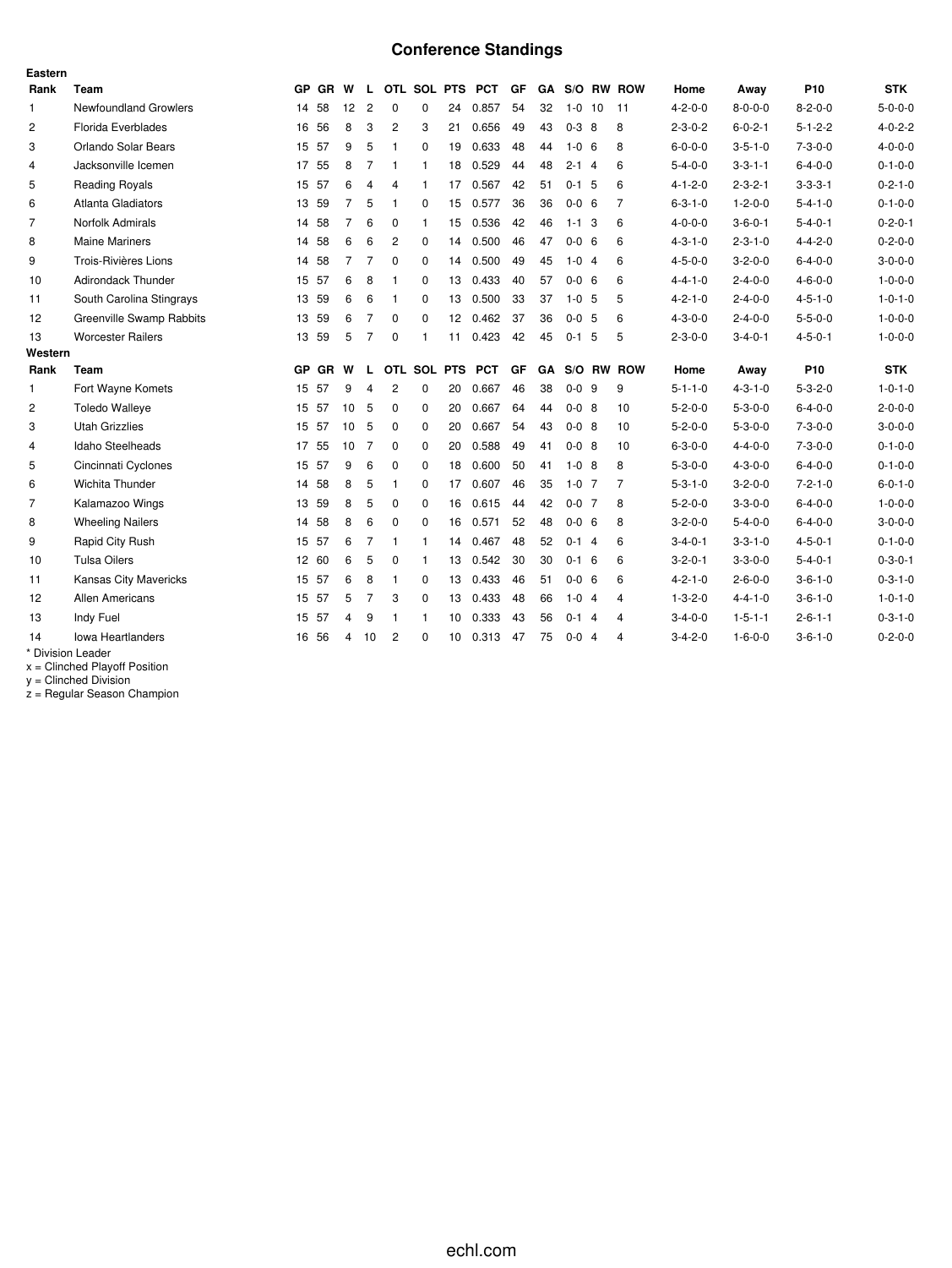# **Conference Standings**

| Eastern        |                              |    |         |                 |                |                |                |                   |                   |    |    |             |                |                |                 |                 |                 |                 |
|----------------|------------------------------|----|---------|-----------------|----------------|----------------|----------------|-------------------|-------------------|----|----|-------------|----------------|----------------|-----------------|-----------------|-----------------|-----------------|
| Rank           | Team                         |    | GP GR W |                 |                |                |                |                   | L OTL SOL PTS PCT | GF |    |             |                | GA S/O RW ROW  | Home            | Away            | P <sub>10</sub> | <b>STK</b>      |
| $\mathbf{1}$   | <b>Newfoundland Growlers</b> |    | 14 58   | 12              | $\overline{c}$ | 0              | $\mathbf 0$    | 24                | 0.857             | 54 | 32 | $1 - 0$     | 10             | 11             | $4 - 2 - 0 - 0$ | $8 - 0 - 0 - 0$ | $8 - 2 - 0 - 0$ | $5 - 0 - 0 - 0$ |
| 2              | Florida Everblades           |    | 16 56   | 8               | 3              | $\overline{c}$ | 3              | 21                | 0.656             | 49 | 43 | $0 - 3 = 8$ |                | 8              | $2 - 3 - 0 - 2$ | $6 - 0 - 2 - 1$ | $5 - 1 - 2 - 2$ | $4 - 0 - 2 - 2$ |
| 3              | Orlando Solar Bears          |    | 15 57   | 9               | 5              | $\mathbf{1}$   | $\mathbf 0$    | 19                | 0.633             | 48 | 44 | $1 - 0$     | - 6            | 8              | $6 - 0 - 0 - 0$ | $3 - 5 - 1 - 0$ | $7 - 3 - 0 - 0$ | $4 - 0 - 0 - 0$ |
| $\overline{4}$ | Jacksonville Icemen          |    | 17 55   | 8               | 7              | $\mathbf{1}$   | $\mathbf{1}$   | 18                | 0.529             | 44 | 48 | $2 - 1$ 4   |                | 6              | $5 - 4 - 0 - 0$ | $3 - 3 - 1 - 1$ | $6 - 4 - 0 - 0$ | $0 - 1 - 0 - 0$ |
| 5              | Reading Royals               |    | 15 57   | 6               | 4              | 4              | $\mathbf{1}$   | 17                | 0.567             | 42 | 51 | $0 - 1$     | -5             | 6              | $4 - 1 - 2 - 0$ | $2 - 3 - 2 - 1$ | $3 - 3 - 3 - 1$ | $0 - 2 - 1 - 0$ |
| 6              | Atlanta Gladiators           |    | 13 59   | $\overline{7}$  | 5              | -1             | $\Omega$       | 15                | 0.577             | 36 | 36 | $0 - 0 = 6$ |                | $\overline{7}$ | $6 - 3 - 1 - 0$ | $1 - 2 - 0 - 0$ | $5 - 4 - 1 - 0$ | $0 - 1 - 0 - 0$ |
| $\overline{7}$ | Norfolk Admirals             |    | 14 58   | $\overline{7}$  | 6              | 0              | $\mathbf{1}$   | 15                | 0.536             | 42 | 46 | $1 - 1$ 3   |                | 6              | $4 - 0 - 0 - 0$ | $3 - 6 - 0 - 1$ | $5 - 4 - 0 - 1$ | $0 - 2 - 0 - 1$ |
| 8              | <b>Maine Mariners</b>        | 14 | 58      | 6               | 6              | 2              | $\mathbf 0$    | 14                | 0.500             | 46 | 47 | $0-0$       | - 6            | 6              | $4 - 3 - 1 - 0$ | $2 - 3 - 1 - 0$ | $4 - 4 - 2 - 0$ | $0 - 2 - 0 - 0$ |
| 9              | Trois-Rivières Lions         |    | 14 58   | $\overline{7}$  | 7              | 0              | $\Omega$       | 14                | 0.500             | 49 | 45 | $1 - 0$ 4   |                | 6              | $4 - 5 - 0 - 0$ | $3 - 2 - 0 - 0$ | $6 - 4 - 0 - 0$ | $3 - 0 - 0 - 0$ |
| 10             | <b>Adirondack Thunder</b>    |    | 15 57   | 6               | 8              | -1             | $\mathbf 0$    | 13                | 0.433             | 40 | 57 | $0 - 0 = 6$ |                | 6              | $4 - 4 - 1 - 0$ | $2 - 4 - 0 - 0$ | $4 - 6 - 0 - 0$ | $1 - 0 - 0 - 0$ |
| 11             | South Carolina Stingrays     |    | 13 59   | 6               | 6              | -1             | $\Omega$       | 13                | 0.500             | 33 | 37 | $1 - 0$ 5   |                | 5              | $4 - 2 - 1 - 0$ | $2 - 4 - 0 - 0$ | $4 - 5 - 1 - 0$ | $1 - 0 - 1 - 0$ |
| 12             | Greenville Swamp Rabbits     | 13 | 59      | 6               | $\overline{7}$ | 0              | $\Omega$       | $12 \overline{ }$ | 0.462             | 37 | 36 | $0 - 0$     | -5             | 6              | $4 - 3 - 0 - 0$ | $2 - 4 - 0 - 0$ | $5 - 5 - 0 - 0$ | $1 - 0 - 0 - 0$ |
| 13             | <b>Worcester Railers</b>     |    | 13 59   | 5               | $\overline{7}$ | $\mathbf 0$    | 1              | 11                | 0.423             | 42 | 45 | $0 - 1$     | -5             | 5              | $2 - 3 - 0 - 0$ | $3 - 4 - 0 - 1$ | $4 - 5 - 0 - 1$ | $1 - 0 - 0 - 0$ |
| Western        |                              |    |         |                 |                |                |                |                   |                   |    |    |             |                |                |                 |                 |                 |                 |
| Rank           | Team                         |    | GP GR   | W               | L.             |                | OTL SOL PTS    |                   | <b>PCT</b>        | GF | GA |             |                | S/O RW ROW     | Home            | Away            | P <sub>10</sub> | <b>STK</b>      |
| $\mathbf{1}$   | Fort Wayne Komets            |    | 15 57   | 9               | $\overline{4}$ | 2              | 0              | 20                | 0.667             | 46 | 38 | $0 - 0$ 9   |                | 9              | $5 - 1 - 1 - 0$ | $4 - 3 - 1 - 0$ | $5 - 3 - 2 - 0$ | $1 - 0 - 1 - 0$ |
| $\overline{c}$ | <b>Toledo Walleye</b>        |    | 15 57   | 10              | 5              | $\Omega$       | 0              | 20                | 0.667             | 64 | 44 | $0 - 0$ 8   |                | 10             | $5 - 2 - 0 - 0$ | $5 - 3 - 0 - 0$ | $6 - 4 - 0 - 0$ | $2 - 0 - 0 - 0$ |
| 3              | <b>Utah Grizzlies</b>        |    | 15 57   | 10 <sub>5</sub> |                | $\Omega$       | 0              | 20                | 0.667             | 54 | 43 | $0 - 0$ 8   |                | 10             | $5 - 2 - 0 - 0$ | $5 - 3 - 0 - 0$ | $7 - 3 - 0 - 0$ | $3 - 0 - 0 - 0$ |
| 4              | Idaho Steelheads             | 17 | 55      | 10              | 7              | 0              | $\mathbf 0$    | 20                | 0.588             | 49 | 41 | $0 - 0$ 8   |                | 10             | $6 - 3 - 0 - 0$ | $4 - 4 - 0 - 0$ | $7 - 3 - 0 - 0$ | $0 - 1 - 0 - 0$ |
| 5              | Cincinnati Cyclones          |    | 15 57   | 9               | 6              | 0              | $\mathbf 0$    | 18                | 0.600             | 50 | 41 | $1 - 0$ 8   |                | 8              | $5 - 3 - 0 - 0$ | $4 - 3 - 0 - 0$ | $6 - 4 - 0 - 0$ | $0 - 1 - 0 - 0$ |
| 6              | Wichita Thunder              | 14 | 58      | 8               | 5              | $\mathbf{1}$   | $\mathbf 0$    | 17                | 0.607             | 46 | 35 | $1-0$ 7     |                | 7              | $5 - 3 - 1 - 0$ | $3 - 2 - 0 - 0$ | $7 - 2 - 1 - 0$ | $6 - 0 - 1 - 0$ |
| $\overline{7}$ | Kalamazoo Wings              | 13 | 59      | 8               | 5              | 0              | $\Omega$       | 16                | 0.615             | 44 | 42 | $0 - 0$ 7   |                | 8              | $5 - 2 - 0 - 0$ | $3 - 3 - 0 - 0$ | $6 - 4 - 0 - 0$ | $1 - 0 - 0 - 0$ |
| 8              | <b>Wheeling Nailers</b>      |    | 14 58   | 8               | 6              | 0              | $\mathbf 0$    | 16                | 0.571             | 52 | 48 | $0 - 0 = 6$ |                | 8              | $3 - 2 - 0 - 0$ | $5 - 4 - 0 - 0$ | $6 - 4 - 0 - 0$ | $3 - 0 - 0 - 0$ |
| 9              | Rapid City Rush              |    | 15 57   | 6               | 7              | $\mathbf{1}$   | -1             | 14                | 0.467             | 48 | 52 | $0-1$ 4     |                | 6              | $3 - 4 - 0 - 1$ | $3 - 3 - 1 - 0$ | $4 - 5 - 0 - 1$ | $0 - 1 - 0 - 0$ |
| 10             | <b>Tulsa Oilers</b>          |    | 12 60   | 6               | 5              | 0              | $\overline{1}$ | 13                | 0.542             | 30 | 30 | $0 - 1 = 6$ |                | 6              | $3 - 2 - 0 - 1$ | $3 - 3 - 0 - 0$ | $5 - 4 - 0 - 1$ | $0 - 3 - 0 - 1$ |
| 11             | <b>Kansas City Mavericks</b> |    | 15 57   | 6               | 8              | $\mathbf{1}$   | $\mathbf 0$    | 13                | 0.433             | 46 | 51 | $0 - 0 = 6$ |                | 6              | $4 - 2 - 1 - 0$ | $2 - 6 - 0 - 0$ | $3 - 6 - 1 - 0$ | $0 - 3 - 1 - 0$ |
| 12             | <b>Allen Americans</b>       |    | 15 57   | 5               | 7              | 3              | $\Omega$       | 13                | 0.433             | 48 | 66 | $1 - 0$ 4   |                | 4              | $1 - 3 - 2 - 0$ | $4 - 4 - 1 - 0$ | $3 - 6 - 1 - 0$ | $1 - 0 - 1 - 0$ |
| 13             | Indy Fuel                    | 15 | 57      | 4               | 9              | 1              | -1             | 10                | 0.333             | 43 | 56 | $0-1$ 4     |                | 4              | $3-4-0-0$       | $1 - 5 - 1 - 1$ | $2 - 6 - 1 - 1$ | $0 - 3 - 1 - 0$ |
| 14             | <b>Iowa Heartlanders</b>     | 16 | 56      | 4               | 10             | 2              | $\Omega$       | 10                | 0.313             | 47 | 75 | $0-0$       | $\overline{4}$ | 4              | $3 - 4 - 2 - 0$ | $1 - 6 - 0 - 0$ | $3 - 6 - 1 - 0$ | $0 - 2 - 0 - 0$ |
|                | * Division Leader            |    |         |                 |                |                |                |                   |                   |    |    |             |                |                |                 |                 |                 |                 |

x = Clinched Playoff Position

y = Clinched Division

z = Regular Season Champion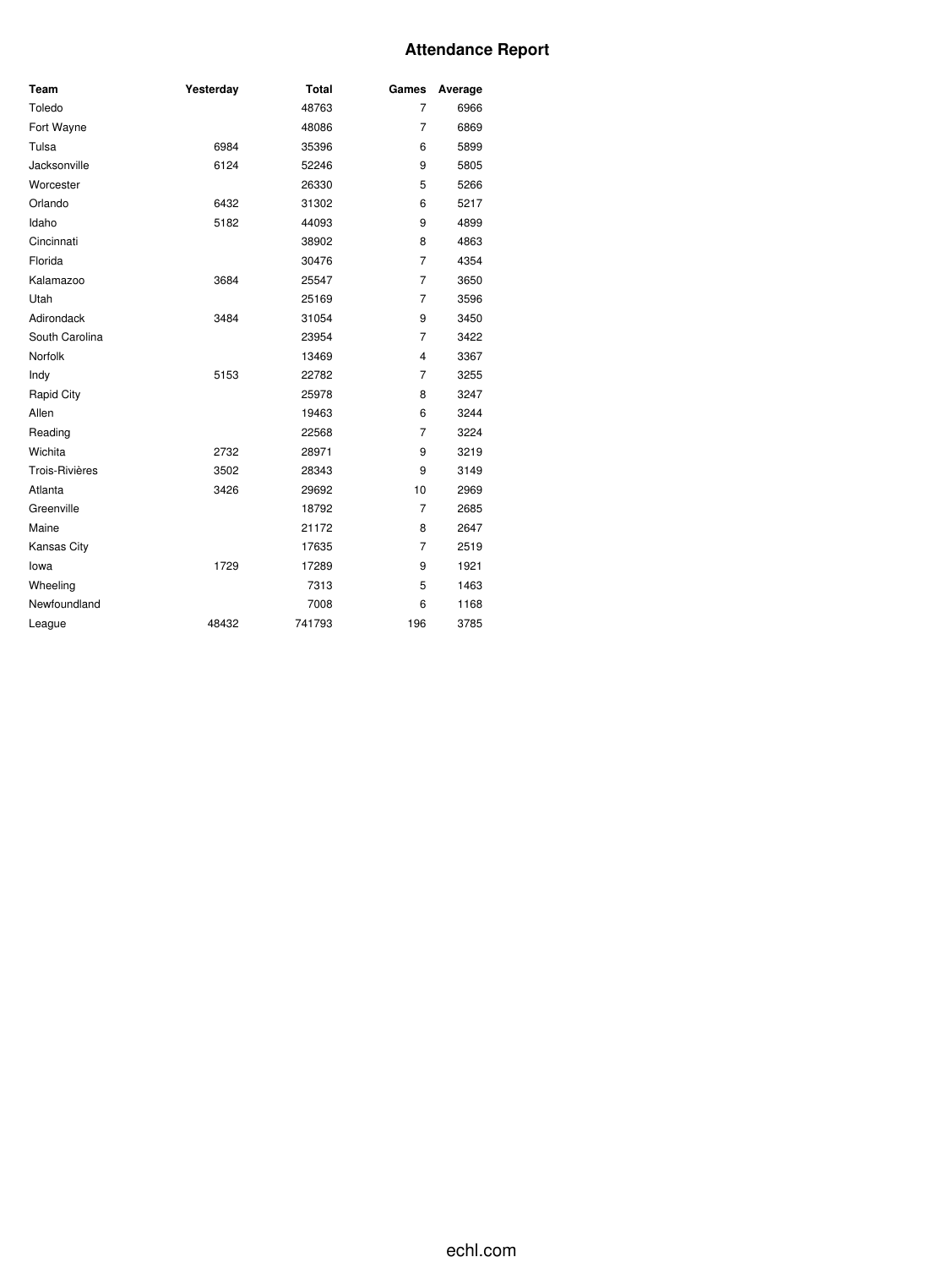### **Attendance Report**

| Team                  | Yesterday | <b>Total</b> | Games          | Average |
|-----------------------|-----------|--------------|----------------|---------|
| Toledo                |           | 48763        | $\overline{7}$ | 6966    |
| Fort Wayne            |           | 48086        | $\overline{7}$ | 6869    |
| Tulsa                 | 6984      | 35396        | 6              | 5899    |
| Jacksonville          | 6124      | 52246        | 9              | 5805    |
| Worcester             |           | 26330        | 5              | 5266    |
| Orlando               | 6432      | 31302        | 6              | 5217    |
| Idaho                 | 5182      | 44093        | 9              | 4899    |
| Cincinnati            |           | 38902        | 8              | 4863    |
| Florida               |           | 30476        | $\overline{7}$ | 4354    |
| Kalamazoo             | 3684      | 25547        | $\overline{7}$ | 3650    |
| Utah                  |           | 25169        | 7              | 3596    |
| Adirondack            | 3484      | 31054        | 9              | 3450    |
| South Carolina        |           | 23954        | 7              | 3422    |
| Norfolk               |           | 13469        | 4              | 3367    |
| Indy                  | 5153      | 22782        | $\overline{7}$ | 3255    |
| Rapid City            |           | 25978        | 8              | 3247    |
| Allen                 |           | 19463        | 6              | 3244    |
| Reading               |           | 22568        | 7              | 3224    |
| Wichita               | 2732      | 28971        | 9              | 3219    |
| <b>Trois-Rivières</b> | 3502      | 28343        | 9              | 3149    |
| Atlanta               | 3426      | 29692        | 10             | 2969    |
| Greenville            |           | 18792        | 7              | 2685    |
| Maine                 |           | 21172        | 8              | 2647    |
| Kansas City           |           | 17635        | $\overline{7}$ | 2519    |
| lowa                  | 1729      | 17289        | 9              | 1921    |
| Wheeling              |           | 7313         | 5              | 1463    |
| Newfoundland          |           | 7008         | 6              | 1168    |
| League                | 48432     | 741793       | 196            | 3785    |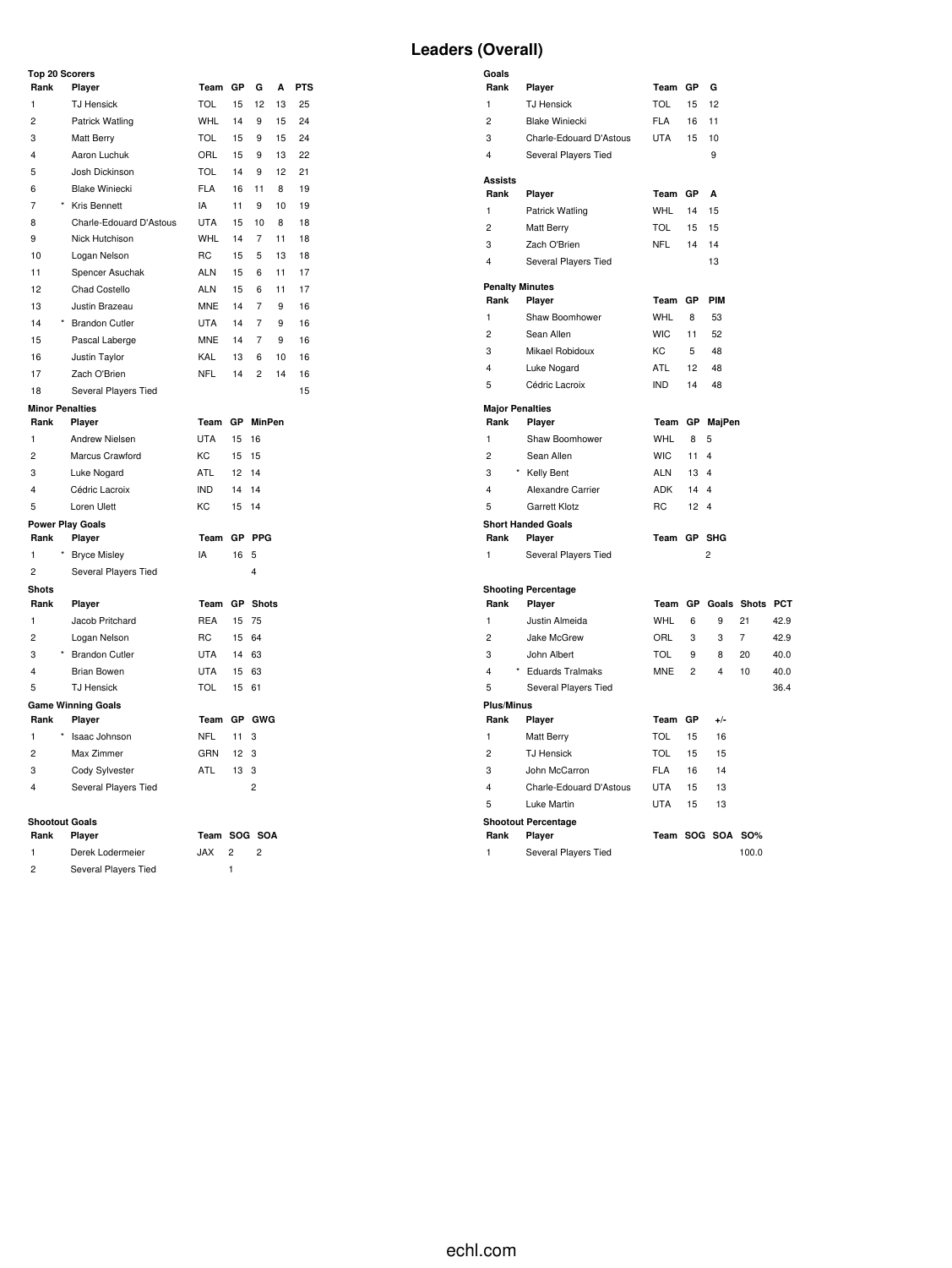#### **Top 20 Scorers**

| Rank           | Player                    | Team       | GP | G              | А  | <b>PTS</b> |
|----------------|---------------------------|------------|----|----------------|----|------------|
| $\mathbf{1}$   | <b>TJ Hensick</b>         | <b>TOL</b> | 15 | 12             | 13 | 25         |
| 2              | Patrick Watling           | <b>WHL</b> | 14 | 9              | 15 | 24         |
| 3              | Matt Berry                | <b>TOL</b> | 15 | 9              | 15 | 24         |
| 4              | Aaron Luchuk              | ORL        | 15 | 9              | 13 | 22         |
| 5              | Josh Dickinson            | <b>TOL</b> | 14 | 9              | 12 | 21         |
| 6              | <b>Blake Winiecki</b>     | <b>FLA</b> | 16 | 11             | 8  | 19         |
| $\overline{7}$ | Kris Bennett              | IA         | 11 | 9              | 10 | 19         |
| 8              | Charle-Edouard D'Astous   | <b>UTA</b> | 15 | 10             | 8  | 18         |
| 9              | Nick Hutchison            | <b>WHL</b> | 14 | 7              | 11 | 18         |
| 10             | Logan Nelson              | <b>RC</b>  | 15 | 5              | 13 | 18         |
| 11             | Spencer Asuchak           | <b>ALN</b> | 15 | 6              | 11 | 17         |
| 12             | Chad Costello             | ALN        | 15 | 6              | 11 | 17         |
| 13             | Justin Brazeau            | <b>MNE</b> | 14 | 7              | 9  | 16         |
| 14             | <b>Brandon Cutler</b>     | <b>UTA</b> | 14 | 7              | 9  | 16         |
| 15             | Pascal Laberge            | <b>MNE</b> | 14 | 7              | 9  | 16         |
| 16             | Justin Taylor             | <b>KAL</b> | 13 | 6              | 10 | 16         |
| 17             | Zach O'Brien              | <b>NFL</b> | 14 | $\overline{c}$ | 14 | 16         |
| 18             | Several Players Tied      |            |    |                |    | 15         |
|                | <b>Minor Penalties</b>    |            |    |                |    |            |
| Rank           | Player                    | Team       | GP | <b>MinPen</b>  |    |            |
| 1              | Andrew Nielsen            | <b>UTA</b> | 15 | 16             |    |            |
| $\overline{c}$ | Marcus Crawford           | KC         | 15 | 15             |    |            |
| 3              | Luke Nogard               | <b>ATL</b> | 12 | 14             |    |            |
| 4              | Cédric Lacroix            | <b>IND</b> | 14 | 14             |    |            |
| 5              | Loren Ulett               | KC         | 15 | 14             |    |            |
|                | <b>Power Play Goals</b>   |            |    |                |    |            |
| Rank           | Player                    | Team       | GP | PPG            |    |            |
| 1              | <b>Bryce Misley</b>       | IA         | 16 | 5              |    |            |
| 2              | Several Players Tied      |            |    | $\overline{4}$ |    |            |
| <b>Shots</b>   |                           |            |    |                |    |            |
| Rank           | Player                    | Team       | GР | Shots          |    |            |
| 1              | Jacob Pritchard           | <b>REA</b> | 15 | 75             |    |            |
| $\overline{c}$ | Logan Nelson              | <b>RC</b>  | 15 | 64             |    |            |
| 3              | * Brandon Cutler          | <b>UTA</b> | 14 | 63             |    |            |
| 4              | <b>Brian Bowen</b>        | <b>UTA</b> | 15 | 63             |    |            |
| 5              | <b>TJ Hensick</b>         | <b>TOL</b> | 15 | 61             |    |            |
|                | <b>Game Winning Goals</b> |            |    |                |    |            |
| Rank           | Player                    | Team       |    | GP GWG         |    |            |
| $\mathbf{1}$   | Isaac Johnson             | <b>NFL</b> | 11 | 3              |    |            |
| $\overline{c}$ | Max Zimmer                | GRN        | 12 | 3              |    |            |
| 3              | Cody Sylvester            | ATL        | 13 | 3              |    |            |
| 4              | Several Players Tied      |            |    | $\overline{2}$ |    |            |
|                |                           |            |    |                |    |            |
|                | <b>Shootout Goals</b>     |            |    |                |    |            |

| Rank          | <b>Plaver</b>        | Team SOG SOA |  |
|---------------|----------------------|--------------|--|
|               | Derek Lodermeier     | JAX.         |  |
| $\mathcal{P}$ | Several Players Tied |              |  |

# Derek Lodermeier JAX 2 2

# **Leaders (Overall)**

| Goals                   |                            |            |                |                         |                |            |
|-------------------------|----------------------------|------------|----------------|-------------------------|----------------|------------|
| Rank                    | Player                     | Team       | GР             | G                       |                |            |
| 1                       | <b>TJ Hensick</b>          | TOL        | 15             | 12                      |                |            |
| $\overline{c}$          | <b>Blake Winiecki</b>      | <b>FLA</b> | 16             | 11                      |                |            |
| 3                       | Charle-Edouard D'Astous    | <b>UTA</b> | 15             | 10                      |                |            |
| 4                       | Several Players Tied       |            |                | 9                       |                |            |
| <b>Assists</b>          |                            |            |                |                         |                |            |
| Rank                    | Player                     | Team       | GP             | A                       |                |            |
| 1                       | Patrick Watling            | <b>WHL</b> | 14             | 15                      |                |            |
| $\overline{c}$          | <b>Matt Berry</b>          | TOL        | 15             | 15                      |                |            |
| 3                       | Zach O'Brien               | <b>NFL</b> | 14             | 14                      |                |            |
| 4                       | Several Players Tied       |            |                | 13                      |                |            |
| <b>Penalty Minutes</b>  |                            |            |                |                         |                |            |
| Rank                    | Player                     | Team       | GP             | PIM                     |                |            |
| 1                       | Shaw Boomhower             | <b>WHL</b> | 8              | 53                      |                |            |
| $\overline{c}$          | Sean Allen                 | <b>WIC</b> | 11             | 52                      |                |            |
| 3                       | Mikael Robidoux            | KC         | 5              | 48                      |                |            |
| $\overline{\mathbf{4}}$ | Luke Nogard                | <b>ATL</b> | 12             | 48                      |                |            |
| 5                       | Cédric Lacroix             | <b>IND</b> | 14             | 48                      |                |            |
| <b>Major Penalties</b>  |                            |            |                |                         |                |            |
| Rank                    | Player                     | Team       | GР             | MajPen                  |                |            |
| 1                       | Shaw Boomhower             | <b>WHL</b> | 8              | 5                       |                |            |
| $\overline{2}$          | Sean Allen                 | <b>WIC</b> | 11             | $\overline{\mathbf{4}}$ |                |            |
| 3                       | * Kelly Bent               | <b>ALN</b> | 13             | 4                       |                |            |
| 4                       | Alexandre Carrier          | <b>ADK</b> | 14             | 4                       |                |            |
| 5                       | Garrett Klotz              | <b>RC</b>  | 12             | $\overline{\mathbf{4}}$ |                |            |
|                         | <b>Short Handed Goals</b>  |            |                |                         |                |            |
| Rank                    | Player                     | Team GP    |                | <b>SHG</b>              |                |            |
| 1                       | Several Players Tied       |            |                | $\overline{c}$          |                |            |
|                         | <b>Shooting Percentage</b> |            |                |                         |                |            |
| Rank                    | Player                     | Team       | GP             |                         | Goals Shots    | <b>PCT</b> |
| $\mathbf{1}$            | Justin Almeida             | <b>WHL</b> | 6              | 9                       | 21             | 42.9       |
| $\overline{c}$          | Jake McGrew                | ORL        | 3              | 3                       | $\overline{7}$ | 42.9       |
| 3                       | John Albert                | <b>TOL</b> | 9              | 8                       | 20             | 40.0       |
| 4                       | <b>Eduards Tralmaks</b>    | <b>MNE</b> | $\overline{c}$ | 4                       | 10             | 40.0       |
| 5                       | Several Players Tied       |            |                |                         |                | 36.4       |
| <b>Plus/Minus</b>       |                            |            |                |                         |                |            |
| Rank                    | Player                     | Team       | GP             | $+/-$                   |                |            |
| $\mathbf{1}$            | Matt Berry                 | TOL        | 15             | 16                      |                |            |
| $\overline{c}$          | <b>TJ Hensick</b>          | <b>TOL</b> | 15             | 15                      |                |            |
| 3                       | John McCarron              | <b>FLA</b> | 16             | 14                      |                |            |
| 4                       | Charle-Edouard D'Astous    | <b>UTA</b> | 15             | 13                      |                |            |
| 5                       | Luke Martin                | <b>UTA</b> | 15             | 13                      |                |            |
|                         | <b>Shootout Percentage</b> |            |                |                         |                |            |
| Rank                    | Player                     |            |                | Team SOG SOA            | <b>SO%</b>     |            |
| 1                       | Several Players Tied       |            |                |                         | 100.0          |            |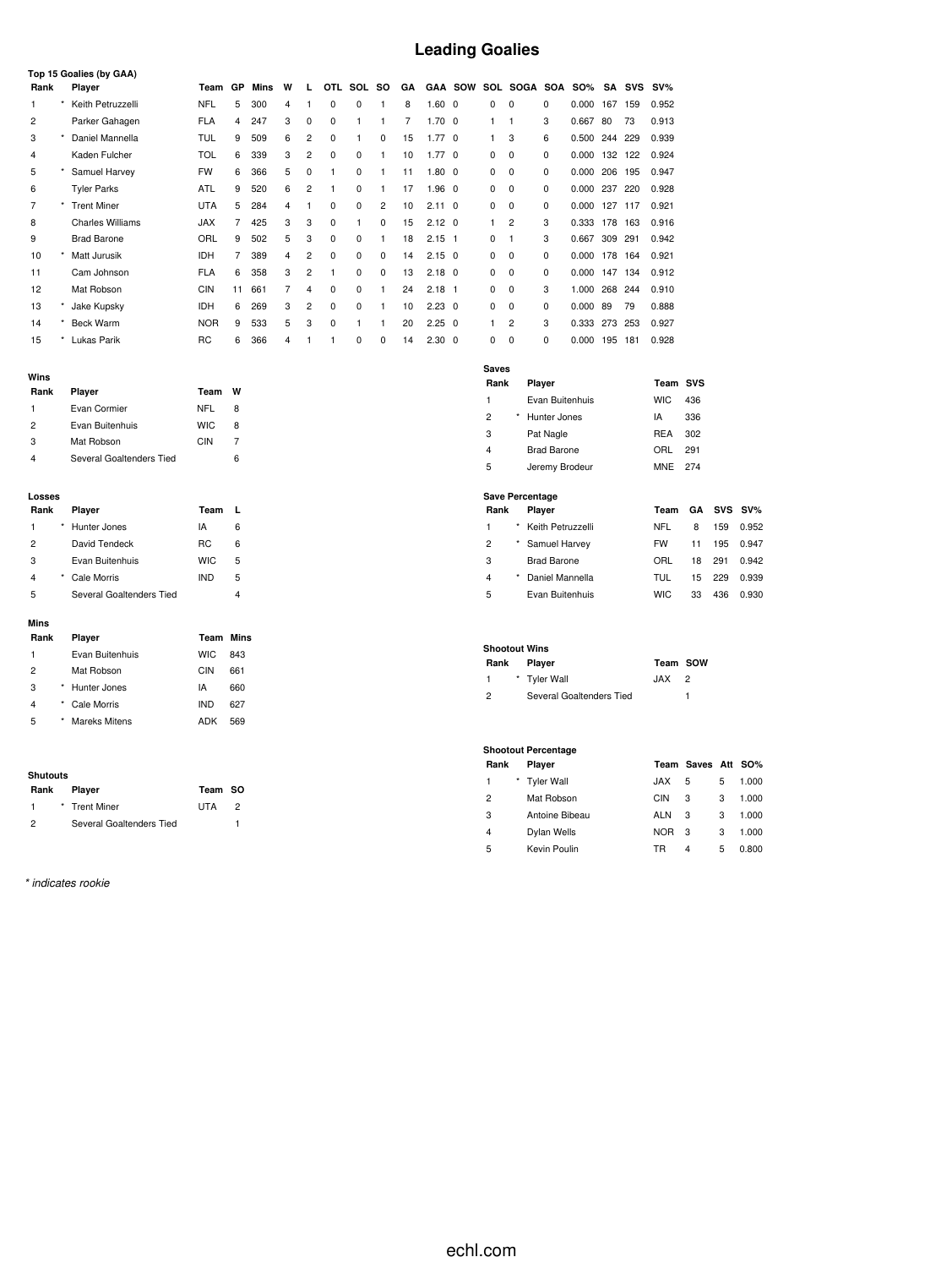# **Leading Goalies**

| Top 15 Goalies (by GAA) |         |                         |            |           |      |   |                |             |             |           |    |                |                |          |          |     |            |     |            |        |
|-------------------------|---------|-------------------------|------------|-----------|------|---|----------------|-------------|-------------|-----------|----|----------------|----------------|----------|----------|-----|------------|-----|------------|--------|
| Rank                    |         | Player                  | Team       | <b>GP</b> | Mins | W | L.             | OTL.        | SOL         | <b>SO</b> | GA |                | <b>GAA SOW</b> |          | SOL SOGA | SOA | <b>SO%</b> | SA  | <b>SVS</b> | $SV\%$ |
|                         | ۰       | Keith Petruzzelli       | NFL        | 5         | 300  | 4 |                | 0           | 0           |           | 8  | $1.60 \quad 0$ |                | 0        | 0        | 0   | 0.000      | 167 | 159        | 0.952  |
| 2                       |         | Parker Gahagen          | <b>FLA</b> | 4         | 247  | 3 | 0              | 0           |             |           | 7  | $1.70 \quad 0$ |                |          |          | 3   | 0.667      | 80  | 73         | 0.913  |
| 3                       |         | Daniel Mannella         | TUL        | 9         | 509  | 6 | $\overline{2}$ | 0           |             | 0         | 15 | $1.77 \quad 0$ |                |          | 3        | 6   | 0.500      | 244 | 229        | 0.939  |
| 4                       |         | Kaden Fulcher           | TOL        | 6         | 339  | 3 | $\overline{2}$ | $\mathbf 0$ | 0           | 1         | 10 | $1.77 \quad 0$ |                | 0        | 0        | 0   | 0.000      | 132 | 122        | 0.924  |
| 5                       |         | Samuel Harvey           | <b>FW</b>  | 6         | 366  | 5 | 0              |             | 0           |           | 11 | $1.80 \quad 0$ |                | 0        | 0        | 0   | 0.000      | 206 | 195        | 0.947  |
| 6                       |         | <b>Tyler Parks</b>      | ATL        | 9         | 520  | 6 | $\overline{2}$ |             | $\Omega$    |           | 17 | $1.96$ 0       |                | 0        | 0        | 0   | 0.000      | 237 | 220        | 0.928  |
|                         |         | <b>Trent Miner</b>      | <b>UTA</b> | 5         | 284  | 4 |                | 0           | 0           | 2         | 10 | $2.11 \quad 0$ |                | 0        | 0        | 0   | 0.000      | 127 | 117        | 0.921  |
| 8                       |         | <b>Charles Williams</b> | <b>JAX</b> |           | 425  | 3 | 3              | 0           | 1           | $\Omega$  | 15 | $2.12 \quad 0$ |                |          | 2        | 3   | 0.333      | 178 | 163        | 0.916  |
| 9                       |         | <b>Brad Barone</b>      | ORL        | 9         | 502  | 5 | 3              | 0           | $\mathbf 0$ |           | 18 | $2.15$ 1       |                | 0        |          | 3   | 0.667      | 309 | 291        | 0.942  |
| 10                      |         | Matt Jurusik            | <b>IDH</b> |           | 389  | 4 | $\overline{2}$ | $\Omega$    | $\Omega$    | $\Omega$  | 14 | $2.15 \quad 0$ |                | 0        | 0        | 0   | 0.000      | 178 | 164        | 0.921  |
| 11                      |         | Cam Johnson             | <b>FLA</b> | 6         | 358  | 3 | $\overline{2}$ |             | 0           | 0         | 13 | $2.18 \quad 0$ |                | 0        | 0        | 0   | 0.000      | 147 | 134        | 0.912  |
| 12                      |         | Mat Robson              | <b>CIN</b> | 11        | 661  | 7 | 4              | 0           | 0           |           | 24 | $2.18$ 1       |                | 0        | 0        | 3   | 1.000      | 268 | 244        | 0.910  |
| 13                      |         | Jake Kupsky             | <b>IDH</b> | 6         | 269  | 3 | $\overline{2}$ | $\Omega$    | $\Omega$    |           | 10 | $2.23 \quad 0$ |                | $\Omega$ | 0        | 0   | 0.000      | 89  | 79         | 0.888  |
| 14                      | $\star$ | <b>Beck Warm</b>        | <b>NOR</b> | 9         | 533  | 5 | 3              | $\Omega$    |             |           | 20 | $2.25 \quad 0$ |                |          | 2        | 3   | 0.333      | 273 | 253        | 0.927  |
| 15                      |         | Lukas Parik             | RC         | 6         | 366  | 4 |                |             | 0           | 0         | 14 | $2.30 \quad 0$ |                | 0        | $\Omega$ | 0   | 0.000      | 195 | 181        | 0.928  |

| Rank | Player                   | Team       | w  |
|------|--------------------------|------------|----|
| 1    | Evan Cormier             | NFL        | 8  |
| 2    | Evan Buitenhuis          | <b>WIC</b> | 8  |
| 3    | Mat Robson               | CIN        |    |
|      | Several Goaltenders Tied |            | ิค |

#### **Losses**

| Rank           | Player                   | Team       |   |
|----------------|--------------------------|------------|---|
| 1              | Hunter Jones             | IA         | 6 |
| $\overline{2}$ | David Tendeck            | RC.        | 6 |
| 3              | Evan Buitenhuis          | <b>WIC</b> | 5 |
| $\overline{4}$ | Cale Morris              | <b>IND</b> | 5 |
| 5              | Several Goaltenders Tied |            |   |

#### **Mins**

| Rank           | Player          | Team       | Mins |
|----------------|-----------------|------------|------|
| 1              | Evan Buitenhuis | <b>WIC</b> | 843  |
| $\overline{2}$ | Mat Robson      | CIN        | 661  |
| 3              | Hunter Jones    | IA         | 660  |
| $\overline{4}$ | Cale Morris     | <b>IND</b> | 627  |
| 5              | Mareks Mitens   | ADK        | 569  |

#### **Shutouts**

| Rank          | <b>Plaver</b>            | Team SO    |  |
|---------------|--------------------------|------------|--|
|               | * Trent Miner            | <b>UTA</b> |  |
| $\mathcal{P}$ | Several Goaltenders Tied |            |  |

*\* indicates rookie*

| <b>Saves</b><br>Rank | Player          | Team SVS   |     |
|----------------------|-----------------|------------|-----|
| 1                    | Evan Buitenhuis | <b>WIC</b> | 436 |
| 2                    | Hunter Jones    | ΙA         | 336 |
| 3                    | Pat Nagle       | <b>REA</b> | 302 |
| 4                    | Brad Barone     | ORL        | 291 |
| 5                    | Jeremy Brodeur  | MNE        | 274 |

### **Save Percentage**

| Rank |          | <b>Plaver</b>       | Team      |    |     | GA SVS SV% |
|------|----------|---------------------|-----------|----|-----|------------|
| 1    |          | * Keith Petruzzelli | NFL       | 8  | 159 | 0.952      |
| 2    |          | * Samuel Harvey     | <b>FW</b> | 11 | 195 | 0.947      |
| 3    |          | <b>Brad Barone</b>  | ORL       | 18 | 291 | 0.942      |
| 4    | $^\star$ | Daniel Mannella     | TUL       | 15 | 229 | 0.939      |
| 5    |          | Evan Buitenhuis     | WIC.      | 33 | 436 | 0.930      |

#### **Shootout Wins**

| Rank          | <b>Plaver</b>            | Team SOW   |  |
|---------------|--------------------------|------------|--|
|               | * Tyler Wall             | <b>JAX</b> |  |
| $\mathcal{P}$ | Several Goaltenders Tied |            |  |

#### **Shootout Percentage**

| Rank           | Player         |            | Team Saves Att SO% |   |       |
|----------------|----------------|------------|--------------------|---|-------|
| 1              | * Tyler Wall   | <b>JAX</b> | 5                  | 5 | 1.000 |
| $\overline{c}$ | Mat Robson     | CIN        | 3                  | 3 | 1.000 |
| 3              | Antoine Bibeau | ALN        | 3                  | 3 | 1.000 |
| 4              | Dylan Wells    | <b>NOR</b> | 3                  | 3 | 1.000 |
| 5              | Kevin Poulin   | TR         | 4                  | 5 | 0.800 |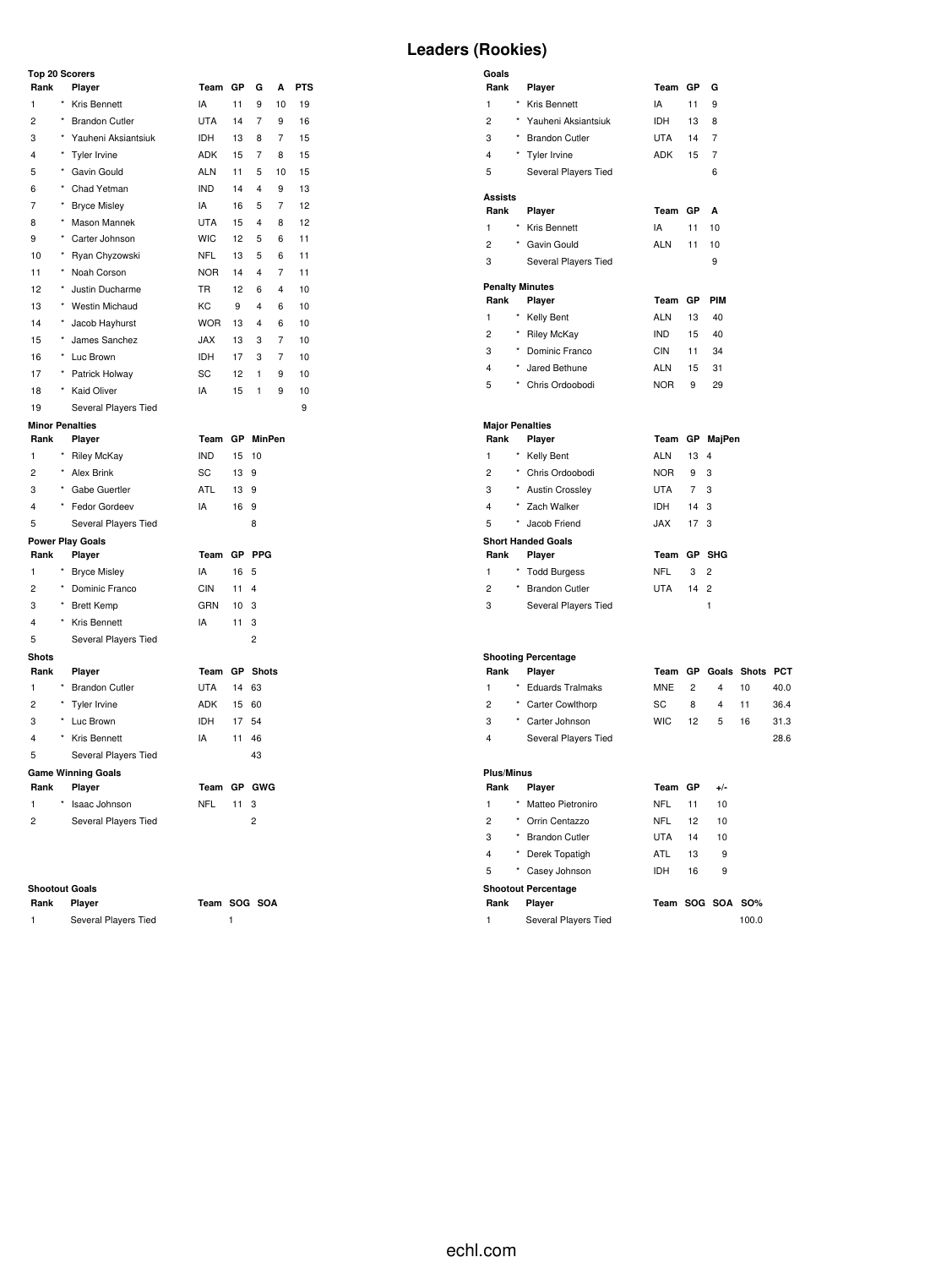### **Top 20 Scorers**

| Rank                   |            | Player                    | Team       | GP | G                       | A  | <b>PTS</b> |
|------------------------|------------|---------------------------|------------|----|-------------------------|----|------------|
| $\mathbf{1}$           | $\star$    | Kris Bennett              | IA         | 11 | 9                       | 10 | 19         |
| $\overline{c}$         | $^{\star}$ | <b>Brandon Cutler</b>     | <b>UTA</b> | 14 | $\overline{7}$          | 9  | 16         |
| 3                      | $^{\star}$ | Yauheni Aksiantsiuk       | <b>IDH</b> | 13 | 8                       | 7  | 15         |
| 4                      |            | Tyler Irvine              | <b>ADK</b> | 15 | 7                       | 8  | 15         |
| 5                      | $\star$    | Gavin Gould               | <b>ALN</b> | 11 | 5                       | 10 | 15         |
| 6                      | ×          | Chad Yetman               | <b>IND</b> | 14 | 4                       | 9  | 13         |
| 7                      | $\star$    | <b>Bryce Misley</b>       | IA         | 16 | 5                       | 7  | 12         |
| 8                      | $\star$    | Mason Mannek              | <b>UTA</b> | 15 | 4                       | 8  | 12         |
| 9                      | *          | Carter Johnson            | <b>WIC</b> | 12 | 5                       | 6  | 11         |
| 10                     | *          | Ryan Chyzowski            | <b>NFL</b> | 13 | 5                       | 6  | 11         |
| 11                     | $\star$    | Noah Corson               | <b>NOR</b> | 14 | 4                       | 7  | 11         |
| 12                     | *          | Justin Ducharme           | <b>TR</b>  | 12 | 6                       | 4  | 10         |
| 13                     | $^{\star}$ | <b>Westin Michaud</b>     | KC         | 9  | 4                       | 6  | 10         |
| 14                     | $^{\star}$ | Jacob Hayhurst            | <b>WOR</b> | 13 | 4                       | 6  | 10         |
| 15                     | *          | James Sanchez             | <b>JAX</b> | 13 | 3                       | 7  | 10         |
| 16                     | $\star$    | Luc Brown                 | <b>IDH</b> | 17 | 3                       | 7  | 10         |
| 17                     | $^{\star}$ | Patrick Holway            | SC         | 12 | 1                       | 9  | 10         |
| 18                     | $^{\star}$ | <b>Kaid Oliver</b>        | IA         | 15 | 1                       | 9  | 10         |
| 19                     |            | Several Players Tied      |            |    |                         |    | 9          |
| <b>Minor Penalties</b> |            |                           |            |    |                         |    |            |
| Rank                   |            | Player                    | Team       | GP | <b>MinPen</b>           |    |            |
| $\mathbf{1}$           |            | <b>Riley McKay</b>        | <b>IND</b> | 15 | 10                      |    |            |
| $\overline{c}$         | $\star$    | <b>Alex Brink</b>         | SC         | 13 | 9                       |    |            |
| 3                      |            | * Gabe Guertler           | <b>ATL</b> | 13 | 9                       |    |            |
| 4                      |            | Fedor Gordeev             | IA         | 16 | 9                       |    |            |
| 5                      |            | Several Players Tied      |            |    | 8                       |    |            |
|                        |            | <b>Power Play Goals</b>   |            |    |                         |    |            |
| Rank                   |            | Player                    | Team       | GP | <b>PPG</b>              |    |            |
| 1                      | $^\star$   | <b>Bryce Misley</b>       | IA         | 16 | 5                       |    |            |
| 2                      | $^{\star}$ | Dominic Franco            | <b>CIN</b> | 11 | $\overline{\mathbf{4}}$ |    |            |
| 3                      | $\star$    | <b>Brett Kemp</b>         | GRN        | 10 | 3                       |    |            |
| 4                      | $\star$    | Kris Bennett              | IA         | 11 | 3                       |    |            |
| 5                      |            | Several Players Tied      |            |    | $\overline{c}$          |    |            |
| <b>Shots</b>           |            |                           |            |    |                         |    |            |
| Rank                   |            | Player                    | Team       | GP | <b>Shots</b>            |    |            |
| 1                      |            | <b>Brandon Cutler</b>     | <b>UTA</b> | 14 | 63                      |    |            |
| $\overline{2}$         | $\star$    | Tyler Irvine              | ADK        | 15 | 60                      |    |            |
| 3                      | $^\star$   | Luc Brown                 | <b>IDH</b> | 17 | 54                      |    |            |
| 4                      | $^{\star}$ | Kris Bennett              | IA         | 11 | 46                      |    |            |
| 5                      |            | Several Players Tied      |            |    | 43                      |    |            |
|                        |            | <b>Game Winning Goals</b> |            |    |                         |    |            |
| Rank                   |            | Player                    | Team       | GP | GWG                     |    |            |
| 1                      |            | Isaac Johnson             | <b>NFL</b> | 11 | 3                       |    |            |
| $\overline{c}$         |            | Several Players Tied      |            |    | $\overline{c}$          |    |            |

#### **Shootout Goals**

| Rank | Player               | Team SOG SOA |  |
|------|----------------------|--------------|--|
|      | Several Players Tied |              |  |

# **Leaders (Rookies)**

| Goals<br>Rank  |          | Player                    | Team        | GP          | G              |
|----------------|----------|---------------------------|-------------|-------------|----------------|
| 1              | $\star$  | Kris Bennett              | IA          | 11          | 9              |
| $\overline{c}$ |          | * Yauheni Aksiantsiuk     | <b>IDH</b>  | 13          | 8              |
| 3              |          | * Brandon Cutler          | <b>UTA</b>  | 14          | 7              |
| 4              |          | * Tyler Irvine            | ADK         | 15          | 7              |
| 5              |          | Several Players Tied      |             |             | 6              |
| <b>Assists</b> |          |                           |             |             |                |
| Rank           |          | Player                    | Team        | GP          | A              |
| 1              | $\star$  | Kris Bennett              | IA          | 11          | 10             |
| $\overline{2}$ |          | * Gavin Gould             | <b>ALN</b>  | 11          | 10             |
| 3              |          | Several Players Tied      |             |             | 9              |
|                |          | <b>Penalty Minutes</b>    |             |             |                |
| Rank           |          | Player                    | Team        | GP          | PIM            |
| 1              | $\star$  | Kelly Bent                | ALN         | 13          | 40             |
| $\overline{c}$ |          | * Riley McKay             | <b>IND</b>  | 15          | 40             |
| 3              | $\star$  | Dominic Franco            | <b>CIN</b>  | 11          | 34             |
| 4              |          | * Jared Bethune           | ALN         | 15          | 31             |
| 5              |          | * Chris Ordoobodi         | <b>NOR</b>  | 9           | 29             |
|                |          | <b>Major Penalties</b>    |             |             |                |
| Rank           |          | Player                    | Team        |             | GP MajPen      |
| 1              | $^\star$ | Kelly Bent                | ALN         | 13          | 4              |
| $\overline{2}$ |          | * Chris Ordoobodi         | NOR         | 9           | 3              |
| 3              |          | * Austin Crossley         | UTA         | $7^{\circ}$ | 3              |
| $\overline{4}$ |          | * Zach Walker             | IDH         | 14          | 3              |
| 5              | $\star$  | Jacob Friend              | <b>XAL.</b> | 17          | 3              |
|                |          | <b>Short Handed Goals</b> |             |             |                |
| Rank           |          | Player                    | Team        | <b>GP</b>   | <b>SHG</b>     |
| 1              | *        | <b>Todd Burgess</b>       | NFL         | 3           | 2              |
| $\overline{2}$ | $\star$  | <b>Brandon Cutler</b>     | UTA         | 14          | $\overline{2}$ |
| 3              |          | Several Players Tied      |             |             | 1              |

#### **Shooting Percentage**

| Rank | <b>Plaver</b>        |       |    | Team GP Goals Shots PCT |    |      |
|------|----------------------|-------|----|-------------------------|----|------|
| 1    | * Eduards Tralmaks   | MNE 2 |    | 4                       | 10 | 40.0 |
| 2    | * Carter Cowlthorp   | SC.   | 8  | $4 \quad$               | 11 | 36.4 |
| 3    | * Carter Johnson     | WIC.  | 12 | -5                      | 16 | 31.3 |
| 4    | Several Players Tied |       |    |                         |    | 28.6 |
|      |                      |       |    |                         |    |      |

# **Plus/Minus**

| Rank                       |   | Player                | Team GP          |    | $+/-$ |       |  |  |  |
|----------------------------|---|-----------------------|------------------|----|-------|-------|--|--|--|
| 1                          | * | Matteo Pietroniro     | NFL              | 11 | 10    |       |  |  |  |
| 2                          | * | Orrin Centazzo        | <b>NFL</b>       | 12 | 10    |       |  |  |  |
| 3                          | * | <b>Brandon Cutler</b> | <b>UTA</b>       | 14 | 10    |       |  |  |  |
| 4                          | * | Derek Topatigh        | ATL              | 13 | 9     |       |  |  |  |
| 5                          | * | Casey Johnson         | IDH              | 16 | 9     |       |  |  |  |
| <b>Shootout Percentage</b> |   |                       |                  |    |       |       |  |  |  |
| Rank                       |   | Player                | Team SOG SOA SO% |    |       |       |  |  |  |
| 1                          |   | Several Players Tied  |                  |    |       | 100.0 |  |  |  |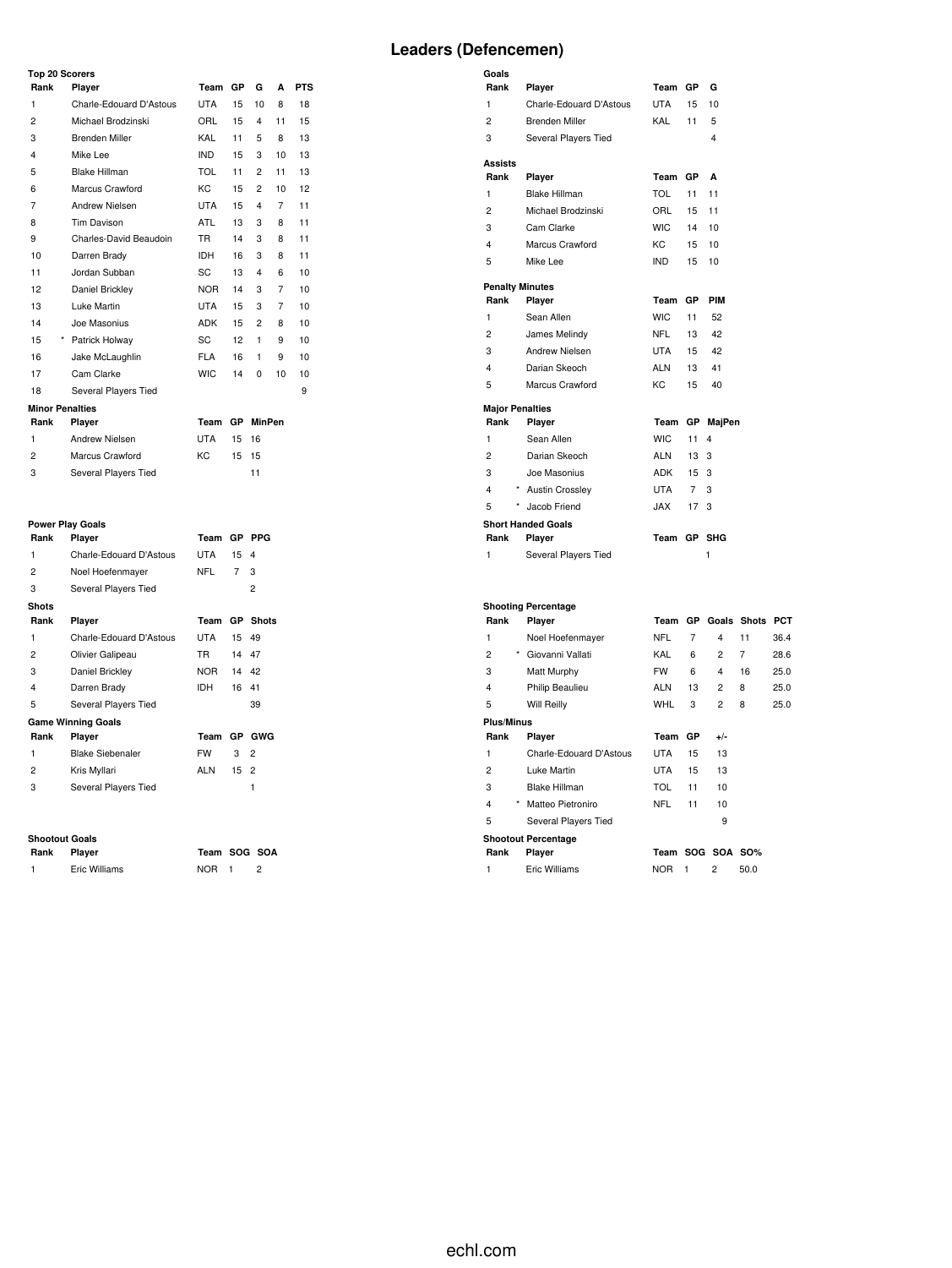### **Top 20 Scorers**

| <b>10p 20 Scorers</b>  |                         |            |           |               |    |            |  |  |  |
|------------------------|-------------------------|------------|-----------|---------------|----|------------|--|--|--|
| Rank                   | Player                  | Team       | GP        | G             | A  | <b>PTS</b> |  |  |  |
| 1                      | Charle-Edouard D'Astous | <b>UTA</b> | 15        | 10            | 8  | 18         |  |  |  |
| $\overline{c}$         | Michael Brodzinski      | ORL        | 15        | 4             | 11 | 15         |  |  |  |
| 3                      | Brenden Miller          | KAL        | 11        | 5             | 8  | 13         |  |  |  |
| 4                      | Mike Lee                | <b>IND</b> | 15        | 3             | 10 | 13         |  |  |  |
| 5                      | Blake Hillman           | <b>TOL</b> | 11        | 2             | 11 | 13         |  |  |  |
| 6                      | Marcus Crawford         | KC         | 15        | 2             | 10 | 12         |  |  |  |
| 7                      | Andrew Nielsen          | <b>UTA</b> | 15        | 4             | 7  | 11         |  |  |  |
| 8                      | Tim Davison             | ATL        | 13        | 3             | 8  | 11         |  |  |  |
| 9                      | Charles-David Beaudoin  | <b>TR</b>  | 14        | 3             | 8  | 11         |  |  |  |
| 10                     | Darren Brady            | <b>IDH</b> | 16        | 3             | 8  | 11         |  |  |  |
| 11                     | Jordan Subban           | SC         | 13        | 4             | 6  | 10         |  |  |  |
| 12                     | Daniel Brickley         | <b>NOR</b> | 14        | 3             | 7  | 10         |  |  |  |
| 13                     | Luke Martin             | <b>UTA</b> | 15        | 3             | 7  | 10         |  |  |  |
| 14                     | Joe Masonius            | <b>ADK</b> | 15        | 2             | 8  | 10         |  |  |  |
| 15<br>$\star$          | Patrick Holway          | SC         | 12        | 1             | 9  | 10         |  |  |  |
| 16                     | Jake McLaughlin         | <b>FLA</b> | 16        | 1             | 9  | 10         |  |  |  |
| 17                     | Cam Clarke              | <b>WIC</b> | 14        | $\Omega$      | 10 | 10         |  |  |  |
| 18                     | Several Players Tied    |            |           |               |    | 9          |  |  |  |
| <b>Minor Penalties</b> |                         |            |           |               |    |            |  |  |  |
| Rank                   | Player                  | Team       | <b>GP</b> | <b>MinPen</b> |    |            |  |  |  |

| 1              | Andrew Nielsen       | UTA | 15 16 |    |
|----------------|----------------------|-----|-------|----|
| $\overline{2}$ | Marcus Crawford      | KC. | 15 15 |    |
| -3             | Several Players Tied |     |       | 11 |

#### **Power Play Goals**

| Rank           | Player                    | Team       |    | GP PPG          |
|----------------|---------------------------|------------|----|-----------------|
| 1              | Charle-Edouard D'Astous   | UTA        | 15 | $\overline{4}$  |
| 2              | Noel Hoefenmayer          | NFL        | 7  | 3               |
| 3              | Several Players Tied      |            |    | 2               |
| <b>Shots</b>   |                           |            |    |                 |
| Rank           | Player                    | Team       |    | <b>GP</b> Shots |
| 1              | Charle-Edouard D'Astous   | <b>UTA</b> | 15 | 49              |
| 2              | Olivier Galipeau          | <b>TR</b>  | 14 | 47              |
| 3              | Daniel Brickley           | NOR.       | 14 | 42              |
| 4              | Darren Brady              | IDH        | 16 | 41              |
| 5              | Several Players Tied      |            |    | 39              |
|                | <b>Game Winning Goals</b> |            |    |                 |
| Rank           | Player                    | Team       |    | GP GWG          |
| 1              | <b>Blake Siebenaler</b>   | <b>FW</b>  | 3  | $\overline{2}$  |
| $\overline{c}$ | Kris Myllari              | <b>ALN</b> | 15 | $\overline{2}$  |
| 3              | Several Players Tied      |            |    | 1               |
|                |                           |            |    |                 |

**Rank Player Team SOG SOA** NOR 1 2

#### **Shootout Goals**

| Rank | Player        |
|------|---------------|
|      | Eric Williams |

| Goals                  |                            |            |                |                         |                |      |
|------------------------|----------------------------|------------|----------------|-------------------------|----------------|------|
| Rank                   | Player                     | Team       | GP             | G                       |                |      |
| 1                      | Charle-Edouard D'Astous    | <b>UTA</b> | 15             | 10                      |                |      |
| $\overline{2}$         | <b>Brenden Miller</b>      | KAL        | 11             | 5                       |                |      |
| 3                      | Several Players Tied       |            |                | 4                       |                |      |
| <b>Assists</b>         |                            |            |                |                         |                |      |
| Rank                   | Player                     | Team       | GР             | A                       |                |      |
| 1                      | <b>Blake Hillman</b>       | <b>TOL</b> | 11             | 11                      |                |      |
| $\overline{2}$         | Michael Brodzinski         | ORL        | 15             | 11                      |                |      |
| 3                      | Cam Clarke                 | <b>WIC</b> | 14             | 10                      |                |      |
| 4                      | Marcus Crawford            | KC         | 15             | 10                      |                |      |
| 5                      | Mike Lee                   | <b>IND</b> | 15             | 10                      |                |      |
| <b>Penalty Minutes</b> |                            |            |                |                         |                |      |
| Rank                   | Player                     | Team       | GP             | PIM                     |                |      |
| 1                      | Sean Allen                 | <b>WIC</b> | 11             | 52                      |                |      |
| 2                      | James Melindy              | <b>NFL</b> | 13             | 42                      |                |      |
| 3                      | Andrew Nielsen             | <b>UTA</b> | 15             | 42                      |                |      |
| 4                      | Darian Skeoch              | <b>ALN</b> | 13             | 41                      |                |      |
| 5                      | Marcus Crawford            | KC         | 15             | 40                      |                |      |
| <b>Major Penalties</b> |                            |            |                |                         |                |      |
| Rank                   | Player                     |            |                | Team GP MajPen          |                |      |
| 1                      | Sean Allen                 | <b>WIC</b> | 11             | 4                       |                |      |
| $\overline{c}$         | Darian Skeoch              | <b>ALN</b> | 13             | 3                       |                |      |
| 3                      | Joe Masonius               | <b>ADK</b> | 15             | 3                       |                |      |
| 4                      | <b>Austin Crossley</b>     | <b>UTA</b> | 7              | 3                       |                |      |
| 5                      | Jacob Friend               | <b>JAX</b> | 17             | 3                       |                |      |
|                        | <b>Short Handed Goals</b>  |            |                |                         |                |      |
| Rank                   | Player                     | Team GP    |                | <b>SHG</b>              |                |      |
| 1                      | Several Players Tied       |            |                | 1                       |                |      |
|                        |                            |            |                |                         |                |      |
|                        | <b>Shooting Percentage</b> |            |                |                         |                |      |
| Rank                   | Player                     |            |                | Team GP Goals Shots PCT |                |      |
| 1                      | Noel Hoefenmayer           | <b>NFL</b> | $\overline{7}$ | $\overline{\mathbf{4}}$ | 11             | 36.4 |
| $\overline{c}$         | * Giovanni Vallati         | KAL        | 6              | $\overline{2}$          | $\overline{7}$ | 28.6 |
| 3                      | Matt Murphy                | <b>FW</b>  | 6              | $\overline{\mathbf{4}}$ | 16             | 25.0 |
| 4                      | Philip Beaulieu            | <b>ALN</b> | 13             | $\overline{c}$          | 8              | 25.0 |
| 5                      | <b>Will Reilly</b>         | <b>WHL</b> | 3              | $\overline{c}$          | 8              | 25.0 |
| <b>Plus/Minus</b>      |                            |            |                |                         |                |      |
| Rank                   | Player                     | Team       | GP             | $+/-$                   |                |      |
| 1                      | Charle-Edouard D'Astous    | <b>UTA</b> | 15             | 13                      |                |      |
| $\overline{c}$         | Luke Martin                | <b>UTA</b> | 15             | 13                      |                |      |
| 3                      | <b>Blake Hillman</b>       | <b>TOL</b> | 11             | 10                      |                |      |

 \* Matteo Pietroniro NFL 11 10 Several Players Tied 9 **Shootout Percentage Rank Player Team SOG SOA SO%**

| Eric Williams | <b>NOR</b> | 50.0 |
|---------------|------------|------|
|               |            |      |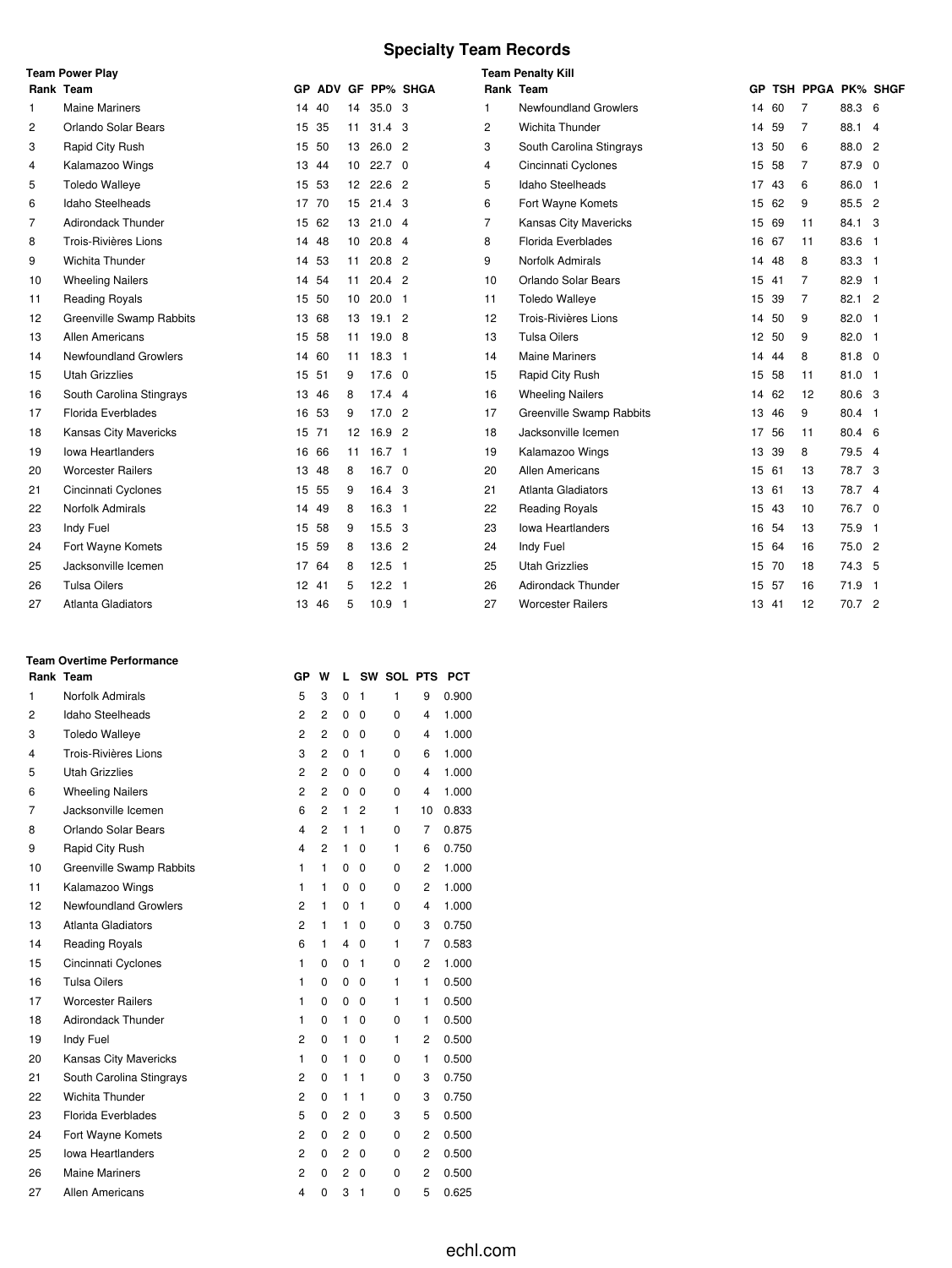# **Specialty Team Records**

|                | <b>Team Power Play</b>    |       | <b>Team Penalty Kill</b> |    |                   |                 |    |                                 |       |    |                   |          |  |  |
|----------------|---------------------------|-------|--------------------------|----|-------------------|-----------------|----|---------------------------------|-------|----|-------------------|----------|--|--|
|                | Rank Team                 | GP.   |                          |    |                   | ADV GF PP% SHGA |    | Rank Team                       | GP    |    | TSH PPGA PK% SHGF |          |  |  |
| 1              | <b>Maine Mariners</b>     | 14    | 40                       | 14 | 35.0 <sub>3</sub> |                 |    | <b>Newfoundland Growlers</b>    | 14    | 60 | 7                 | 88.3 6   |  |  |
| 2              | Orlando Solar Bears       | 15 35 |                          | 11 | $31.4 \quad 3$    |                 | 2  | Wichita Thunder                 | 14    | 59 | 7                 | 88.1 4   |  |  |
| 3              | Rapid City Rush           | 15 50 |                          | 13 | 26.02             |                 | 3  | South Carolina Stingrays        | 13 50 |    | 6                 | 88.0 2   |  |  |
| 4              | Kalamazoo Wings           | 13 44 |                          | 10 | $22.7\quad0$      |                 | 4  | Cincinnati Cyclones             | 15    | 58 | 7                 | 87.9 0   |  |  |
| 5              | <b>Toledo Walleye</b>     | 15 53 |                          |    | 12 22.6 2         |                 | 5  | Idaho Steelheads                | 17 43 |    | 6                 | 86.0 1   |  |  |
| 6              | Idaho Steelheads          | 17 70 |                          | 15 | 21.4 <sup>3</sup> |                 | 6  | Fort Wayne Komets               | 15 62 |    | 9                 | 85.5 2   |  |  |
| $\overline{7}$ | <b>Adirondack Thunder</b> | 15 62 |                          | 13 | 21.04             |                 | 7  | Kansas City Mavericks           | 15 69 |    | 11                | 84.1 3   |  |  |
| 8              | Trois-Rivières Lions      | 14 48 |                          | 10 | $20.8$ 4          |                 | 8  | <b>Florida Everblades</b>       | 16 67 |    | 11                | 83.6 1   |  |  |
| 9              | Wichita Thunder           | 14 53 |                          | 11 | $20.8$ 2          |                 | 9  | <b>Norfolk Admirals</b>         | 14    | 48 | 8                 | 83.3 1   |  |  |
| 10             | <b>Wheeling Nailers</b>   | 14 54 |                          | 11 | 20.4 <sup>2</sup> |                 | 10 | Orlando Solar Bears             | 15 41 |    | $\overline{7}$    | 82.9 1   |  |  |
| 11             | <b>Reading Royals</b>     | 15 50 |                          | 10 | $20.0$ 1          |                 | 11 | <b>Toledo Walleye</b>           | 15    | 39 | $\overline{7}$    | 82.1 2   |  |  |
| 12             | Greenville Swamp Rabbits  | 13 68 |                          | 13 | 19.12             |                 | 12 | Trois-Rivières Lions            | 14    | 50 | 9                 | 82.0 1   |  |  |
| 13             | Allen Americans           | 15 58 |                          | 11 | 19.08             |                 | 13 | <b>Tulsa Oilers</b>             | 12 50 |    | 9                 | 82.0 1   |  |  |
| 14             | Newfoundland Growlers     | 14 60 |                          | 11 | $18.3$ 1          |                 | 14 | <b>Maine Mariners</b>           | 14    | 44 | 8                 | $81.8$ 0 |  |  |
| 15             | <b>Utah Grizzlies</b>     | 15 51 |                          | 9  | $17.6 \quad 0$    |                 | 15 | Rapid City Rush                 | 15 58 |    | 11                | $81.0$ 1 |  |  |
| 16             | South Carolina Stingrays  | 13 46 |                          | 8  | $17.4$ 4          |                 | 16 | <b>Wheeling Nailers</b>         | 14 62 |    | 12                | 80.6 3   |  |  |
| 17             | Florida Everblades        |       | 16 53                    | 9  | 17.02             |                 | 17 | <b>Greenville Swamp Rabbits</b> | 13    | 46 | 9                 | 80.4 1   |  |  |
| 18             | Kansas City Mavericks     | 15 71 |                          | 12 | 16.9 2            |                 | 18 | Jacksonville Icemen             | 17 56 |    | 11                | 80.4 6   |  |  |
| 19             | <b>Iowa Heartlanders</b>  |       | 16 66                    | 11 | 16.7 <sub>1</sub> |                 | 19 | Kalamazoo Wings                 | 13    | 39 | 8                 | 79.5 4   |  |  |
| 20             | <b>Worcester Railers</b>  | 13 48 |                          | 8  | $16.7 \quad 0$    |                 | 20 | Allen Americans                 | 15 61 |    | 13                | 78.7 3   |  |  |
| 21             | Cincinnati Cyclones       | 15 55 |                          | 9  | 16.4 3            |                 | 21 | <b>Atlanta Gladiators</b>       | 13 61 |    | 13                | 78.7 4   |  |  |
| 22             | Norfolk Admirals          | 14 49 |                          | 8  | 16.3 <sub>1</sub> |                 | 22 | <b>Reading Royals</b>           | 15 43 |    | 10                | 76.7 0   |  |  |
| 23             | Indy Fuel                 |       | 15 58                    | 9  | 15.5 3            |                 | 23 | <b>Iowa Heartlanders</b>        | 16 54 |    | 13                | 75.9 1   |  |  |
| 24             | Fort Wayne Komets         | 15 59 |                          | 8  | 13.6 2            |                 | 24 | Indy Fuel                       | 15 64 |    | 16                | 75.0 2   |  |  |
| 25             | Jacksonville Icemen       | 17 64 |                          | 8  | $12.5$ 1          |                 | 25 | <b>Utah Grizzlies</b>           | 15    | 70 | 18                | 74.3 5   |  |  |
| 26             | <b>Tulsa Oilers</b>       | 12 41 |                          | 5  | $12.2$ 1          |                 | 26 | <b>Adirondack Thunder</b>       | 15 57 |    | 16                | 71.9 1   |  |  |
| 27             | Atlanta Gladiators        | 13 46 |                          | 5  | 10.9 <sub>1</sub> |                 | 27 | <b>Worcester Railers</b>        | 13 41 |    | 12                | 70.7 2   |  |  |

### **Team Overtime Performance**

|    | Rank Team                    | GР                      | W              | L              |              | SW SOL PTS |                | <b>PCT</b> |
|----|------------------------------|-------------------------|----------------|----------------|--------------|------------|----------------|------------|
| 1  | Norfolk Admirals             | 5                       | 3              | 0              | $\mathbf{1}$ | 1          | 9              | 0.900      |
| 2  | Idaho Steelheads             | 2                       | 2              | 0              | $\Omega$     | 0          | $\overline{4}$ | 1.000      |
| 3  | <b>Toledo Walleye</b>        | $\overline{c}$          | 2              | 0              | 0            | 0          | $\overline{4}$ | 1.000      |
| 4  | Trois-Rivières Lions         | 3                       | 2              | 0              | 1            | 0          | 6              | 1.000      |
| 5  | <b>Utah Grizzlies</b>        | 2                       | $\overline{2}$ | 0              | 0            | 0          | $\overline{4}$ | 1.000      |
| 6  | <b>Wheeling Nailers</b>      | $\overline{c}$          | $\overline{2}$ | 0              | 0            | 0          | $\overline{4}$ | 1.000      |
| 7  | Jacksonville Icemen          | 6                       | $\overline{2}$ | 1              | 2            | 1          | 10             | 0.833      |
| 8  | Orlando Solar Bears          | $\overline{\mathbf{4}}$ | $\overline{2}$ | 1              | 1            | 0          | $\overline{7}$ | 0.875      |
| 9  | Rapid City Rush              | $\overline{\mathbf{4}}$ | $\overline{2}$ | $\mathbf{1}$   | 0            | 1          | 6              | 0.750      |
| 10 | Greenville Swamp Rabbits     | 1                       | $\mathbf{1}$   | 0              | $\mathbf 0$  | 0          | 2              | 1.000      |
| 11 | Kalamazoo Wings              | 1                       | 1              | 0              | 0            | 0          | $\overline{2}$ | 1.000      |
| 12 | <b>Newfoundland Growlers</b> | 2                       | 1              | 0              | $\mathbf{1}$ | 0          | $\overline{4}$ | 1.000      |
| 13 | Atlanta Gladiators           | $\overline{c}$          | $\mathbf{1}$   | 1              | 0            | 0          | 3              | 0.750      |
| 14 | <b>Reading Royals</b>        | 6                       | 1              | 4              | 0            | 1          | 7              | 0.583      |
| 15 | Cincinnati Cyclones          | 1                       | 0              | 0              | 1            | 0          | $\overline{2}$ | 1.000      |
| 16 | <b>Tulsa Oilers</b>          | 1                       | 0              | 0              | 0            | 1          | 1              | 0.500      |
| 17 | <b>Worcester Railers</b>     | 1                       | 0              | 0              | 0            | 1          | 1              | 0.500      |
| 18 | <b>Adirondack Thunder</b>    | 1                       | 0              | 1              | 0            | 0          | 1              | 0.500      |
| 19 | Indy Fuel                    | 2                       | 0              | 1              | 0            | 1          | 2              | 0.500      |
| 20 | Kansas City Mavericks        | 1                       | 0              | $\mathbf{1}$   | 0            | 0          | 1              | 0.500      |
| 21 | South Carolina Stingrays     | 2                       | 0              | 1              | 1            | 0          | 3              | 0.750      |
| 22 | Wichita Thunder              | $\overline{c}$          | 0              | 1              | 1            | 0          | 3              | 0.750      |
| 23 | Florida Everblades           | 5                       | 0              | 2              | 0            | 3          | 5              | 0.500      |
| 24 | Fort Wayne Komets            | $\overline{c}$          | 0              | 2              | 0            | 0          | 2              | 0.500      |
| 25 | <b>Iowa Heartlanders</b>     | $\overline{c}$          | 0              | $\overline{2}$ | 0            | 0          | 2              | 0.500      |
| 26 | <b>Maine Mariners</b>        | 2                       | 0              | 2              | 0            | 0          | $\overline{2}$ | 0.500      |
| 27 | <b>Allen Americans</b>       | $\overline{\mathbf{4}}$ | 0              | 3              | 1            | 0          | 5              | 0.625      |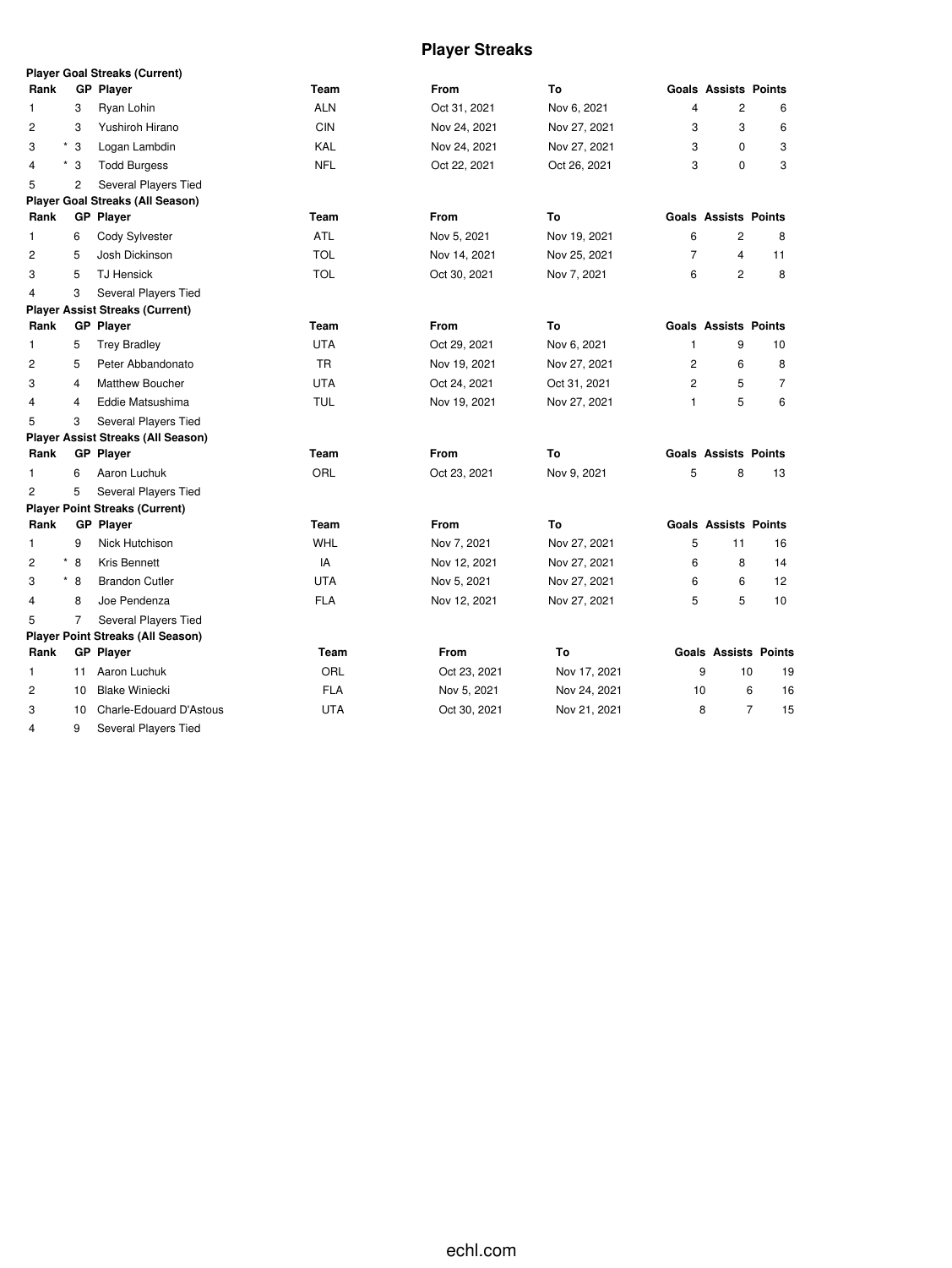# **Player Streaks**

|                |                | <b>Player Goal Streaks (Current)</b>      |            |              |              |                |                             |                      |
|----------------|----------------|-------------------------------------------|------------|--------------|--------------|----------------|-----------------------------|----------------------|
| Rank           |                | <b>GP Player</b>                          | Team       | From         | To           |                | <b>Goals Assists Points</b> |                      |
| 1              | 3              | Ryan Lohin                                | <b>ALN</b> | Oct 31, 2021 | Nov 6, 2021  | 4              | $\overline{c}$              | 6                    |
| 2              | 3              | Yushiroh Hirano                           | <b>CIN</b> | Nov 24, 2021 | Nov 27, 2021 | 3              | 3                           | 6                    |
| 3              | $*3$           | Logan Lambdin                             | KAL        | Nov 24, 2021 | Nov 27, 2021 | 3              | 0                           | 3                    |
| $^\star$<br>4  | 3              | <b>Todd Burgess</b>                       | <b>NFL</b> | Oct 22, 2021 | Oct 26, 2021 | 3              | 0                           | 3                    |
| 5              | $\overline{c}$ | Several Players Tied                      |            |              |              |                |                             |                      |
|                |                | <b>Player Goal Streaks (All Season)</b>   |            |              |              |                |                             |                      |
| Rank           |                | <b>GP Player</b>                          | Team       | From         | To           |                | <b>Goals Assists Points</b> |                      |
| 1              | 6              | Cody Sylvester                            | <b>ATL</b> | Nov 5, 2021  | Nov 19, 2021 | 6              | 2                           | 8                    |
| $\overline{2}$ | 5              | Josh Dickinson                            | <b>TOL</b> | Nov 14, 2021 | Nov 25, 2021 | $\overline{7}$ | 4                           | 11                   |
| 3              | 5              | <b>TJ Hensick</b>                         | <b>TOL</b> | Oct 30, 2021 | Nov 7, 2021  | 6              | $\overline{c}$              | 8                    |
| 4              | 3              | Several Players Tied                      |            |              |              |                |                             |                      |
|                |                | <b>Player Assist Streaks (Current)</b>    |            |              |              |                |                             |                      |
| Rank           |                | <b>GP Player</b>                          | Team       | <b>From</b>  | To           |                | <b>Goals Assists Points</b> |                      |
| 1              | 5              | <b>Trey Bradley</b>                       | <b>UTA</b> | Oct 29, 2021 | Nov 6, 2021  | 1              | 9                           | 10                   |
| 2              | 5              | Peter Abbandonato                         | TR         | Nov 19, 2021 | Nov 27, 2021 | $\overline{2}$ | 6                           | 8                    |
| 3              | 4              | <b>Matthew Boucher</b>                    | <b>UTA</b> | Oct 24, 2021 | Oct 31, 2021 | $\overline{2}$ | 5                           | 7                    |
| 4              | 4              | Eddie Matsushima                          | <b>TUL</b> | Nov 19, 2021 | Nov 27, 2021 | 1              | 5                           | 6                    |
| 5              | 3              | Several Players Tied                      |            |              |              |                |                             |                      |
|                |                | <b>Player Assist Streaks (All Season)</b> |            |              |              |                |                             |                      |
| Rank           |                | <b>GP</b> Player                          | Team       | <b>From</b>  | To           |                | <b>Goals Assists Points</b> |                      |
| 1              | 6              | Aaron Luchuk                              | ORL        | Oct 23, 2021 | Nov 9, 2021  | 5              | 8                           | 13                   |
| $\overline{c}$ | 5              | Several Players Tied                      |            |              |              |                |                             |                      |
|                |                | <b>Player Point Streaks (Current)</b>     |            |              |              |                |                             |                      |
| Rank           |                | <b>GP Player</b>                          | Team       | <b>From</b>  | To           |                | <b>Goals Assists Points</b> |                      |
| 1              | 9              | Nick Hutchison                            | <b>WHL</b> | Nov 7, 2021  | Nov 27, 2021 | 5              | 11                          | 16                   |
| 2              | $*$ 8          | Kris Bennett                              | IA         | Nov 12, 2021 | Nov 27, 2021 | 6              | 8                           | 14                   |
| 3              | $*$ 8          | <b>Brandon Cutler</b>                     | <b>UTA</b> | Nov 5, 2021  | Nov 27, 2021 | 6              | 6                           | 12                   |
| 4              | 8              | Joe Pendenza                              | <b>FLA</b> | Nov 12, 2021 | Nov 27, 2021 | 5              | 5                           | 10                   |
| 5              | $\overline{7}$ | Several Players Tied                      |            |              |              |                |                             |                      |
|                |                | <b>Player Point Streaks (All Season)</b>  |            |              |              |                |                             |                      |
| Rank           |                | <b>GP</b> Player                          | Team       | <b>From</b>  | To           |                | <b>Goals Assists Points</b> |                      |
| 1              | 11             | Aaron Luchuk                              | ORL        | Oct 23, 2021 | Nov 17, 2021 | 9              | 10                          | 19                   |
| 2              | 10             | <b>Blake Winiecki</b>                     | <b>FLA</b> | Nov 5, 2021  | Nov 24, 2021 | 10             |                             | 6<br>16              |
| 3              | 10             | <b>Charle-Edouard D'Astous</b>            | <b>UTA</b> | Oct 30, 2021 | Nov 21, 2021 | 8              |                             | $\overline{7}$<br>15 |
| 4              | 9              | Several Players Tied                      |            |              |              |                |                             |                      |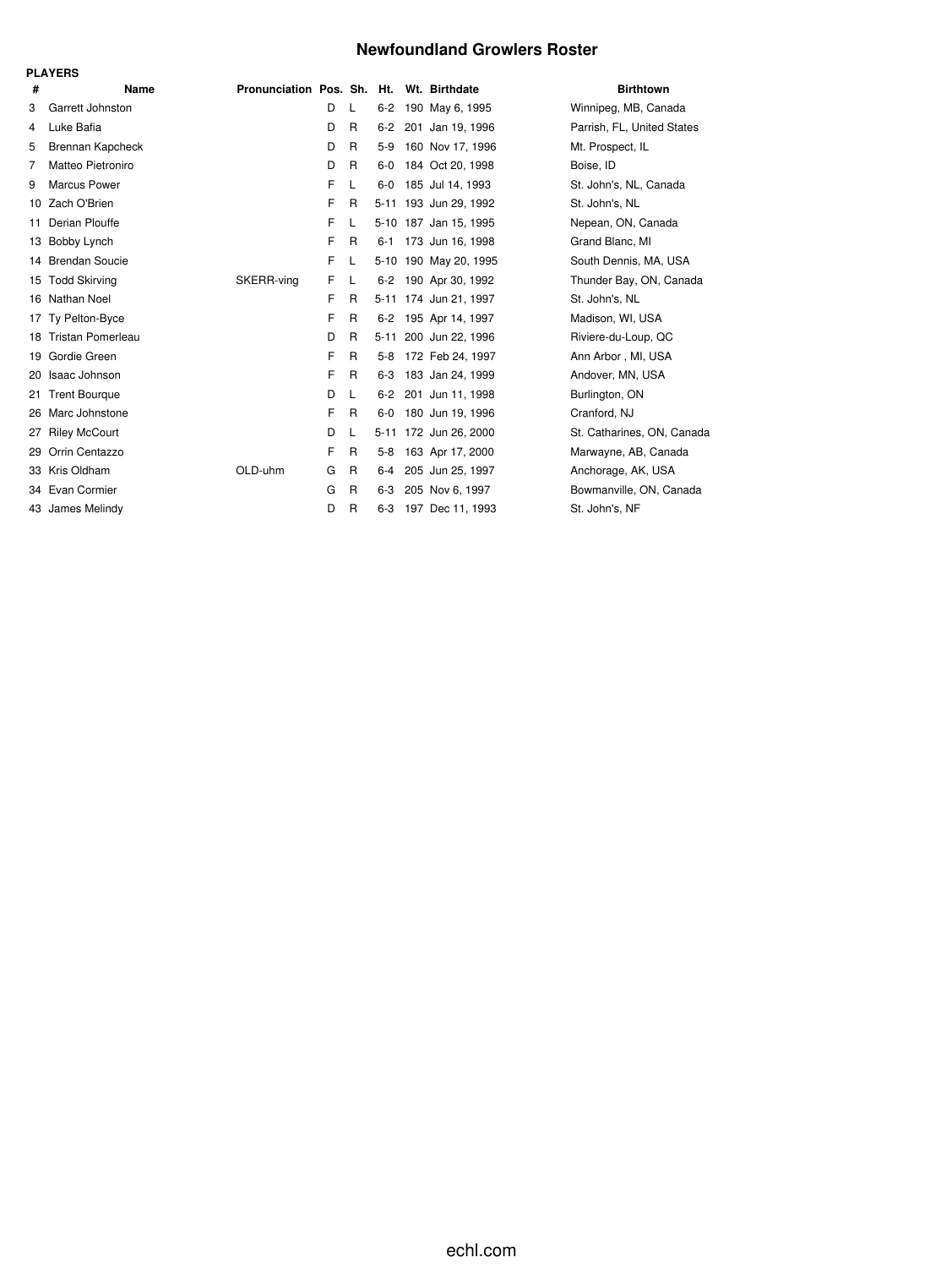### **Newfoundland Growlers Roster**

|    | <b>PLAYERS</b>        |                                          |   |   |         |                       |                            |
|----|-----------------------|------------------------------------------|---|---|---------|-----------------------|----------------------------|
| #  | Name                  | Pronunciation Pos. Sh. Ht. Wt. Birthdate |   |   |         |                       | <b>Birthtown</b>           |
| 3  | Garrett Johnston      |                                          | D | L | $6 - 2$ | 190 May 6, 1995       | Winnipeg, MB, Canada       |
| 4  | Luke Bafia            |                                          | D | R | 6-2     | 201 Jan 19, 1996      | Parrish, FL, United States |
| 5  | Brennan Kapcheck      |                                          | D | R | $5-9$   | 160 Nov 17, 1996      | Mt. Prospect, IL           |
| 7  | Matteo Pietroniro     |                                          | D | R | $6-0$   | 184 Oct 20, 1998      | Boise, ID                  |
| 9  | <b>Marcus Power</b>   |                                          | F | L | $6-0$   | 185 Jul 14, 1993      | St. John's, NL, Canada     |
| 10 | Zach O'Brien          |                                          | F | R |         | 5-11 193 Jun 29, 1992 | St. John's, NL             |
| 11 | Derian Plouffe        |                                          | F | L |         | 5-10 187 Jan 15, 1995 | Nepean, ON, Canada         |
|    | 13 Bobby Lynch        |                                          | F | R | $6 - 1$ | 173 Jun 16, 1998      | Grand Blanc, MI            |
| 14 | <b>Brendan Soucie</b> |                                          | F | L |         | 5-10 190 May 20, 1995 | South Dennis, MA, USA      |
| 15 | <b>Todd Skirving</b>  | SKERR-ving                               | F | L | $6 - 2$ | 190 Apr 30, 1992      | Thunder Bay, ON, Canada    |
|    | 16 Nathan Noel        |                                          | F | R |         | 5-11 174 Jun 21, 1997 | St. John's, NL             |
| 17 | Ty Pelton-Byce        |                                          | F | R | $6 - 2$ | 195 Apr 14, 1997      | Madison, WI, USA           |
|    | 18 Tristan Pomerleau  |                                          | D | R |         | 5-11 200 Jun 22, 1996 | Riviere-du-Loup, QC        |
|    | 19 Gordie Green       |                                          | F | R | $5-8$   | 172 Feb 24, 1997      | Ann Arbor, MI, USA         |
| 20 | Isaac Johnson         |                                          | F | R | 6-3     | 183 Jan 24, 1999      | Andover, MN, USA           |
| 21 | <b>Trent Bourgue</b>  |                                          | D | L | $6-2$   | 201 Jun 11, 1998      | Burlington, ON             |
| 26 | Marc Johnstone        |                                          | F | R | $6-0$   | 180 Jun 19, 1996      | Cranford, NJ               |
| 27 | <b>Riley McCourt</b>  |                                          | D | L |         | 5-11 172 Jun 26, 2000 | St. Catharines, ON, Canada |
| 29 | Orrin Centazzo        |                                          | F | R | $5-8$   | 163 Apr 17, 2000      | Marwayne, AB, Canada       |
|    | 33 Kris Oldham        | OLD-uhm                                  | G | R | $6 - 4$ | 205 Jun 25, 1997      | Anchorage, AK, USA         |
|    | 34 Evan Cormier       |                                          | G | R | $6 - 3$ | 205 Nov 6, 1997       | Bowmanville, ON, Canada    |
|    | 43 James Melindy      |                                          | D | R | $6 - 3$ | 197 Dec 11, 1993      | St. John's, NF             |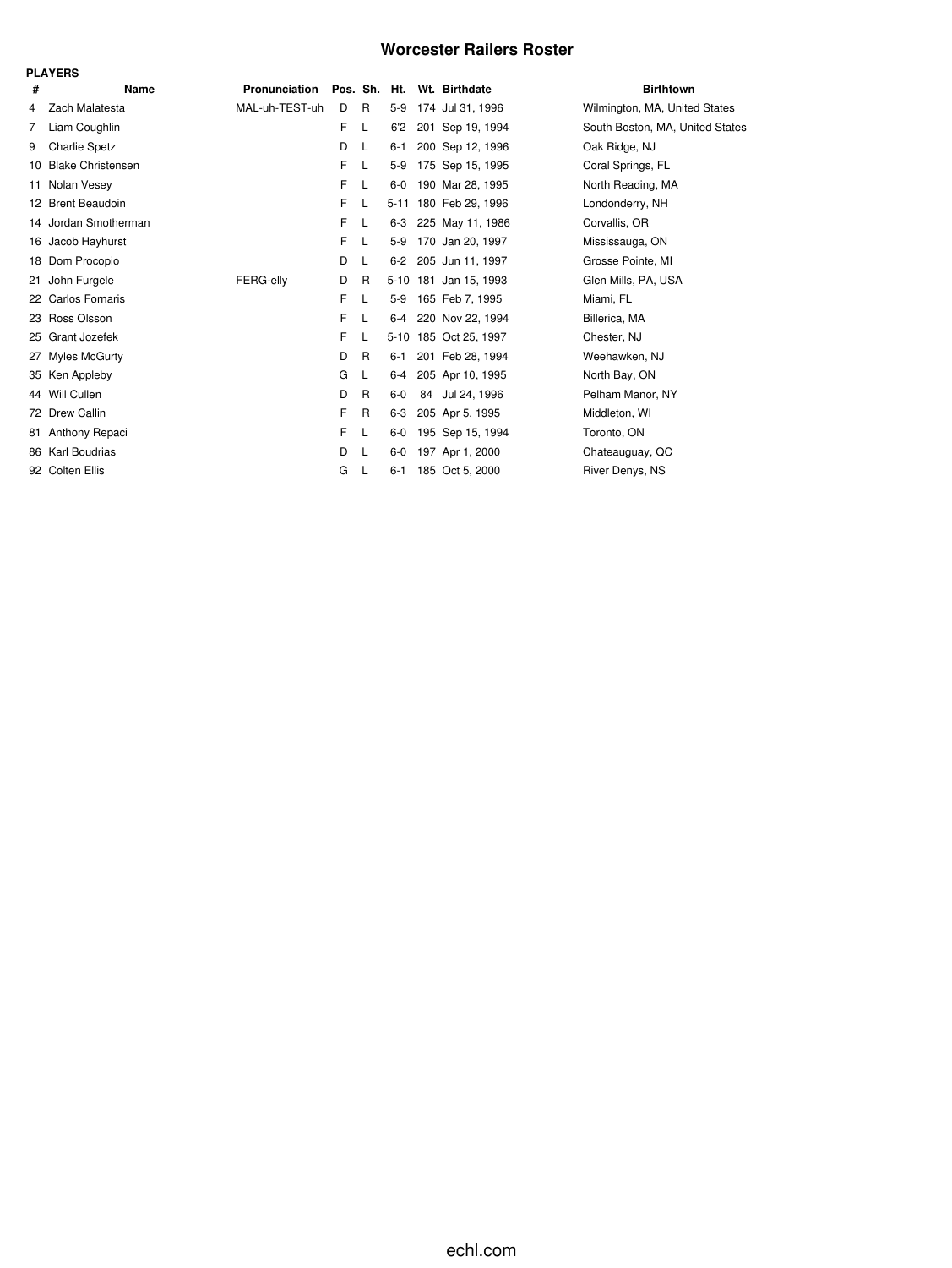### **Worcester Railers Roster**

|    | <b>PLAYERS</b>           |                |   |              |         |                            |                                 |
|----|--------------------------|----------------|---|--------------|---------|----------------------------|---------------------------------|
| #  | Name                     | Pronunciation  |   |              |         | Pos. Sh. Ht. Wt. Birthdate | <b>Birthtown</b>                |
| 4  | Zach Malatesta           | MAL-uh-TEST-uh | D | R            | $5-9$   | 174 Jul 31, 1996           | Wilmington, MA, United States   |
| 7  | Liam Coughlin            |                | F | L            | 6'2     | 201 Sep 19, 1994           | South Boston, MA, United States |
| 9  | <b>Charlie Spetz</b>     |                | D | L            | 6-1     | 200 Sep 12, 1996           | Oak Ridge, NJ                   |
| 10 | <b>Blake Christensen</b> |                | F | L            | $5-9$   | 175 Sep 15, 1995           | Coral Springs, FL               |
| 11 | Nolan Vesey              |                | F | L            | $6-0$   | 190 Mar 28, 1995           | North Reading, MA               |
|    | 12 Brent Beaudoin        |                | F | L            |         | 5-11 180 Feb 29, 1996      | Londonderry, NH                 |
|    | 14 Jordan Smotherman     |                | F | L            | 6-3     | 225 May 11, 1986           | Corvallis, OR                   |
|    | 16 Jacob Hayhurst        |                | F | L            | $5-9$   | 170 Jan 20, 1997           | Mississauga, ON                 |
|    | 18 Dom Procopio          |                | D | L            | $6 - 2$ | 205 Jun 11, 1997           | Grosse Pointe, MI               |
| 21 | John Furgele             | FERG-elly      | D | R            |         | 5-10 181 Jan 15, 1993      | Glen Mills, PA, USA             |
|    | 22 Carlos Fornaris       |                | F | L            | 5-9     | 165 Feb 7, 1995            | Miami, FL                       |
|    | 23 Ross Olsson           |                | F | L            | $6-4$   | 220 Nov 22, 1994           | Billerica, MA                   |
|    | 25 Grant Jozefek         |                | F |              |         | 5-10 185 Oct 25, 1997      | Chester, NJ                     |
| 27 | <b>Myles McGurty</b>     |                | D | $\mathsf{R}$ | $6 - 1$ | 201 Feb 28, 1994           | Weehawken, NJ                   |
| 35 | Ken Appleby              |                | G | L            | $6-4$   | 205 Apr 10, 1995           | North Bay, ON                   |
|    | 44 Will Cullen           |                | D | $\mathsf{R}$ | $6-0$   | 84 Jul 24, 1996            | Pelham Manor, NY                |
|    | 72 Drew Callin           |                | F | R            | 6-3     | 205 Apr 5, 1995            | Middleton, WI                   |
| 81 | Anthony Repaci           |                | F | L            | 6-0     | 195 Sep 15, 1994           | Toronto, ON                     |
|    | 86 Karl Boudrias         |                | D | <b>L</b>     | $6-0$   | 197 Apr 1, 2000            | Chateauguay, QC                 |
|    | 92 Colten Ellis          |                | G | -L           | 6-1     | 185 Oct 5, 2000            | River Denys, NS                 |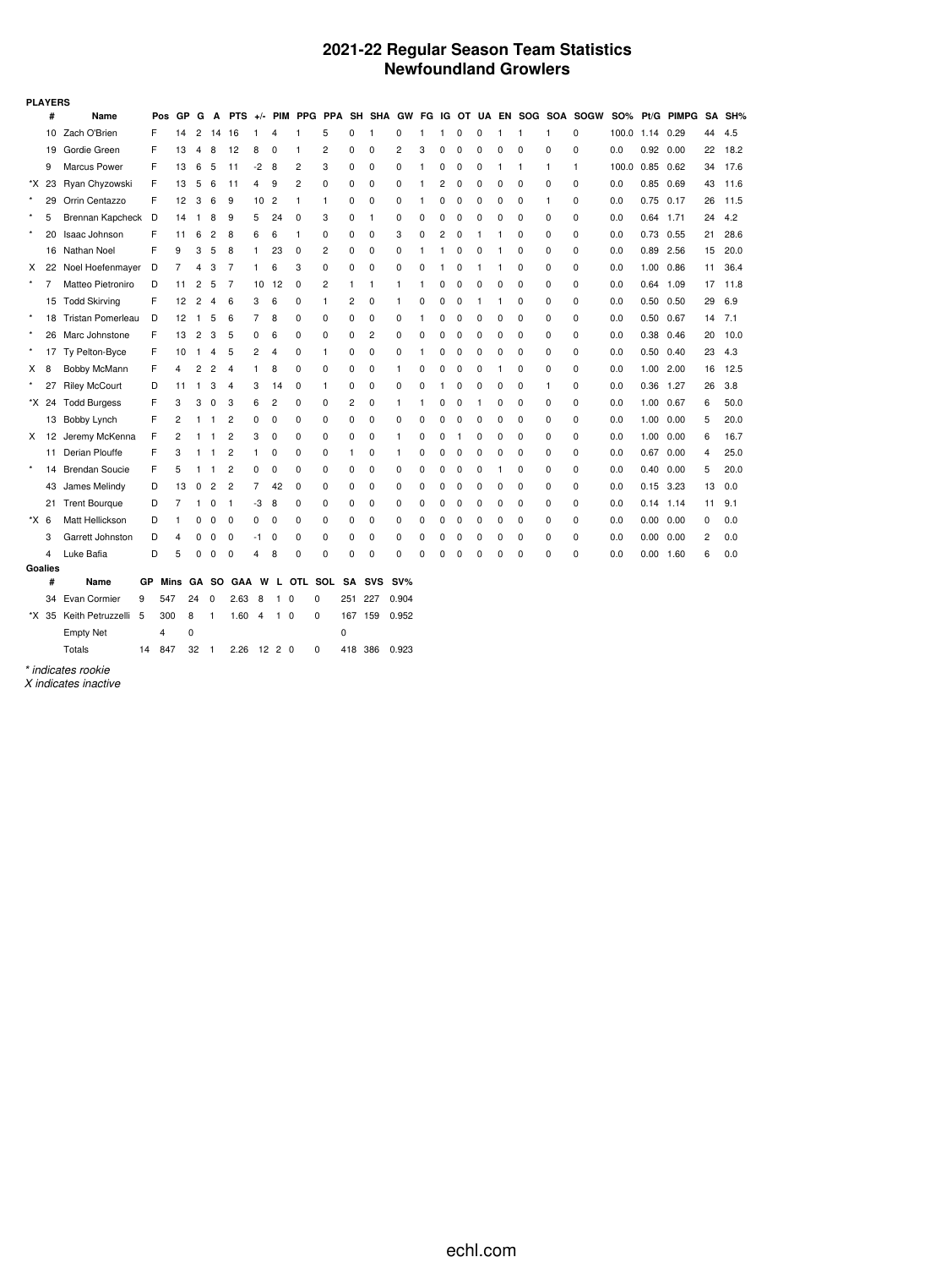### **2021-22 Regular Season Team Statistics Newfoundland Growlers**

|         | <b>PLAYERS</b> |                         |    |      |           |                |                |                |       |                |            |                |          |              |        |             |   |   |          |          |          |   |                             |            |      |            |                |        |
|---------|----------------|-------------------------|----|------|-----------|----------------|----------------|----------------|-------|----------------|------------|----------------|----------|--------------|--------|-------------|---|---|----------|----------|----------|---|-----------------------------|------------|------|------------|----------------|--------|
|         | #              | Name                    |    | Pos  | <b>GP</b> | G              | A              | <b>PTS</b>     | $+/-$ | <b>PIM</b>     | <b>PPG</b> | <b>PPA</b>     |          | SH SHA GW    |        |             |   |   |          |          |          |   | FG IG OT UA EN SOG SOA SOGW | <b>SO%</b> |      | Pt/G PIMPG |                | SA SH% |
|         | 10             | Zach O'Brien            | F  |      | 14        | 2              | 14             | 16             | 1     | 4              | 1          | 5              | 0        | $\mathbf{1}$ | 0      | 1           | 1 | 0 | 0        | 1        | 1        | 1 | 0                           | 100.0      | 1.14 | 0.29       | 44             | 4.5    |
|         | 19             | Gordie Green            | F  |      | 13        | 4              | 8              | 12             | 8     | 0              | 1          | 2              | 0        | 0            | 2      | 3           | 0 | 0 | 0        | 0        | 0        | 0 | 0                           | 0.0        | 0.92 | 0.00       | 22             | 18.2   |
|         | 9              | Marcus Power            | F  |      | 13        | 6              | 5              | 11             | -2    | 8              | 2          | 3              | 0        | 0            | 0      | 1           | 0 | 0 | 0        | 1        | 1        | 1 | 1                           | 100.0      | 0.85 | 0.62       | 34             | 17.6   |
|         | *X 23          | Ryan Chyzowski          | F  |      | 13        | 5              | 6              | 11             | 4     | 9              | 2          | 0              | $\Omega$ | 0            | 0      | 1           | 2 | 0 | $\Omega$ | $\Omega$ | $\Omega$ | 0 | $\Omega$                    | 0.0        | 0.85 | 0.69       | 43             | 11.6   |
| $\star$ | 29             | Orrin Centazzo          | F  |      | 12        | 3              | 6              | 9              | 10    | $\overline{c}$ | 1          | $\mathbf{1}$   | 0        | 0            | 0      | 1           | 0 | 0 | 0        | 0        | 0        | 1 | 0                           | 0.0        | 0.75 | 0.17       | 26             | 11.5   |
|         | 5              | Brennan Kapcheck D      |    |      | 14        | 1              | 8              | 9              | 5     | 24             | 0          | 3              | 0        | $\mathbf{1}$ | 0      | 0           | 0 | 0 | 0        | 0        | 0        | 0 | 0                           | 0.0        | 0.64 | 1.71       | 24             | 4.2    |
| $\star$ | 20             | Isaac Johnson           | F  |      | 11        | 6              | 2              | 8              | 6     | 6              | 1          | 0              | 0        | 0            | 3      | 0           | 2 | 0 | 1        | 1        | $\Omega$ | 0 | 0                           | 0.0        | 0.73 | 0.55       | 21             | 28.6   |
|         |                | 16 Nathan Noel          | F  |      | 9         | 3              | 5              | 8              | 1     | 23             | 0          | $\overline{2}$ | 0        | 0            | 0      | 1           | 1 | 0 | 0        | 1        | 0        | 0 | 0                           | 0.0        | 0.89 | 2.56       | 15             | 20.0   |
| X.      | 22             | Noel Hoefenmayer        | D  |      | 7         | 4              | 3              | 7              | 1     | 6              | 3          | 0              | 0        | $\mathbf 0$  | 0      | 0           | 1 | 0 | 1        | 1        | 0        | 0 | 0                           | 0.0        | 1.00 | 0.86       | 11             | 36.4   |
| $\star$ | 7              | Matteo Pietroniro       | D  |      | 11        | $\overline{c}$ | 5              | 7              | 10    | 12             | 0          | $\overline{2}$ | 1        | 1            | 1      | 1           | 0 | 0 | 0        | 0        | $\Omega$ | 0 | 0                           | 0.0        | 0.64 | 1.09       | 17             | 11.8   |
|         |                | 15 Todd Skirving        | F  |      | 12        | 2              | 4              | 6              | 3     | 6              | 0          | $\mathbf{1}$   | 2        | $\mathbf 0$  | 1      | 0           | 0 | 0 | 1        | 1        | 0        | 0 | 0                           | 0.0        | 0.50 | 0.50       | 29             | 6.9    |
| $\star$ | 18             | Tristan Pomerleau       | D  |      | 12        | 1              | 5              | 6              | 7     | 8              | 0          | 0              | 0        | 0            | 0      | 1           | 0 | 0 | 0        | 0        | 0        | 0 | 0                           | 0.0        | 0.50 | 0.67       | 14             | 7.1    |
| $\star$ |                | 26 Marc Johnstone       | F  |      | 13        | 2              | 3              | 5              | 0     | 6              | 0          | 0              | 0        | 2            | 0      | 0           | 0 | 0 | 0        | 0        | 0        | 0 | 0                           | 0.0        | 0.38 | 0.46       | 20             | 10.0   |
| $\star$ | 17             | Ty Pelton-Byce          | F  |      | 10        | $\mathbf{1}$   | 4              | 5              | 2     | 4              | 0          | $\mathbf{1}$   | 0        | 0            | 0      | 1           | 0 | 0 | 0        | 0        | 0        | 0 | 0                           | 0.0        | 0.50 | 0.40       | 23             | 4.3    |
| X       | 8              | Bobby McMann            | F  |      | 4         | 2              | $\overline{2}$ | 4              | 1     | 8              | 0          | 0              | 0        | 0            | 1      | 0           | 0 | 0 | 0        | 1        | $\Omega$ | 0 | 0                           | 0.0        | 1.00 | 2.00       | 16             | 12.5   |
|         | 27             | <b>Riley McCourt</b>    | D  |      | 11        | 1              | 3              | 4              | 3     | 14             | 0          | $\mathbf{1}$   | 0        | $\mathbf 0$  | 0      | 0           | 1 | 0 | 0        | 0        | 0        | 1 | 0                           | 0.0        | 0.36 | 1.27       | 26             | 3.8    |
|         | *X 24          | <b>Todd Burgess</b>     | F  |      | 3         | 3              | 0              | 3              | 6     | 2              | 0          | 0              | 2        | 0            | 1      | -1          | 0 | 0 | 1        | $\Omega$ | 0        | 0 | 0                           | 0.0        | 1.00 | 0.67       | 6              | 50.0   |
|         |                | 13 Bobby Lynch          | F  |      | 2         | 1              | 1              | 2              | 0     | 0              | 0          | 0              | 0        | 0            | 0      | 0           | 0 | 0 | 0        | 0        | $\Omega$ | 0 | 0                           | 0.0        | 1.00 | 0.00       | 5              | 20.0   |
|         | X 12           | Jeremy McKenna          | F  |      | 2         | 1              | 1              | $\overline{c}$ | 3     | 0              | 0          | 0              | 0        | 0            | 1      | 0           | 0 | 1 | 0        | 0        | 0        | 0 | 0                           | 0.0        | 1.00 | 0.00       | 6              | 16.7   |
|         |                | 11 Derian Plouffe       | F  |      | 3         | 1              | 1              | $\overline{c}$ | 1.    | 0              | $\Omega$   | $\mathbf 0$    | 1        | 0            | 1      | 0           | 0 | 0 | 0        | 0        | $\Omega$ | 0 | 0                           | 0.0        | 0.67 | 0.00       | 4              | 25.0   |
| $\star$ | 14             | <b>Brendan Soucie</b>   | F  |      | 5         | 1              | 1              | 2              | 0     | 0              | 0          | 0              | 0        | $\mathbf 0$  | 0      | $\mathbf 0$ | 0 | 0 | 0        | 1        | 0        | 0 | 0                           | 0.0        | 0.40 | 0.00       | 5              | 20.0   |
|         | 43             | James Melindy           | D  |      | 13        | 0              | 2              | 2              | 7     | 42             | 0          | 0              | 0        | 0            | 0      | 0           | 0 | 0 | 0        | $\Omega$ | 0        | 0 | 0                           | 0.0        | 0.15 | 3.23       | 13             | 0.0    |
|         | 21             | <b>Trent Bourque</b>    | D  |      | 7         | 1              | 0              | -1             | -3    | 8              | 0          | 0              | 0        | 0            | 0      | 0           | 0 | 0 | 0        | 0        | 0        | 0 | 0                           | 0.0        | 0.14 | 1.14       | 11             | 9.1    |
| *X 6    |                | Matt Hellickson         | D  |      |           | 0              | 0              | 0              | 0     | 0              | 0          | 0              | 0        | 0            | 0      | 0           | 0 | 0 | 0        | 0        | 0        | 0 | 0                           | 0.0        | 0.00 | 0.00       | 0              | 0.0    |
|         | 3              | Garrett Johnston        | D  |      | 4         | 0              | 0              | 0              | -1    | 0              | 0          | 0              | 0        | 0            | 0      | 0           | 0 | 0 | 0        | 0        | 0        | 0 | 0                           | 0.0        | 0.00 | 0.00       | $\overline{2}$ | 0.0    |
|         | 4              | Luke Bafia              | D  |      | 5         | 0              | 0              | $\Omega$       | 4     | 8              | $\Omega$   | 0              | 0        | $\mathbf 0$  | 0      | $\mathbf C$ | 0 | 0 | $\Omega$ | $\Omega$ | $\Omega$ | 0 | 0                           | 0.0        | 0.00 | 1.60       | 6              | 0.0    |
|         | Goalies        |                         |    |      |           |                |                |                |       |                |            |                |          |              |        |             |   |   |          |          |          |   |                             |            |      |            |                |        |
|         | #              | Name                    | GР | Mins |           | GА             | <b>SO</b>      | <b>GAA</b>     | W     | L.             | OTL.       | SOL            | SA       | <b>SVS</b>   | $SV\%$ |             |   |   |          |          |          |   |                             |            |      |            |                |        |
|         | 34             | Evan Cormier            | 9  | 547  |           | 24             | 0              | 2.63           | 8     | 1              | 0          | 0              | 251      | 227          | 0.904  |             |   |   |          |          |          |   |                             |            |      |            |                |        |
|         |                | *X 35 Keith Petruzzelli | 5  | 300  | 8         |                | 1              | 1.60           | 4     | $1\quad0$      |            | 0              | 167      | 159          | 0.952  |             |   |   |          |          |          |   |                             |            |      |            |                |        |
|         |                | <b>Empty Net</b>        |    | 4    | 0         |                |                |                |       |                |            |                | 0        |              |        |             |   |   |          |          |          |   |                             |            |      |            |                |        |
|         |                | Totals                  | 14 | 847  |           | 32             | $\mathbf{1}$   | 2.26           |       | 12, 2, 0       |            | 0              | 418 386  |              | 0.923  |             |   |   |          |          |          |   |                             |            |      |            |                |        |

*\* indicates rookie*

*X indicates inactive*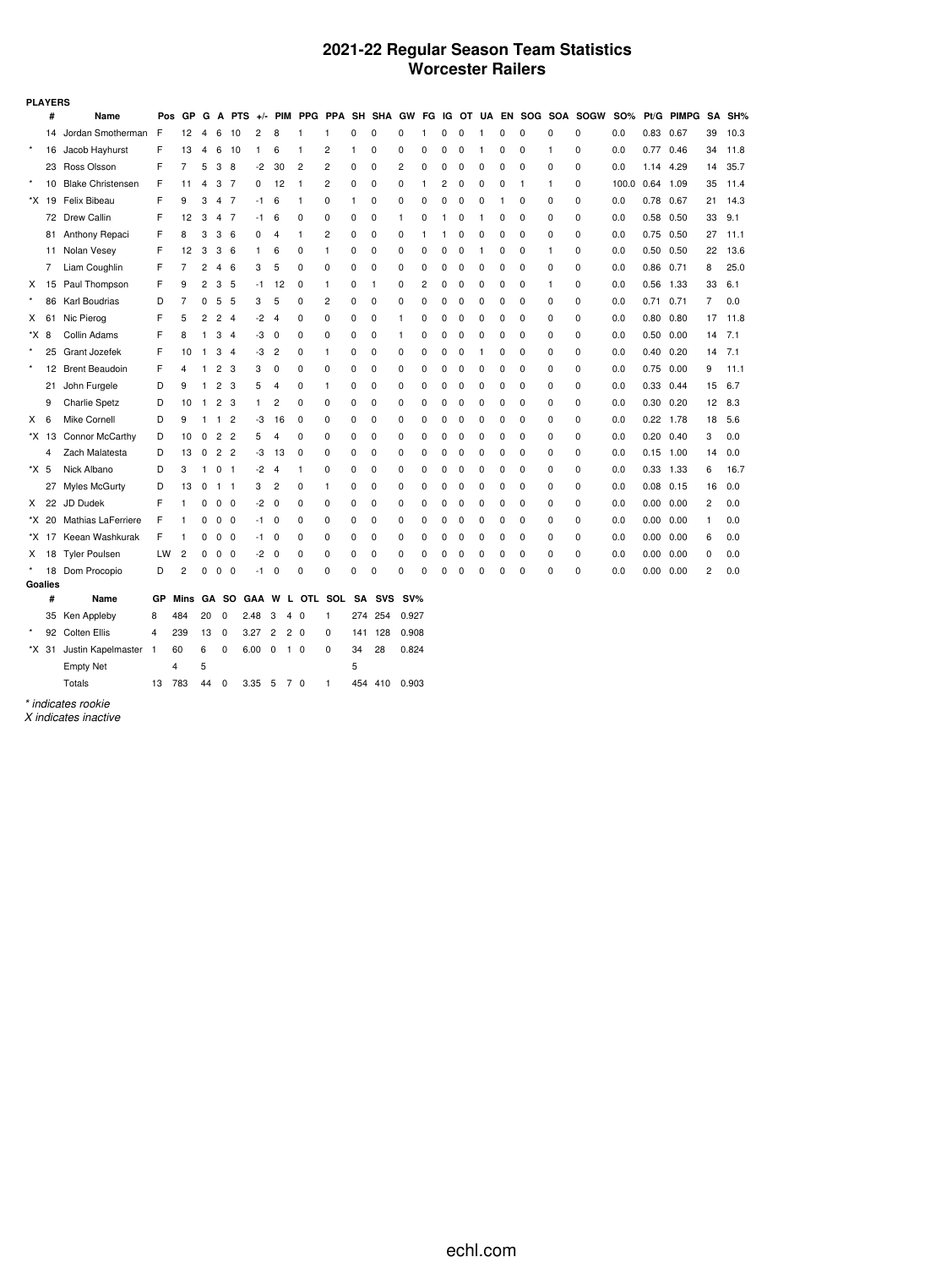### **2021-22 Regular Season Team Statistics Worcester Railers**

| SH%<br>SA<br>39<br>10.3<br>11.8<br>34<br>35.7<br>14<br>35<br>11.4<br>14.3 |
|---------------------------------------------------------------------------|
|                                                                           |
|                                                                           |
|                                                                           |
|                                                                           |
|                                                                           |
|                                                                           |
| 33<br>9.1                                                                 |
| 11.1                                                                      |
| 22<br>13.6                                                                |
| 25.0                                                                      |
| 33<br>6.1                                                                 |
| 0.0                                                                       |
| 11.8<br>17                                                                |
| 7.1<br>14                                                                 |
| 7.1<br>14                                                                 |
| 11.1                                                                      |
| 15<br>6.7                                                                 |
| 12<br>8.3                                                                 |
| 18<br>5.6                                                                 |
| 0.0                                                                       |
| 0.0<br>14                                                                 |
| 16.7                                                                      |
| 0.0<br>16                                                                 |
| 0.0                                                                       |
| 0.0                                                                       |
| 0.0                                                                       |
| 0.0                                                                       |
| 0.0                                                                       |
|                                                                           |
|                                                                           |
|                                                                           |
|                                                                           |
|                                                                           |
|                                                                           |
|                                                                           |

*\* indicates rookie*

*X indicates inactive*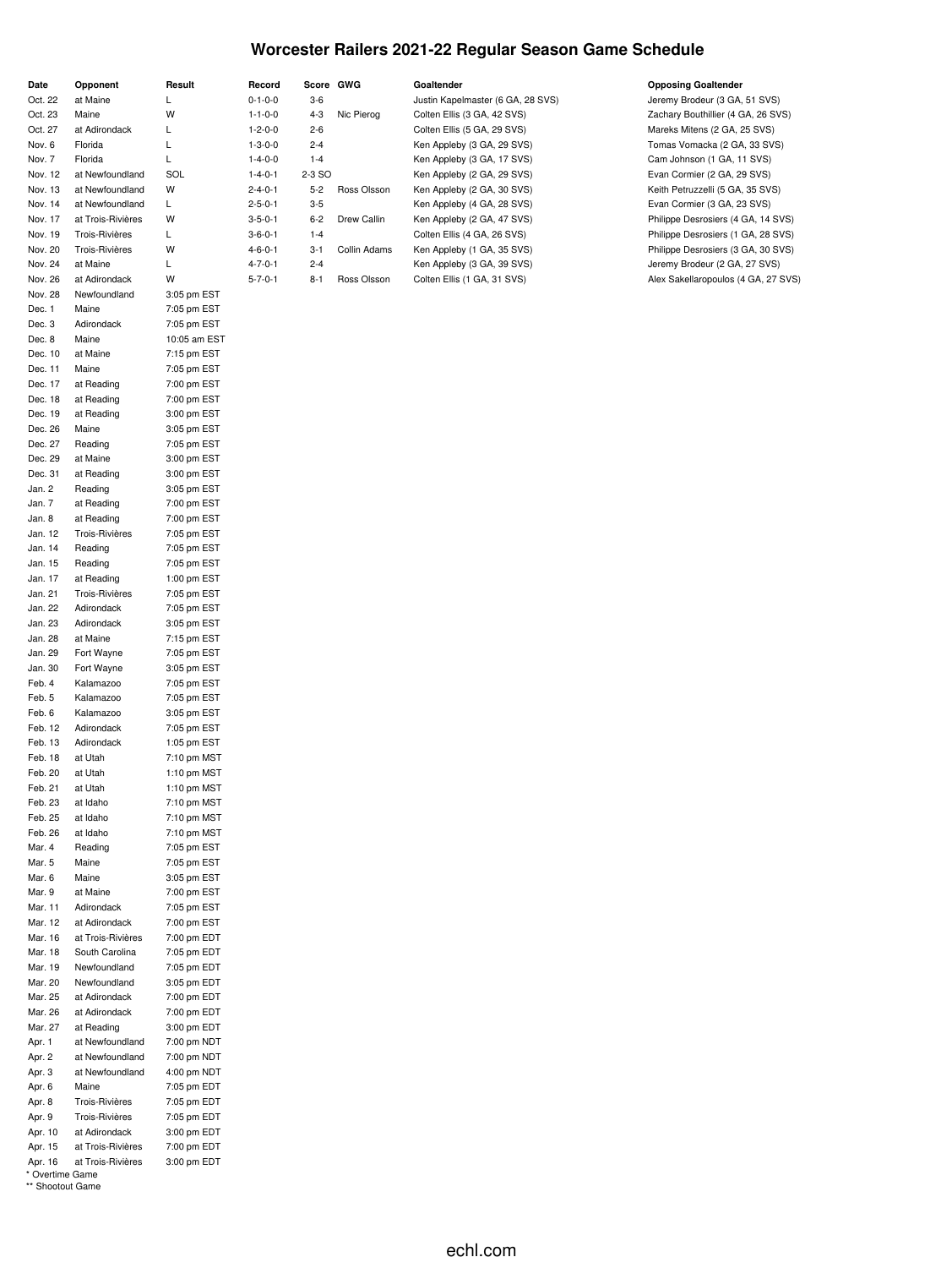### **Worcester Railers 2021-22 Regular Season Game Schedule**

| Date    | Opponent          | Result      | Record          |         | Score GWG    | Goaltender                        | <b>Opposing Goaltender</b>          |
|---------|-------------------|-------------|-----------------|---------|--------------|-----------------------------------|-------------------------------------|
| Oct. 22 | at Maine          |             | $0 - 1 - 0 - 0$ | $3-6$   |              | Justin Kapelmaster (6 GA, 28 SVS) | Jeremy Brodeur (3 GA, 51 SVS)       |
| Oct. 23 | Maine             | W           | $1 - 1 - 0 - 0$ | $4 - 3$ | Nic Pierog   | Colten Ellis (3 GA, 42 SVS)       | Zachary Bouthillier (4 GA, 26 SVS)  |
| Oct. 27 | at Adirondack     |             | $1 - 2 - 0 - 0$ | $2 - 6$ |              | Colten Ellis (5 GA, 29 SVS)       | Mareks Mitens (2 GA, 25 SVS)        |
| Nov. 6  | Florida           |             | $1 - 3 - 0 - 0$ | $2 - 4$ |              | Ken Appleby (3 GA, 29 SVS)        | Tomas Vomacka (2 GA, 33 SVS)        |
| Nov. 7  | Florida           |             | $1 - 4 - 0 - 0$ | $1 - 4$ |              | Ken Appleby (3 GA, 17 SVS)        | Cam Johnson (1 GA, 11 SVS)          |
| Nov. 12 | at Newfoundland   | SOL         | $1 - 4 - 0 - 1$ | 2-3 SO  |              | Ken Appleby (2 GA, 29 SVS)        | Evan Cormier (2 GA, 29 SVS)         |
| Nov. 13 | at Newfoundland   | w           | $2 - 4 - 0 - 1$ | $5 - 2$ | Ross Olsson  | Ken Appleby (2 GA, 30 SVS)        | Keith Petruzzelli (5 GA, 35 SVS)    |
| Nov. 14 | at Newfoundland   |             | $2 - 5 - 0 - 1$ | $3-5$   |              | Ken Appleby (4 GA, 28 SVS)        | Evan Cormier (3 GA, 23 SVS)         |
| Nov. 17 | at Trois-Rivières | W           | $3 - 5 - 0 - 1$ | $6 - 2$ | Drew Callin  | Ken Appleby (2 GA, 47 SVS)        | Philippe Desrosiers (4 GA, 14 SVS)  |
| Nov. 19 | Trois-Rivières    |             | $3 - 6 - 0 - 1$ | $1 - 4$ |              | Colten Ellis (4 GA, 26 SVS)       | Philippe Desrosiers (1 GA, 28 SVS)  |
| Nov. 20 | Trois-Rivières    | W           | $4 - 6 - 0 - 1$ | $3 - 1$ | Collin Adams | Ken Appleby (1 GA, 35 SVS)        | Philippe Desrosiers (3 GA, 30 SVS)  |
| Nov. 24 | at Maine          |             | $4 - 7 - 0 - 1$ | $2 - 4$ |              | Ken Appleby (3 GA, 39 SVS)        | Jeremy Brodeur (2 GA, 27 SVS)       |
| Nov. 26 | at Adirondack     | W           | $5 - 7 - 0 - 1$ | $8 - 1$ | Ross Olsson  | Colten Ellis (1 GA, 31 SVS)       | Alex Sakellaropoulos (4 GA, 27 SVS) |
| Nov. 28 | Newfoundland      | 3:05 pm EST |                 |         |              |                                   |                                     |
| Dec. 1  | Maine             | 7:05 pm EST |                 |         |              |                                   |                                     |
| Dec. 3  | Adirondack        | 7:05 pm EST |                 |         |              |                                   |                                     |

\* Overtime Game \*\* Shootout Game

Dec. 8 Maine 10:05 am EST Dec. 10 at Maine 7:15 pm EST Dec. 11 Maine 7:05 pm EST Dec. 17 at Reading 7:00 pm EST Dec. 18 at Reading 7:00 pm EST Dec. 19 at Reading 3:00 pm EST Dec. 26 Maine 3:05 pm EST Dec. 27 Reading 7:05 pm EST Dec. 29 at Maine 3:00 pm EST Dec. 31 at Reading 3:00 pm EST Jan. 2 Reading 3:05 pm EST Jan. 7 at Reading 7:00 pm EST Jan. 8 at Reading 7:00 pm EST Jan. 12 Trois-Rivières 7:05 pm EST Jan. 14 Reading 7:05 pm EST Jan. 15 Reading 7:05 pm EST Jan. 17 at Reading 1:00 pm EST Jan. 21 Trois-Rivières 7:05 pm EST Jan. 22 Adirondack 7:05 pm EST Jan. 23 Adirondack 3:05 pm EST Jan. 28 at Maine 7:15 pm EST Jan. 29 Fort Wayne 7:05 pm EST Jan. 30 Fort Wayne 3:05 pm EST Feb. 4 Kalamazoo 7:05 pm EST Feb. 5 Kalamazoo 7:05 pm EST Feb. 6 Kalamazoo 3:05 pm EST Feb. 12 Adirondack 7:05 pm EST Feb. 13 Adirondack 1:05 pm EST Feb. 18 at Utah 7:10 pm MST Feb. 20 at Utah 1:10 pm MST Feb. 21 at Utah 1:10 pm MST Feb. 23 at Idaho 7:10 pm MST Feb. 25 at Idaho 7:10 pm MST Feb. 26 at Idaho 7:10 pm MST Mar. 4 Reading 7:05 pm EST Mar. 5 Maine 7:05 pm EST Mar. 6 Maine 3:05 pm EST Mar. 9 at Maine 7:00 pm EST Mar. 11 Adirondack 7:05 pm EST Mar. 12 at Adirondack 7:00 pm EST Mar. 16 at Trois-Rivières 7:00 pm EDT Mar. 18 South Carolina 7:05 pm EDT Mar. 19 Newfoundland 7:05 pm EDT Mar. 20 Newfoundland 3:05 pm EDT Mar. 25 at Adirondack 7:00 pm EDT Mar. 26 at Adirondack 7:00 pm EDT Mar. 27 at Reading 3:00 pm EDT Apr. 1 at Newfoundland 7:00 pm NDT Apr. 2 at Newfoundland 7:00 pm NDT Apr. 3 at Newfoundland 4:00 pm NDT Apr. 6 Maine 7:05 pm EDT Apr. 8 Trois-Rivières 7:05 pm EDT Apr. 9 Trois-Rivières 7:05 pm EDT Apr. 10 at Adirondack 3:00 pm EDT Apr. 15 at Trois-Rivières 7:00 pm EDT Apr. 16 at Trois-Rivières 3:00 pm EDT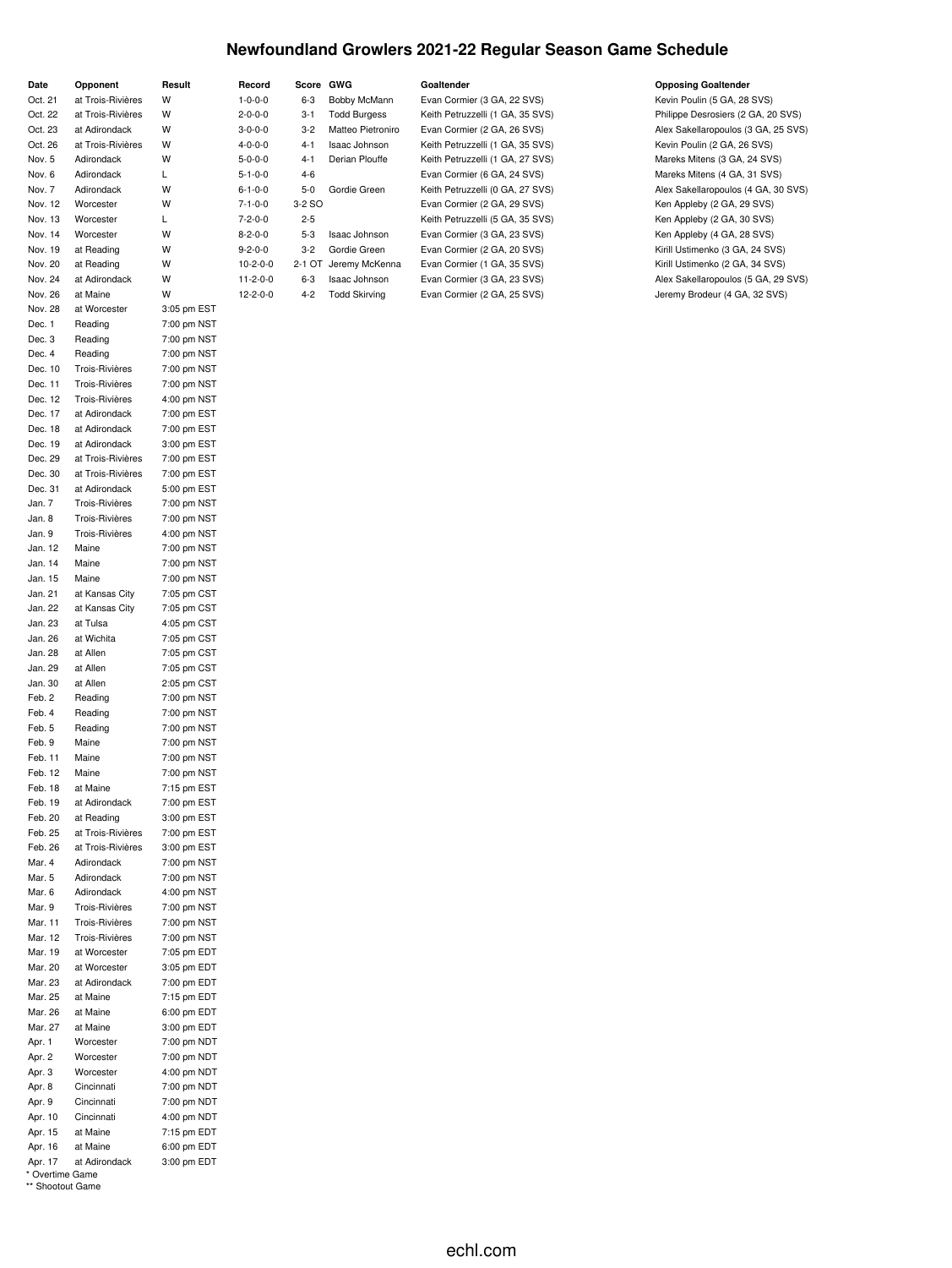# **Newfoundland Growlers 2021-22 Regular Season Game Schedule**

| Date               | Opponent                         | Result                     | Record           | Score GWG |                      | Goaltender                       | <b>Opposing Goaltender</b>          |
|--------------------|----------------------------------|----------------------------|------------------|-----------|----------------------|----------------------------------|-------------------------------------|
| Oct. 21            | at Trois-Rivières                | W                          | $1 - 0 - 0 - 0$  | $6 - 3$   | Bobby McMann         | Evan Cormier (3 GA, 22 SVS)      | Kevin Poulin (5 GA, 28 SVS)         |
| Oct. 22            | at Trois-Rivières                | W                          | $2 - 0 - 0 - 0$  | $3 - 1$   | <b>Todd Burgess</b>  | Keith Petruzzelli (1 GA, 35 SVS) | Philippe Desrosiers (2 GA, 20 SVS)  |
| Oct. 23            | at Adirondack                    | W                          | $3 - 0 - 0 - 0$  | $3 - 2$   | Matteo Pietroniro    | Evan Cormier (2 GA, 26 SVS)      | Alex Sakellaropoulos (3 GA, 25 SVS) |
| Oct. 26            | at Trois-Rivières                | W                          | $4 - 0 - 0 - 0$  | $4-1$     | Isaac Johnson        | Keith Petruzzelli (1 GA, 35 SVS) | Kevin Poulin (2 GA, 26 SVS)         |
| Nov. 5             | Adirondack                       | W                          | $5 - 0 - 0 - 0$  | $4 - 1$   | Derian Plouffe       | Keith Petruzzelli (1 GA, 27 SVS) | Mareks Mitens (3 GA, 24 SVS)        |
| Nov. 6             | Adirondack                       | L                          | $5 - 1 - 0 - 0$  | $4 - 6$   |                      | Evan Cormier (6 GA, 24 SVS)      | Mareks Mitens (4 GA, 31 SVS)        |
| Nov. 7             | Adirondack                       | W                          | $6 - 1 - 0 - 0$  | $5 - 0$   | Gordie Green         | Keith Petruzzelli (0 GA, 27 SVS) | Alex Sakellaropoulos (4 GA, 30 SVS) |
| Nov. 12            | Worcester                        | W                          | $7 - 1 - 0 - 0$  | 3-2 SO    |                      | Evan Cormier (2 GA, 29 SVS)      | Ken Appleby (2 GA, 29 SVS)          |
| Nov. 13            | Worcester                        | L                          | $7 - 2 - 0 - 0$  | $2 - 5$   |                      | Keith Petruzzelli (5 GA, 35 SVS) | Ken Appleby (2 GA, 30 SVS)          |
| Nov. 14            | Worcester                        | W                          | $8 - 2 - 0 - 0$  | $5 - 3$   | Isaac Johnson        | Evan Cormier (3 GA, 23 SVS)      | Ken Appleby (4 GA, 28 SVS)          |
| Nov. 19            | at Reading                       | W                          | $9 - 2 - 0 - 0$  | $3 - 2$   | Gordie Green         | Evan Cormier (2 GA, 20 SVS)      | Kirill Ustimenko (3 GA, 24 SVS)     |
| Nov. 20            | at Reading                       | W                          | $10-2-0-0$       | 2-1 OT    | Jeremy McKenna       | Evan Cormier (1 GA, 35 SVS)      | Kirill Ustimenko (2 GA, 34 SVS)     |
| Nov. 24            | at Adirondack                    | W                          | $11 - 2 - 0 - 0$ | $6 - 3$   | Isaac Johnson        | Evan Cormier (3 GA, 23 SVS)      | Alex Sakellaropoulos (5 GA, 29 SVS) |
| Nov. 26            | at Maine                         | W                          | $12 - 2 - 0 - 0$ | $4 - 2$   | <b>Todd Skirving</b> | Evan Cormier (2 GA, 25 SVS)      | Jeremy Brodeur (4 GA, 32 SVS)       |
| Nov. 28            | at Worcester                     | 3:05 pm EST                |                  |           |                      |                                  |                                     |
| Dec. 1             | Reading                          | 7:00 pm NST                |                  |           |                      |                                  |                                     |
| Dec. 3             | Reading                          | 7:00 pm NST                |                  |           |                      |                                  |                                     |
| Dec. 4             | Reading                          | 7:00 pm NST                |                  |           |                      |                                  |                                     |
| Dec. 10            | Trois-Rivières                   | 7:00 pm NST                |                  |           |                      |                                  |                                     |
| Dec. 11            | Trois-Rivières                   | 7:00 pm NST                |                  |           |                      |                                  |                                     |
| Dec. 12            | Trois-Rivières                   | 4:00 pm NST                |                  |           |                      |                                  |                                     |
| Dec. 17            | at Adirondack                    | 7:00 pm EST                |                  |           |                      |                                  |                                     |
| Dec. 18            | at Adirondack                    | 7:00 pm EST                |                  |           |                      |                                  |                                     |
| Dec. 19            | at Adirondack                    | 3:00 pm EST                |                  |           |                      |                                  |                                     |
| Dec. 29            | at Trois-Rivières                | 7:00 pm EST                |                  |           |                      |                                  |                                     |
| Dec. 30            | at Trois-Rivières                | 7:00 pm EST                |                  |           |                      |                                  |                                     |
| Dec. 31            | at Adirondack                    | 5:00 pm EST                |                  |           |                      |                                  |                                     |
| Jan. 7             | Trois-Rivières                   | 7:00 pm NST                |                  |           |                      |                                  |                                     |
| Jan. 8             | Trois-Rivières                   | 7:00 pm NST                |                  |           |                      |                                  |                                     |
| Jan. 9             | Trois-Rivières                   | 4:00 pm NST                |                  |           |                      |                                  |                                     |
| Jan. 12            | Maine                            | 7:00 pm NST                |                  |           |                      |                                  |                                     |
| Jan. 14            | Maine                            | 7:00 pm NST                |                  |           |                      |                                  |                                     |
| Jan. 15            | Maine                            | 7:00 pm NST                |                  |           |                      |                                  |                                     |
| Jan. 21            | at Kansas City                   | 7:05 pm CST                |                  |           |                      |                                  |                                     |
| Jan. 22            | at Kansas City                   | 7:05 pm CST                |                  |           |                      |                                  |                                     |
| Jan. 23            | at Tulsa                         | 4:05 pm CST                |                  |           |                      |                                  |                                     |
| Jan. 26            | at Wichita                       | 7:05 pm CST                |                  |           |                      |                                  |                                     |
| Jan. 28            | at Allen                         | 7:05 pm CST                |                  |           |                      |                                  |                                     |
| Jan. 29            | at Allen                         | 7:05 pm CST                |                  |           |                      |                                  |                                     |
| Jan. 30            | at Allen                         | 2:05 pm CST                |                  |           |                      |                                  |                                     |
| Feb. 2             | Reading                          | 7:00 pm NST                |                  |           |                      |                                  |                                     |
| Feb. 4             | Reading                          | 7:00 pm NST                |                  |           |                      |                                  |                                     |
| Feb. 5             | Reading                          | 7:00 pm NST                |                  |           |                      |                                  |                                     |
| Feb. 9             | Maine                            | 7:00 pm NST                |                  |           |                      |                                  |                                     |
| Feb. 11            | Maine                            | 7:00 pm NST                |                  |           |                      |                                  |                                     |
| Feb. 12            | Maine                            | 7:00 pm NST                |                  |           |                      |                                  |                                     |
| Feb. 18            | at Maine                         | 7:15 pm EST                |                  |           |                      |                                  |                                     |
| Feb. 19            | at Adirondack                    | 7:00 pm EST                |                  |           |                      |                                  |                                     |
| Feb. 20            | at Reading                       | 3:00 pm EST                |                  |           |                      |                                  |                                     |
| Feb. 25            | at Trois-Rivières                | 7:00 pm EST                |                  |           |                      |                                  |                                     |
| Feb. 26            | at Trois-Rivières                | 3:00 pm EST                |                  |           |                      |                                  |                                     |
| Mar. 4             | Adirondack                       | 7:00 pm NST                |                  |           |                      |                                  |                                     |
| Mar. 5             | Adirondack                       | 7:00 pm NST                |                  |           |                      |                                  |                                     |
| Mar. 6             | Adirondack                       | 4:00 pm NST                |                  |           |                      |                                  |                                     |
| Mar. 9             | Trois-Rivières<br>Trois-Rivières | 7:00 pm NST<br>7:00 pm NST |                  |           |                      |                                  |                                     |
| Mar. 11            |                                  |                            |                  |           |                      |                                  |                                     |
| Mar. 12            | Trois-Rivières                   | 7:00 pm NST                |                  |           |                      |                                  |                                     |
| Mar. 19            | at Worcester<br>at Worcester     | 7:05 pm EDT<br>3:05 pm EDT |                  |           |                      |                                  |                                     |
| Mar. 20<br>Mar. 23 | at Adirondack                    | 7:00 pm EDT                |                  |           |                      |                                  |                                     |
| Mar. 25            | at Maine                         | 7:15 pm EDT                |                  |           |                      |                                  |                                     |
|                    | at Maine                         | 6:00 pm EDT                |                  |           |                      |                                  |                                     |
| Mar. 26<br>Mar. 27 | at Maine                         | 3:00 pm EDT                |                  |           |                      |                                  |                                     |
| Apr. 1             | Worcester                        | 7:00 pm NDT                |                  |           |                      |                                  |                                     |
| Apr. 2             | Worcester                        | 7:00 pm NDT                |                  |           |                      |                                  |                                     |
| Apr. 3             | Worcester                        | 4:00 pm NDT                |                  |           |                      |                                  |                                     |
| Apr. 8             | Cincinnati                       | 7:00 pm NDT                |                  |           |                      |                                  |                                     |
| Apr. 9             | Cincinnati                       | 7:00 pm NDT                |                  |           |                      |                                  |                                     |
| Apr. 10            | Cincinnati                       | 4:00 pm NDT                |                  |           |                      |                                  |                                     |
| Apr. 15            | at Maine                         | 7:15 pm EDT                |                  |           |                      |                                  |                                     |
| Apr. 16            | at Maine                         | 6:00 pm EDT                |                  |           |                      |                                  |                                     |
| Apr. 17            | at Adirondack                    | 3:00 pm EDT                |                  |           |                      |                                  |                                     |
| * Overtime Game    |                                  |                            |                  |           |                      |                                  |                                     |
| ** Shootout Game   |                                  |                            |                  |           |                      |                                  |                                     |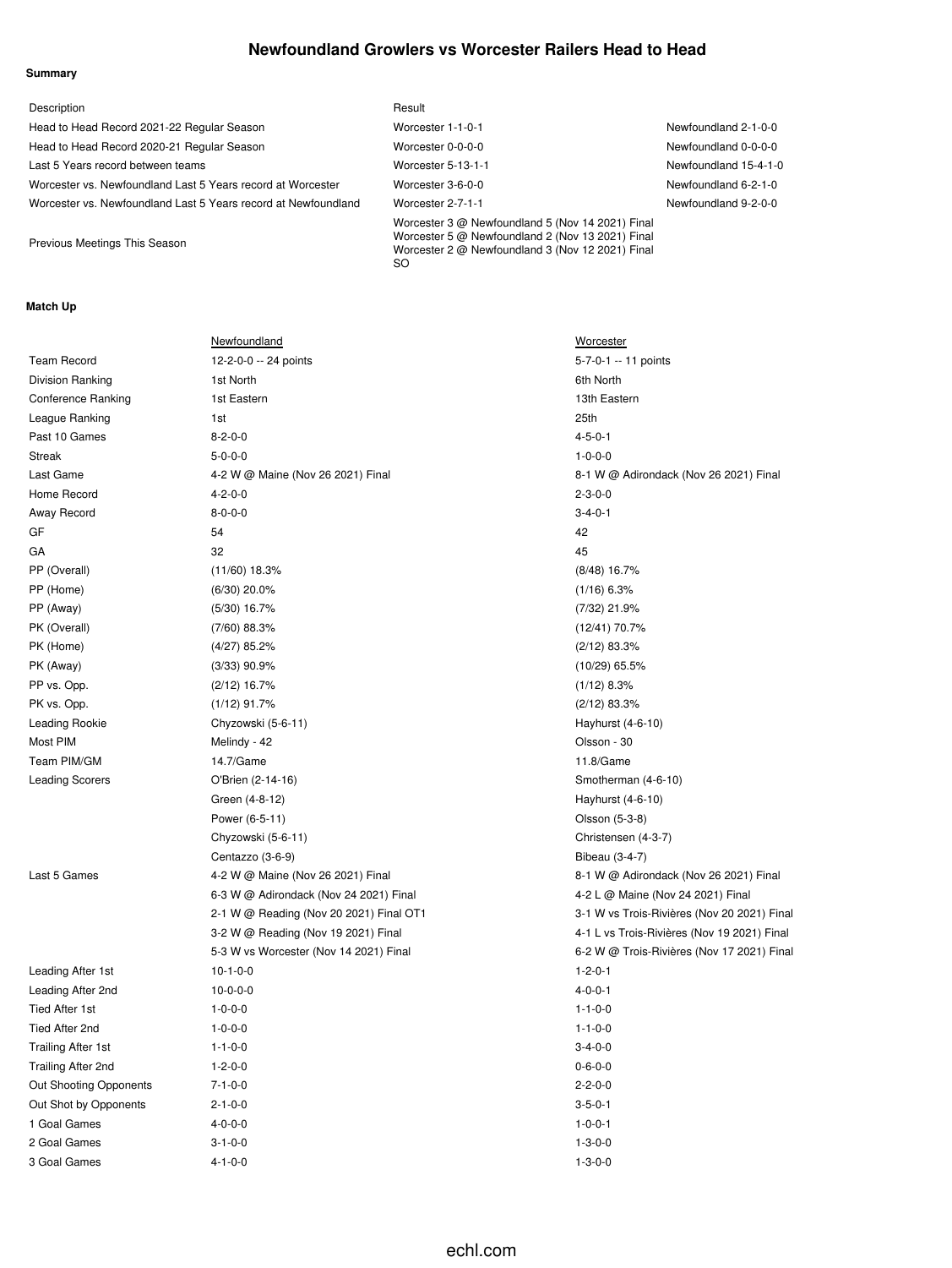### **Newfoundland Growlers vs Worcester Railers Head to Head**

#### **Summary**

| Description                                                    | Result                                                                                                                                                          |                       |
|----------------------------------------------------------------|-----------------------------------------------------------------------------------------------------------------------------------------------------------------|-----------------------|
| Head to Head Record 2021-22 Regular Season                     | Worcester 1-1-0-1                                                                                                                                               | Newfoundland 2-1-0-0  |
| Head to Head Record 2020-21 Regular Season                     | Worcester 0-0-0-0                                                                                                                                               | Newfoundland 0-0-0-0  |
| Last 5 Years record between teams                              | Worcester 5-13-1-1                                                                                                                                              | Newfoundland 15-4-1-0 |
| Worcester vs. Newfoundland Last 5 Years record at Worcester    | Worcester 3-6-0-0                                                                                                                                               | Newfoundland 6-2-1-0  |
| Worcester vs. Newfoundland Last 5 Years record at Newfoundland | Worcester 2-7-1-1                                                                                                                                               | Newfoundland 9-2-0-0  |
| Previous Meetings This Season                                  | Worcester 3 @ Newfoundland 5 (Nov 14 2021) Final<br>Worcester 5 @ Newfoundland 2 (Nov 13 2021) Final<br>Worcester 2 @ Newfoundland 3 (Nov 12 2021) Final<br>SO. |                       |

### **Match Up**

|                        | Newfoundland                            | <b>Worcester</b>                            |
|------------------------|-----------------------------------------|---------------------------------------------|
| <b>Team Record</b>     | 12-2-0-0 -- 24 points                   | 5-7-0-1 -- 11 points                        |
| Division Ranking       | 1st North                               | 6th North                                   |
| Conference Ranking     | 1st Eastern                             | 13th Eastern                                |
| League Ranking         | 1st                                     | 25th                                        |
| Past 10 Games          | $8 - 2 - 0 - 0$                         | $4 - 5 - 0 - 1$                             |
| Streak                 | $5 - 0 - 0 - 0$                         | $1 - 0 - 0 - 0$                             |
| Last Game              | 4-2 W @ Maine (Nov 26 2021) Final       | 8-1 W @ Adirondack (Nov 26 2021) Final      |
| Home Record            | $4 - 2 - 0 - 0$                         | $2 - 3 - 0 - 0$                             |
| Away Record            | $8 - 0 - 0 - 0$                         | $3 - 4 - 0 - 1$                             |
| GF                     | 54                                      | 42                                          |
| GА                     | 32                                      | 45                                          |
| PP (Overall)           | $(11/60)$ 18.3%                         | $(8/48)$ 16.7%                              |
| PP (Home)              | $(6/30)$ 20.0%                          | $(1/16)$ 6.3%                               |
| PP (Away)              | $(5/30)$ 16.7%                          | (7/32) 21.9%                                |
| PK (Overall)           | $(7/60)$ 88.3%                          | (12/41) 70.7%                               |
| PK (Home)              | $(4/27)$ 85.2%                          | $(2/12)$ 83.3%                              |
| PK (Away)              | $(3/33)$ 90.9%                          | $(10/29)$ 65.5%                             |
| PP vs. Opp.            | $(2/12)$ 16.7%                          | $(1/12)$ 8.3%                               |
| PK vs. Opp.            | $(1/12)$ 91.7%                          | $(2/12)$ 83.3%                              |
| Leading Rookie         | Chyzowski (5-6-11)                      | Hayhurst (4-6-10)                           |
| Most PIM               | Melindy - 42                            | Olsson - 30                                 |
| Team PIM/GM            | 14.7/Game                               | 11.8/Game                                   |
| Leading Scorers        | O'Brien (2-14-16)                       | Smotherman (4-6-10)                         |
|                        | Green (4-8-12)                          | Hayhurst (4-6-10)                           |
|                        | Power (6-5-11)                          | Olsson (5-3-8)                              |
|                        | Chyzowski (5-6-11)                      | Christensen (4-3-7)                         |
|                        | Centazzo (3-6-9)                        | Bibeau (3-4-7)                              |
| Last 5 Games           | 4-2 W @ Maine (Nov 26 2021) Final       | 8-1 W @ Adirondack (Nov 26 2021) Final      |
|                        | 6-3 W @ Adirondack (Nov 24 2021) Final  | 4-2 L @ Maine (Nov 24 2021) Final           |
|                        | 2-1 W @ Reading (Nov 20 2021) Final OT1 | 3-1 W vs Trois-Rivières (Nov 20 2021) Final |
|                        | 3-2 W @ Reading (Nov 19 2021) Final     | 4-1 L vs Trois-Rivières (Nov 19 2021) Final |
|                        | 5-3 W vs Worcester (Nov 14 2021) Final  | 6-2 W @ Trois-Rivières (Nov 17 2021) Final  |
| Leading After 1st      | $10-1-0-0$                              | $1 - 2 - 0 - 1$                             |
| Leading After 2nd      | $10-0-0-0$                              | $4 - 0 - 0 - 1$                             |
| Tied After 1st         | $1 - 0 - 0 - 0$                         | $1 - 1 - 0 - 0$                             |
| Tied After 2nd         | $1 - 0 - 0 - 0$                         | $1 - 1 - 0 - 0$                             |
| Trailing After 1st     | $1 - 1 - 0 - 0$                         | $3 - 4 - 0 - 0$                             |
| Trailing After 2nd     | $1 - 2 - 0 - 0$                         | $0 - 6 - 0 - 0$                             |
| Out Shooting Opponents | $7 - 1 - 0 - 0$                         | $2 - 2 - 0 - 0$                             |
| Out Shot by Opponents  | $2 - 1 - 0 - 0$                         | $3 - 5 - 0 - 1$                             |
| 1 Goal Games           | $4 - 0 - 0 - 0$                         | $1 - 0 - 0 - 1$                             |
| 2 Goal Games           | $3 - 1 - 0 - 0$                         | $1 - 3 - 0 - 0$                             |
| 3 Goal Games           | $4 - 1 - 0 - 0$                         | $1 - 3 - 0 - 0$                             |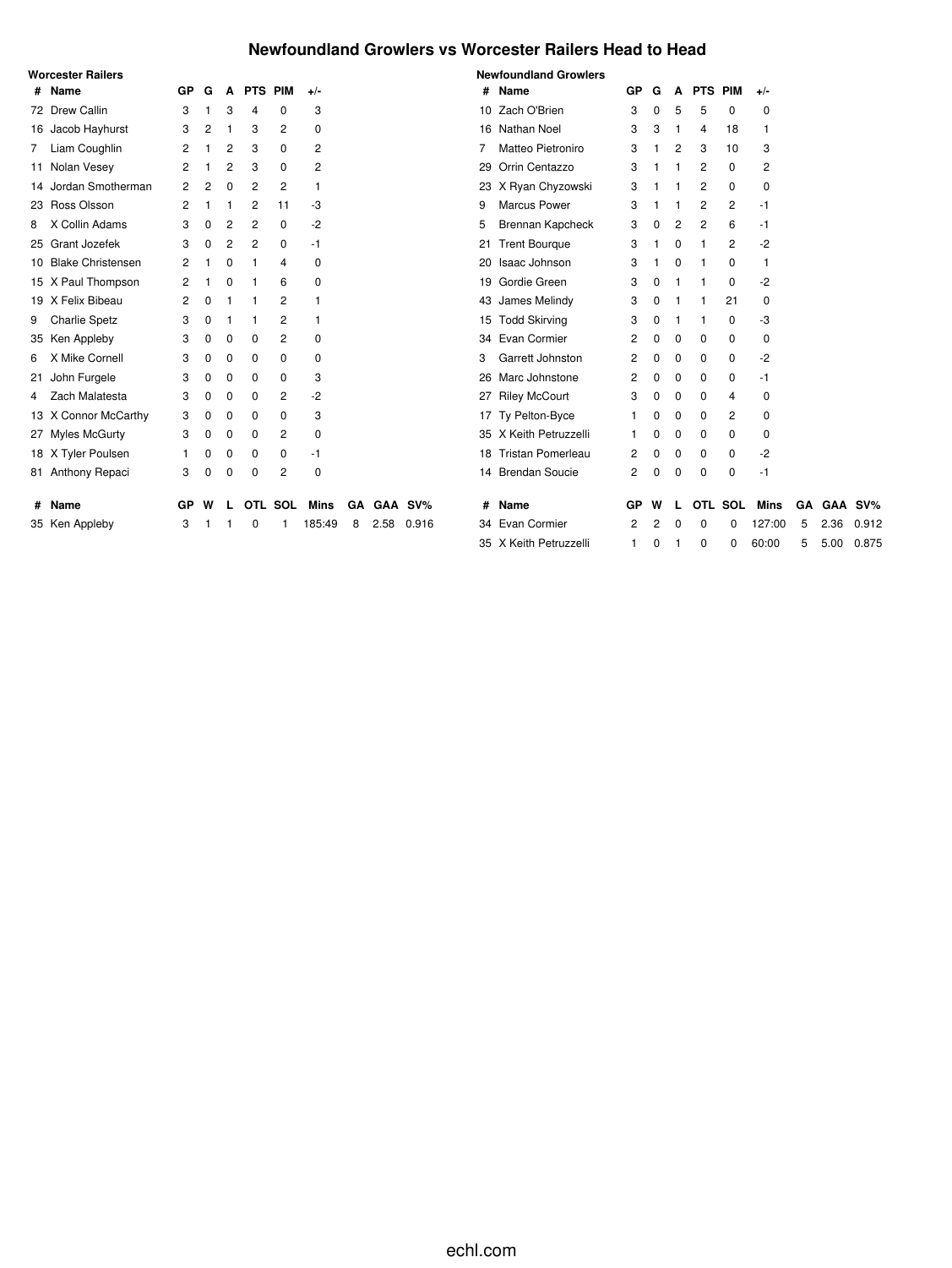### **Newfoundland Growlers vs Worcester Railers Head to Head**

|   | Worcester Railers    |    |          |          |            |         |        |   |      |            |    | <b>Newfoundland Growlers</b> |     |   |             |             |          |             |    |            |        |
|---|----------------------|----|----------|----------|------------|---------|--------|---|------|------------|----|------------------------------|-----|---|-------------|-------------|----------|-------------|----|------------|--------|
|   | # Name               | GP | G        | A        | <b>PTS</b> | PIM     | $+/-$  |   |      |            |    | # Name                       | GP  | G | A           | PTS PIM     |          | $+/-$       |    |            |        |
|   | 72 Drew Callin       | 3  |          | 3        | 4          | 0       | 3      |   |      |            |    | 10 Zach O'Brien              | 3   | 0 | 5           | 5           | 0        | 0           |    |            |        |
|   | 16 Jacob Hayhurst    | 3  | 2        |          | 3          | 2       | 0      |   |      |            |    | 16 Nathan Noel               | 3   | 3 | 1           | 4           | 18       | 1           |    |            |        |
|   | 7 Liam Coughlin      | 2  |          | 2        | 3          | 0       | 2      |   |      |            |    | Matteo Pietroniro            | 3   |   | 2           | 3           | 10       | 3           |    |            |        |
|   | 11 Nolan Vesey       | 2  |          | 2        | 3          | 0       | 2      |   |      |            | 29 | Orrin Centazzo               | 3   |   |             | 2           | $\Omega$ | 2           |    |            |        |
|   | 14 Jordan Smotherman | 2  | 2        | 0        | 2          | 2       | 1      |   |      |            |    | 23 X Ryan Chyzowski          | 3   |   |             | 2           | 0        | $\mathbf 0$ |    |            |        |
|   | 23 Ross Olsson       | 2  |          |          | 2          | 11      | -3     |   |      |            | 9  | <b>Marcus Power</b>          | 3   |   |             | 2           | 2        | -1          |    |            |        |
| 8 | X Collin Adams       | 3  | 0        | 2        | 2          | 0       | -2     |   |      |            | 5  | Brennan Kapcheck             | 3   | 0 | 2           | 2           | 6        | -1          |    |            |        |
|   | 25 Grant Jozefek     | 3  | $\Omega$ | 2        | 2          | 0       | -1     |   |      |            |    | 21 Trent Bourgue             | 3   |   | $\Omega$    | 1           | 2        | $-2$        |    |            |        |
|   | 10 Blake Christensen | 2  |          | 0        |            | 4       | 0      |   |      |            |    | 20 Isaac Johnson             | 3   |   | 0           |             | 0        | 1           |    |            |        |
|   | 15 X Paul Thompson   | 2  |          | ŋ        |            | 6       | 0      |   |      |            |    | 19 Gordie Green              | 3   | 0 |             |             | 0        | -2          |    |            |        |
|   | 19 X Felix Bibeau    | 2  | 0        |          |            | 2       |        |   |      |            |    | 43 James Melindy             | 3   | 0 |             |             | 21       | 0           |    |            |        |
|   | 9 Charlie Spetz      | 3  | 0        |          |            | 2       |        |   |      |            |    | 15 Todd Skirving             | 3   | 0 |             |             | 0        | -3          |    |            |        |
|   | 35 Ken Appleby       | 3  | 0        | 0        | 0          | 2       | 0      |   |      |            |    | 34 Evan Cormier              | 2   | 0 | 0           | 0           | 0        | 0           |    |            |        |
| 6 | X Mike Cornell       | 3  | 0        | 0        | 0          | 0       | 0      |   |      |            | 3  | Garrett Johnston             | 2   | 0 | $\mathbf 0$ | 0           | 0        | $-2$        |    |            |        |
|   | 21 John Furgele      | 3  | 0        | 0        | 0          | 0       | 3      |   |      |            |    | 26 Marc Johnstone            | 2   | 0 | 0           | 0           | 0        | -1          |    |            |        |
| 4 | Zach Malatesta       | 3  | 0        | 0        | 0          | 2       | -2     |   |      |            |    | 27 Riley McCourt             | 3   | 0 | 0           | 0           | 4        | 0           |    |            |        |
|   | 13 X Connor McCarthy | 3  | 0        | 0        | 0          | 0       | 3      |   |      |            |    | 17 Ty Pelton-Byce            |     | 0 | 0           | 0           | 2        | 0           |    |            |        |
|   | 27 Myles McGurty     | 3  | 0        | 0        | 0          | 2       | 0      |   |      |            |    | 35 X Keith Petruzzelli       |     | 0 | 0           | 0           | 0        | 0           |    |            |        |
|   | 18 X Tyler Poulsen   |    | 0        | 0        | 0          | 0       | -1     |   |      |            |    | 18 Tristan Pomerleau         | 2   | 0 | 0           | 0           | 0        | -2          |    |            |        |
|   | 81 Anthony Repaci    | 3  | $\Omega$ | $\Omega$ | 0          | 2       | 0      |   |      |            |    | 14 Brendan Soucie            | 2   | 0 | 0           | $\mathbf 0$ | 0        | $-1$        |    |            |        |
| # | Name                 | GP | W        |          |            | OTL SOL | Mins   |   |      | GA GAA SV% | #  | Name                         | GP. | W |             |             | OTL SOL  | Mins        | GA | <b>GAA</b> | $SV\%$ |
|   | 35 Ken Appleby       | 3  |          |          |            |         | 185:49 | 8 | 2.58 | 0.916      |    | 34 Evan Cormier              | 2   | 2 | O           | $\Omega$    |          | 127:00      | 5  | 2.36       | 0.912  |
|   |                      |    |          |          |            |         |        |   |      |            |    | 35 X Keith Petruzzelli       | 1.  | 0 |             | $\Omega$    | 0        | 60:00       | 5  | 5.00       | 0.875  |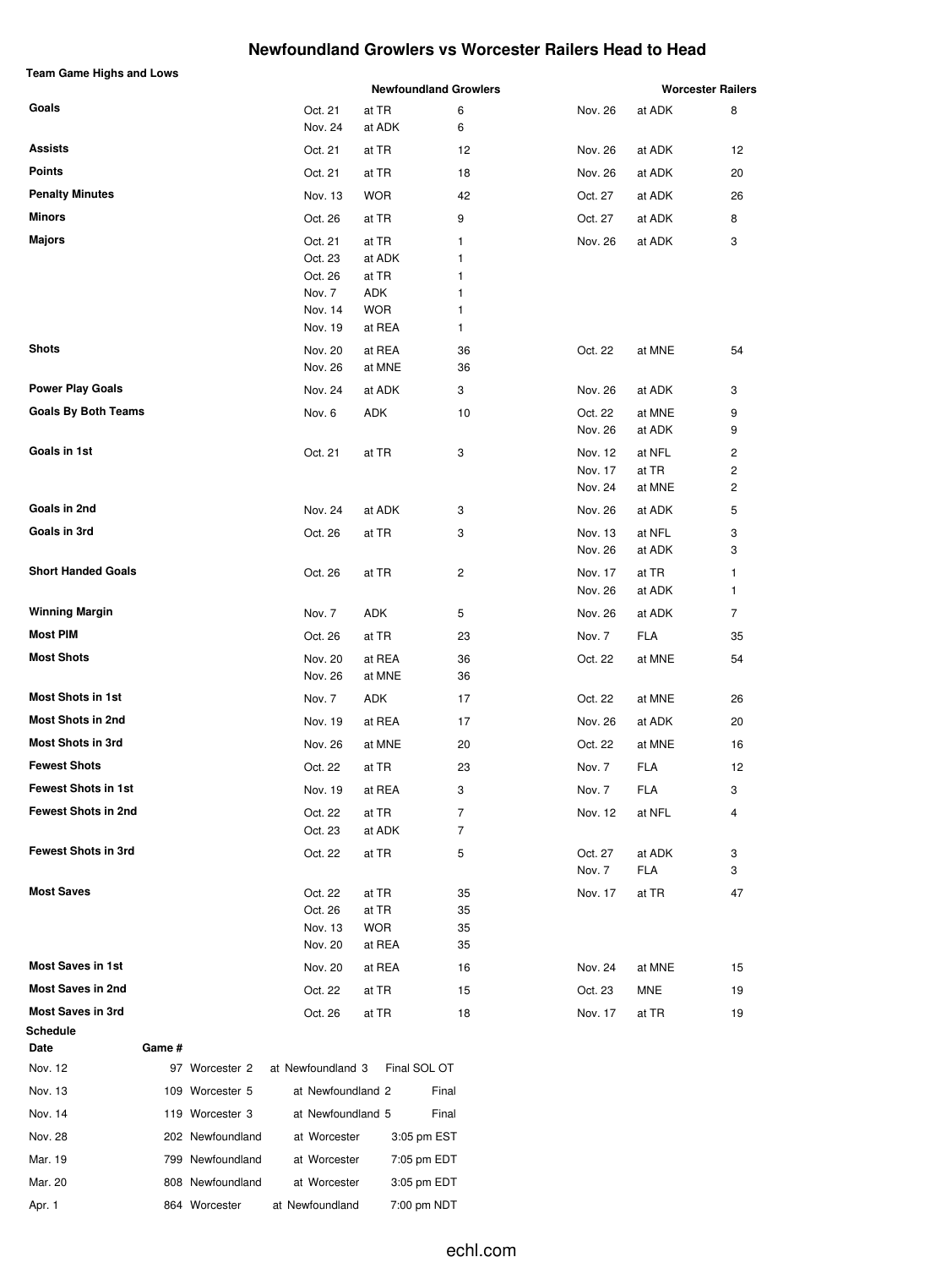### **Newfoundland Growlers vs Worcester Railers Head to Head**

| <b>Team Game Highs and Lows</b> |                    |                 | <b>Newfoundland Growlers</b> |         |            | <b>Worcester Railers</b> |
|---------------------------------|--------------------|-----------------|------------------------------|---------|------------|--------------------------|
| Goals                           |                    |                 |                              |         |            |                          |
|                                 | Oct. 21<br>Nov. 24 | at TR<br>at ADK | 6<br>6                       | Nov. 26 | at ADK     | 8                        |
| <b>Assists</b>                  | Oct. 21            | at TR           | 12                           | Nov. 26 | at ADK     | 12                       |
| <b>Points</b>                   | Oct. 21            | at TR           | 18                           | Nov. 26 | at ADK     | 20                       |
| <b>Penalty Minutes</b>          | Nov. 13            | <b>WOR</b>      | 42                           | Oct. 27 | at ADK     | 26                       |
| Minors                          | Oct. 26            | at TR           | 9                            | Oct. 27 | at ADK     | 8                        |
| Majors                          | Oct. 21            | at TR           | 1                            | Nov. 26 | at ADK     | 3                        |
|                                 | Oct. 23            | at ADK          | 1                            |         |            |                          |
|                                 | Oct. 26            | at TR           | 1                            |         |            |                          |
|                                 | Nov. 7             | ADK             | 1                            |         |            |                          |
|                                 | Nov. 14            | <b>WOR</b>      | 1                            |         |            |                          |
|                                 | Nov. 19            | at REA          | 1                            |         |            |                          |
| <b>Shots</b>                    | Nov. 20            | at REA          | 36                           | Oct. 22 | at MNE     | 54                       |
|                                 | Nov. 26            | at MNE          | 36                           |         |            |                          |
| <b>Power Play Goals</b>         | Nov. 24            | at ADK          | 3                            | Nov. 26 | at ADK     | 3                        |
| <b>Goals By Both Teams</b>      | Nov. 6             | ADK             | 10                           | Oct. 22 | at MNE     | 9                        |
|                                 |                    |                 |                              | Nov. 26 | at ADK     | 9                        |
| Goals in 1st                    | Oct. 21            | at TR           | 3                            | Nov. 12 | at NFL     | 2                        |
|                                 |                    |                 |                              | Nov. 17 | at TR      | 2                        |
|                                 |                    |                 |                              | Nov. 24 | at MNE     | 2                        |
| Goals in 2nd                    | Nov. 24            | at ADK          | 3                            | Nov. 26 | at ADK     | 5                        |
| Goals in 3rd                    | Oct. 26            | at TR           | 3                            | Nov. 13 | at NFL     | 3                        |
|                                 |                    |                 |                              | Nov. 26 | at ADK     | 3                        |
| <b>Short Handed Goals</b>       | Oct. 26            | at TR           | 2                            | Nov. 17 | at TR      | 1                        |
|                                 |                    |                 |                              | Nov. 26 | at ADK     | 1                        |
| <b>Winning Margin</b>           | Nov. 7             | ADK             | 5                            | Nov. 26 | at ADK     | 7                        |
| Most PIM                        | Oct. 26            | at TR           | 23                           | Nov. 7  | <b>FLA</b> | 35                       |
| <b>Most Shots</b>               | Nov. 20            | at REA          | 36                           | Oct. 22 | at MNE     | 54                       |
|                                 | Nov. 26            | at MNE          | 36                           |         |            |                          |
| <b>Most Shots in 1st</b>        | Nov. 7             | ADK             | 17                           | Oct. 22 | at MNE     | 26                       |
| <b>Most Shots in 2nd</b>        | Nov. 19            | at REA          | 17                           | Nov. 26 | at ADK     | 20                       |
| <b>Most Shots in 3rd</b>        | Nov. 26            | at MNE          | 20                           | Oct. 22 | at MNE     | 16                       |
| <b>Fewest Shots</b>             | Oct. 22            | at TR           | 23                           | Nov. 7  | FLA        | 12                       |
| <b>Fewest Shots in 1st</b>      | Nov. 19            | at REA          | 3                            | Nov. 7  | FLA        | 3                        |
| <b>Fewest Shots in 2nd</b>      | Oct. 22            | at TR           | 7                            | Nov. 12 | at NFL     | 4                        |
|                                 | Oct. 23            | at ADK          | $\overline{7}$               |         |            |                          |
| <b>Fewest Shots in 3rd</b>      | Oct. 22            | at TR           | 5                            | Oct. 27 | at ADK     | 3                        |
|                                 |                    |                 |                              | Nov. 7  | FLA        | 3                        |
| <b>Most Saves</b>               | Oct. 22            | at TR           | 35                           | Nov. 17 | at TR      | 47                       |
|                                 | Oct. 26            | at TR           | 35                           |         |            |                          |
|                                 | Nov. 13            | <b>WOR</b>      | 35                           |         |            |                          |
|                                 | Nov. 20            | at REA          | 35                           |         |            |                          |
| <b>Most Saves in 1st</b>        | Nov. 20            | at REA          | 16                           | Nov. 24 | at MNE     | 15                       |
| <b>Most Saves in 2nd</b>        | Oct. 22            | at TR           | 15                           | Oct. 23 | MNE        | 19                       |
| <b>Most Saves in 3rd</b>        | Oct. 26            | at TR           | 18                           | Nov. 17 | at TR      | 19                       |
| Schedule                        |                    |                 |                              |         |            |                          |

| Nov. 12 | 97  | Worcester 2      | at Newfoundland 3 | Final SOL OT |  |
|---------|-----|------------------|-------------------|--------------|--|
| Nov. 13 | 109 | Worcester 5      | at Newfoundland 2 | Final        |  |
| Nov. 14 | 119 | Worcester 3      | at Newfoundland 5 | Final        |  |
| Nov. 28 |     | 202 Newfoundland | at Worcester      | 3:05 pm EST  |  |
| Mar. 19 |     | 799 Newfoundland | at Worcester      | 7:05 pm EDT  |  |
| Mar. 20 |     | 808 Newfoundland | at Worcester      | 3:05 pm EDT  |  |
| Apr. 1  |     | 864 Worcester    | at Newfoundland   | 7:00 pm NDT  |  |

**Date Game #**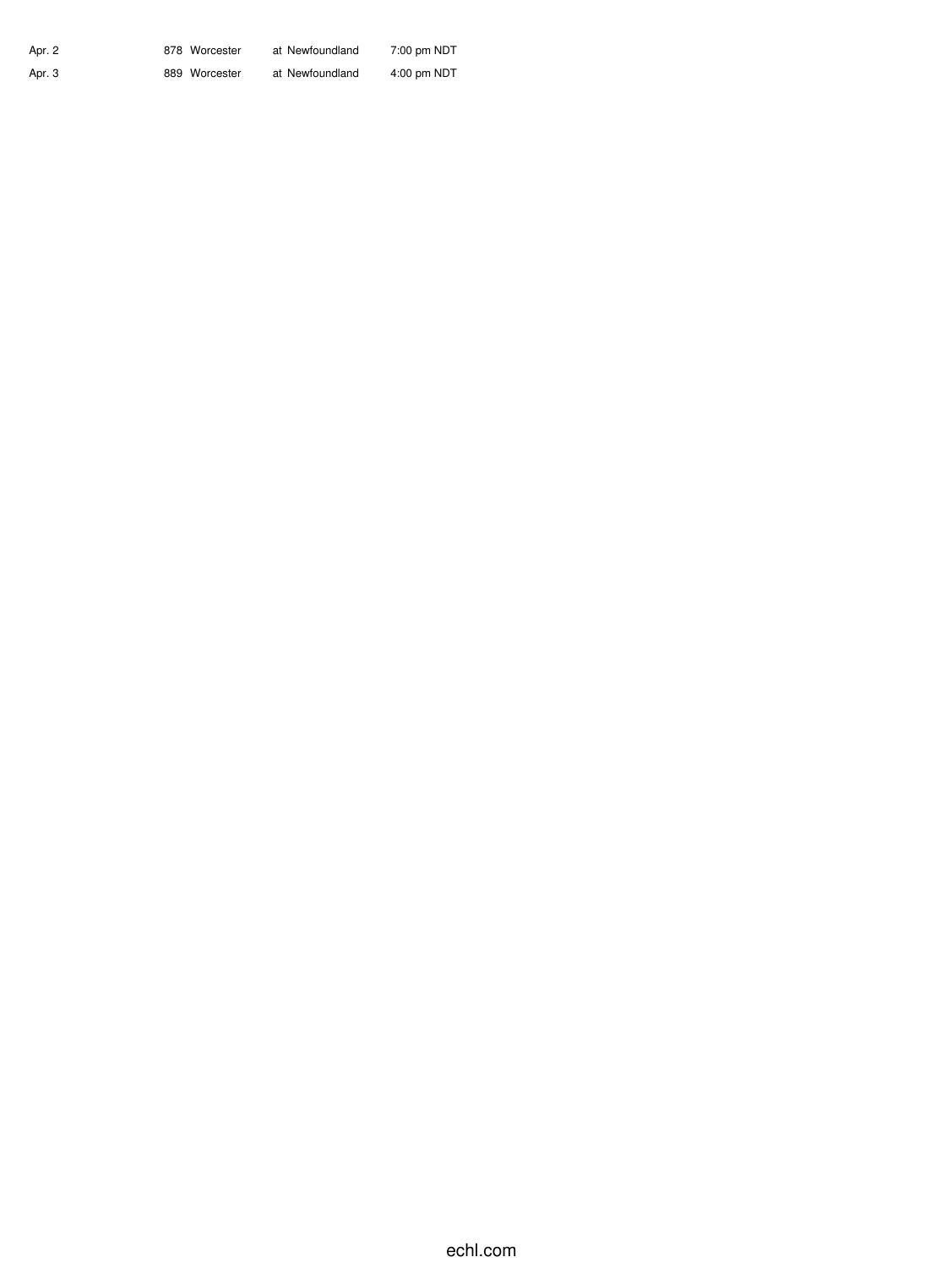| Apr. 2 | 878 Worcester | at Newfoundland | 7:00 pm NDT   |
|--------|---------------|-----------------|---------------|
| Apr. 3 | 889 Worcester | at Newfoundland | $4:00$ pm NDT |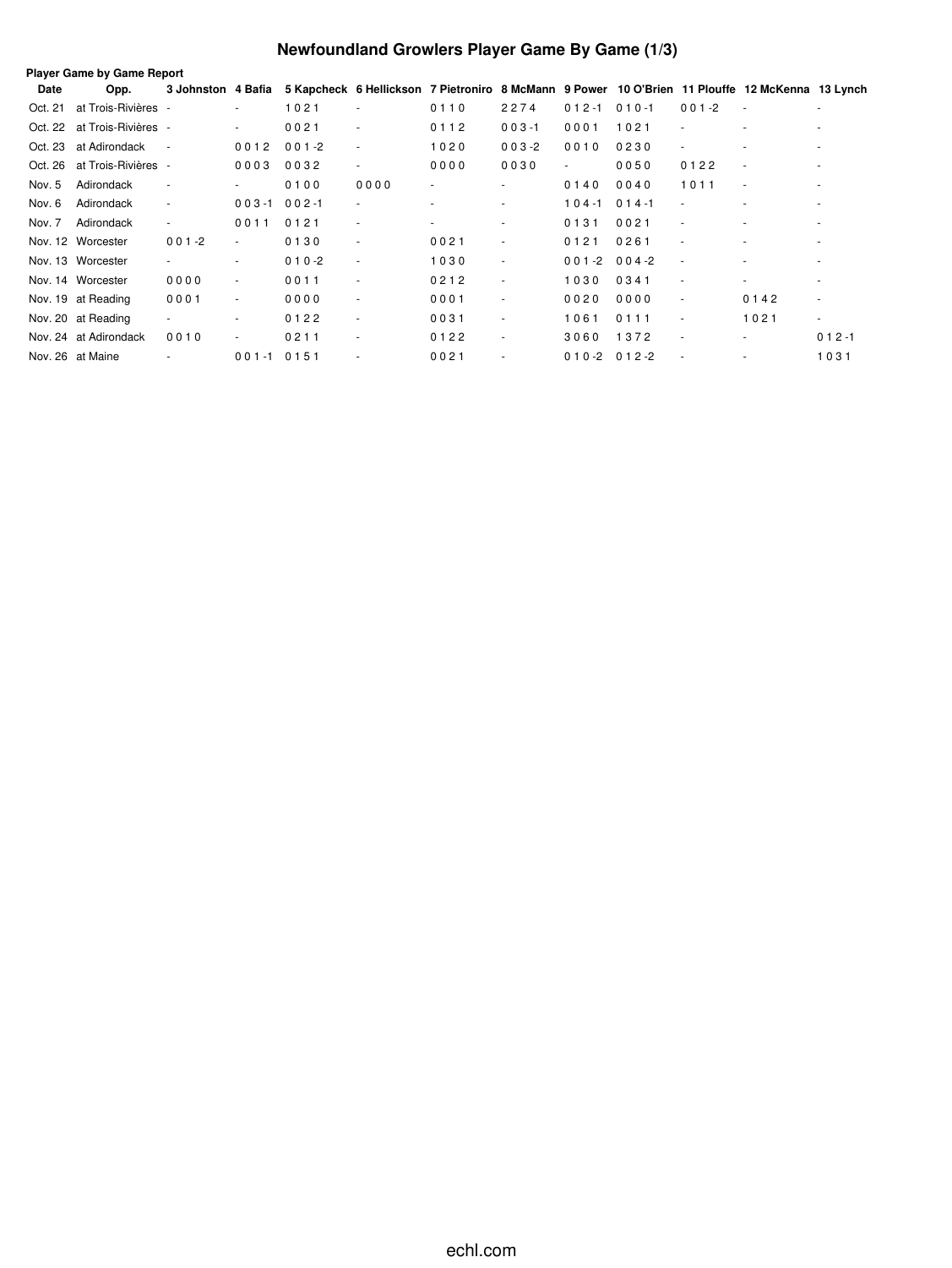# **Newfoundland Growlers Player Game By Game (1/3)**

|         | <b>Player Game by Game Report</b> |                          |                          |           |                          |                          |                          |                          |           |                          |                                                                                                 |                          |
|---------|-----------------------------------|--------------------------|--------------------------|-----------|--------------------------|--------------------------|--------------------------|--------------------------|-----------|--------------------------|-------------------------------------------------------------------------------------------------|--------------------------|
| Date    | Opp.                              | 3 Johnston 4 Bafia       |                          |           |                          |                          |                          |                          |           |                          | 5 Kapcheck 6 Hellickson 7 Pietroniro 8 McMann 9 Power 10 O'Brien 11 Plouffe 12 McKenna 13 Lynch |                          |
| Oct. 21 | at Trois-Rivières -               |                          | ٠                        | 1021      | ٠                        | 0110                     | 2274                     | $012 - 1$                | $010 - 1$ | $001 - 2$                | $\sim$                                                                                          | ٠                        |
| Oct. 22 | at Trois-Rivières -               |                          | $\sim$                   | 0021      | ٠                        | 0112                     | $003 - 1$                | 0001                     | 1021      | ٠                        |                                                                                                 | $\overline{\phantom{a}}$ |
| Oct. 23 | at Adirondack                     | $\sim$                   | 0012                     | $001 - 2$ |                          | 1020                     | $003 - 2$                | 0010                     | 0230      | $\overline{\phantom{a}}$ |                                                                                                 |                          |
| Oct. 26 | at Trois-Rivières -               |                          | 0003                     | 0032      | ٠                        | 0000                     | 0030                     | $\overline{\phantom{a}}$ | 0050      | 0122                     | $\sim$                                                                                          | ٠                        |
| Nov. 5  | Adirondack                        | $\overline{\phantom{a}}$ | $\overline{\phantom{a}}$ | 0100      | 0000                     | $\sim$                   | ٠                        | 0140                     | 0040      | 1011                     | ٠                                                                                               | ٠                        |
| Nov. 6  | Adirondack                        | $\sim$                   | $003 - 1$                | $002 - 1$ | $\overline{\phantom{a}}$ | $\overline{\phantom{a}}$ | $\overline{\phantom{a}}$ | $104 - 1$                | $014 - 1$ | ٠                        | ٠                                                                                               | ٠                        |
| Nov. 7  | Adirondack                        | ٠                        | 0011                     | 0121      | ٠                        | $\sim$                   | $\overline{\phantom{a}}$ | 0131                     | 0021      | ٠                        | ۰                                                                                               |                          |
|         | Nov. 12 Worcester                 | $001 - 2$                | $\overline{\phantom{a}}$ | 0130      | ٠                        | 0021                     | $\overline{\phantom{a}}$ | 0121                     | 0261      | $\overline{\phantom{a}}$ | ٠                                                                                               |                          |
|         | Nov. 13 Worcester                 |                          | ٠                        | $010 - 2$ | ٠                        | 1030                     | $\overline{\phantom{a}}$ | $001 - 2$                | $004 - 2$ | $\overline{\phantom{a}}$ |                                                                                                 |                          |
|         | Nov. 14 Worcester                 | 0000                     | $\sim$                   | 0011      | ٠                        | 0212                     | $\overline{\phantom{a}}$ | 1030                     | 0341      | $\sim$                   | $\overline{\phantom{0}}$                                                                        | ٠                        |
|         | Nov. 19 at Reading                | 0001                     | $\sim$                   | 0000      | ٠                        | 0001                     | $\overline{\phantom{a}}$ | 0020                     | 0000      | $\overline{\phantom{a}}$ | 0142                                                                                            | $\overline{\phantom{a}}$ |
|         | Nov. 20 at Reading                | $\overline{\phantom{a}}$ | $\sim$                   | 0122      | ٠                        | 0031                     | $\blacksquare$           | 1061                     | 0111      | $\sim$                   | 1021                                                                                            | $\overline{\phantom{a}}$ |
|         | Nov. 24 at Adirondack             | 0010                     | $\sim$                   | 0211      | ٠                        | 0122                     | $\overline{\phantom{a}}$ | 3060                     | 1372      | $\overline{\phantom{a}}$ | ۰.                                                                                              | $012 - 1$                |
|         | Nov. 26 at Maine                  |                          | $001 - 1$                | 0151      |                          | 0021                     | $\sim$                   | $010 - 2$                | $012 - 2$ |                          |                                                                                                 | 1031                     |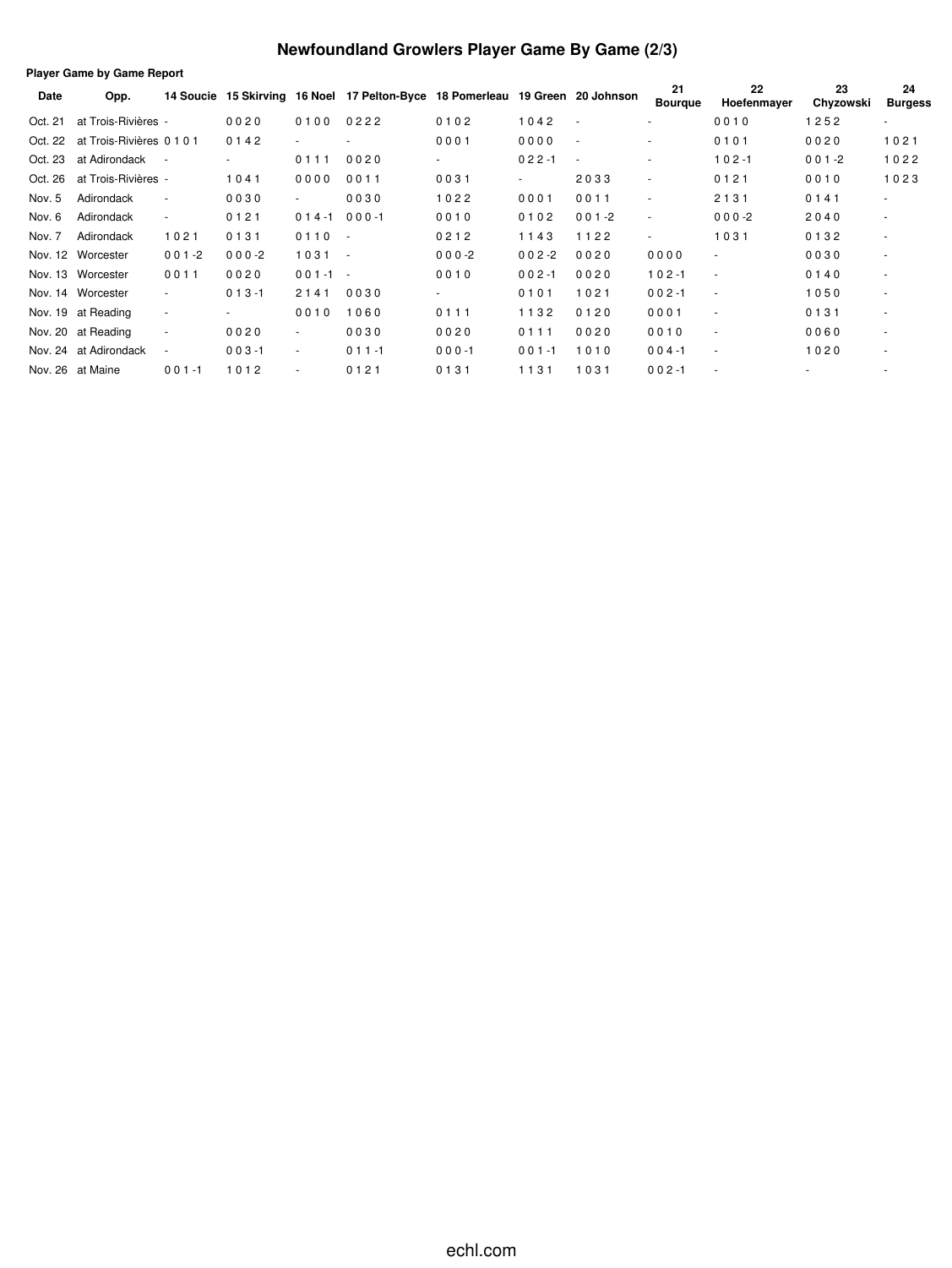### **Newfoundland Growlers Player Game By Game (2/3)**

**Player Game by Game Report Date Opp. 14 Soucie 15 Skirving 16 Noel 17 Pelton-Byce 18 Pomerleau 19 Green 20 Johnson <sup>21</sup> Bourque 22 Hoefenmayer Chyzowski Burgess 23 24** Oct. 21 at Trois-Rivières - 00 2 0 0 10 0 0 2 2 2 0 1 0 1 0 2 0 1 0 4 2 - 0 0 1 0 1 2 5 2 -Oct. 22 at Trois-Rivières 0 1 0 1 0 1 4 2 - - 0 0 0 1 0 0 0 0 - - 0 1 0 1 0 0 2 0 1 0 2 1 Oct. 23 at Adirondack - - 0 1 1 1 0 0 2 0 - 0 2 2 -1 - - - - - 1 0 2 -1 0 0 1 -2 1 0 2 2 Oct. 26 at Trois-Rivières - 1041 0000 0011 0031 - 2033 - 0121 0010 1023 Nov. 5 Adirondack - 0 0 3 0 - 0 0 3 0 1 0 2 2 0 0 0 1 0 0 1 1 - 2 1 3 1 0 1 4 1 -Nov. 6 Adirondack - 0121 014-1 000-1 0010 0102 001-2 - 000-2 2040 -Nov. 7 Adirondack 10 21 0 1 31 0 110 - 0 21 2 11 4 3 11 2 2 - 10 31 0 13 2 -Nov. 12 Worcester 0 0 1 -2 0 0 0 -2 1 0 3 1 - 0 0 0 -2 0 0 2 -2 0 0 2 0 0 0 0 0 - 0 0 3 0 - Nov. 13 Worcester 0 0 1 1 0 0 2 0 0 0 1 -1 - 0 0 1 0 0 0 2 -1 0 0 2 0 1 0 2 -1 - 0 1 4 0 - Nov. 14 Worcester - 0 1 3 -1 2 1 4 1 0 0 3 0 - 0 1 0 1 1 0 2 1 0 0 2 -1 - 1 0 5 0 - Nov. 19 at Reading - - - 0010 1060 0111 1132 0120 0001 - 0131 Nov. 20 at Reading - 00 20 - 00 30 00 20 0111 00 20 00 10 - 00 60 -Nov. 24 at Adirondack - 0 0 3 -1 - 0 1 1 -1 0 0 0 -1 0 0 1 -1 1 0 1 0 0 0 4 -1 - 1 0 2 0 - Nov. 26 at Maine 0 0 1 -1 1 0 1 2 - 0 1 2 1 0 1 3 1 1 1 3 1 1 0 3 1 0 0 2 -1 - - -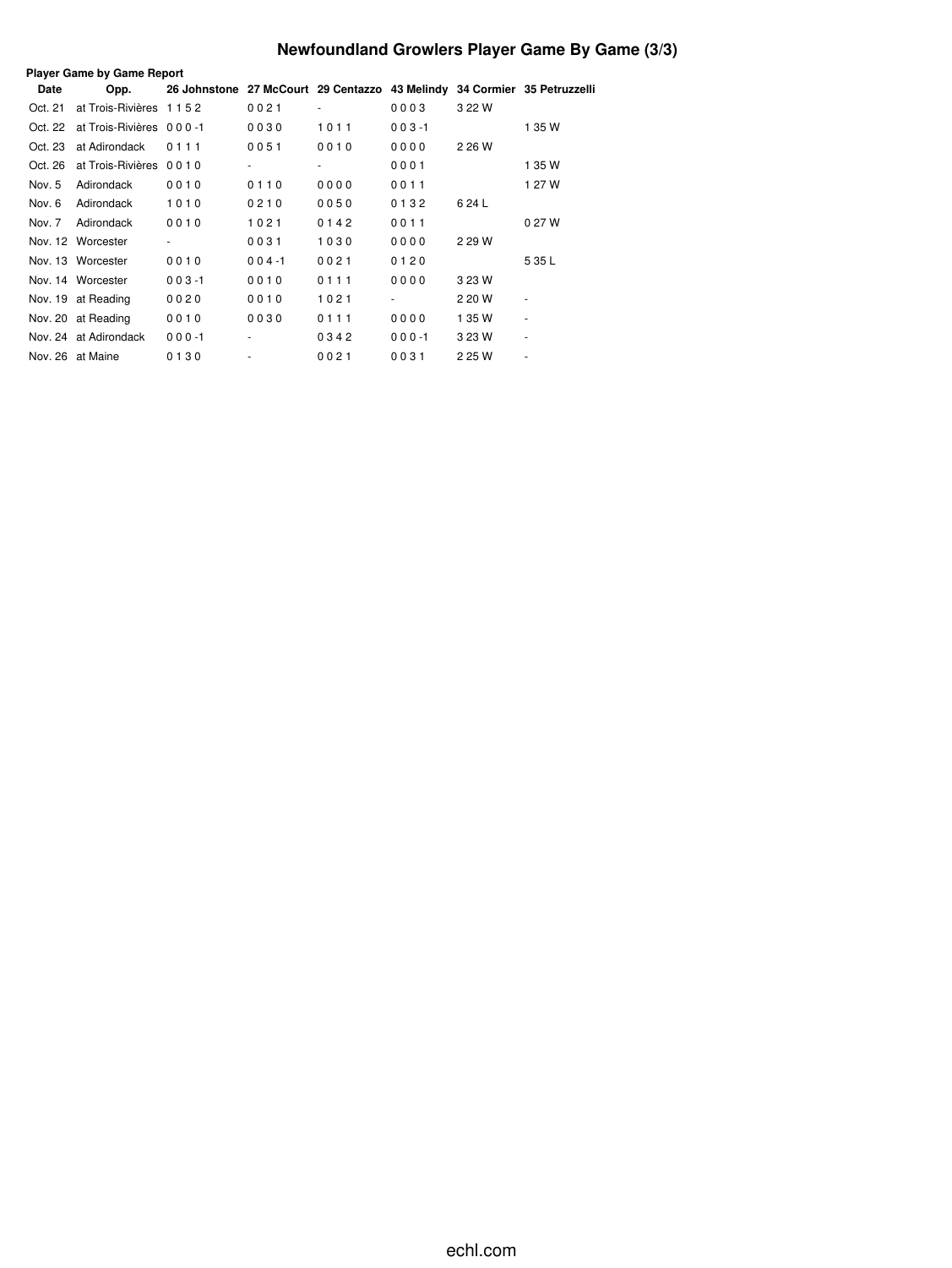# **Newfoundland Growlers Player Game By Game (3/3)**

|             | <b>Player Game by Game Report</b> |                                                                          |           |      |           |        |        |  |  |  |  |
|-------------|-----------------------------------|--------------------------------------------------------------------------|-----------|------|-----------|--------|--------|--|--|--|--|
| <b>Date</b> | Opp.                              | 26 Johnstone 27 McCourt 29 Centazzo 43 Melindy 34 Cormier 35 Petruzzelli |           |      |           |        |        |  |  |  |  |
| Oct. 21     | at Trois-Rivières 1152            |                                                                          | 0021      | ٠    | 0003      | 3 22 W |        |  |  |  |  |
| Oct. 22     | at Trois-Rivières 000-1           |                                                                          | 0030      | 1011 | $003 - 1$ |        | 1 35 W |  |  |  |  |
| Oct. 23     | at Adirondack                     | 0111                                                                     | 0051      | 0010 | 0000      | 2 26 W |        |  |  |  |  |
| Oct. 26     | at Trois-Rivières 0010            |                                                                          |           |      | 0001      |        | 1 35 W |  |  |  |  |
| Nov. 5      | Adirondack                        | 0010                                                                     | 0110      | 0000 | 0011      |        | 1 27 W |  |  |  |  |
| Nov. 6      | Adirondack                        | 1010                                                                     | 0210      | 0050 | 0132      | 624L   |        |  |  |  |  |
| Nov. 7      | Adirondack                        | 0010                                                                     | 1021      | 0142 | 0011      |        | 0 27 W |  |  |  |  |
|             | Nov. 12 Worcester                 |                                                                          | 0031      | 1030 | 0000      | 2 29 W |        |  |  |  |  |
|             | Nov. 13 Worcester                 | 0010                                                                     | $004 - 1$ | 0021 | 0120      |        | 5 35 L |  |  |  |  |
|             | Nov. 14 Worcester                 | $003 - 1$                                                                | 0010      | 0111 | 0000      | 3 23 W |        |  |  |  |  |
|             | Nov. 19 at Reading                | 0020                                                                     | 0010      | 1021 |           | 2 20 W |        |  |  |  |  |
|             | Nov. 20 at Reading                | 0010                                                                     | 0030      | 0111 | 0000      | 1 35 W | ٠      |  |  |  |  |
|             | Nov. 24 at Adirondack             | $000 - 1$                                                                | ٠         | 0342 | $000 - 1$ | 3 23 W | ٠      |  |  |  |  |
|             | Nov. 26 at Maine                  | 0130                                                                     |           | 0021 | 0031      | 2 25 W |        |  |  |  |  |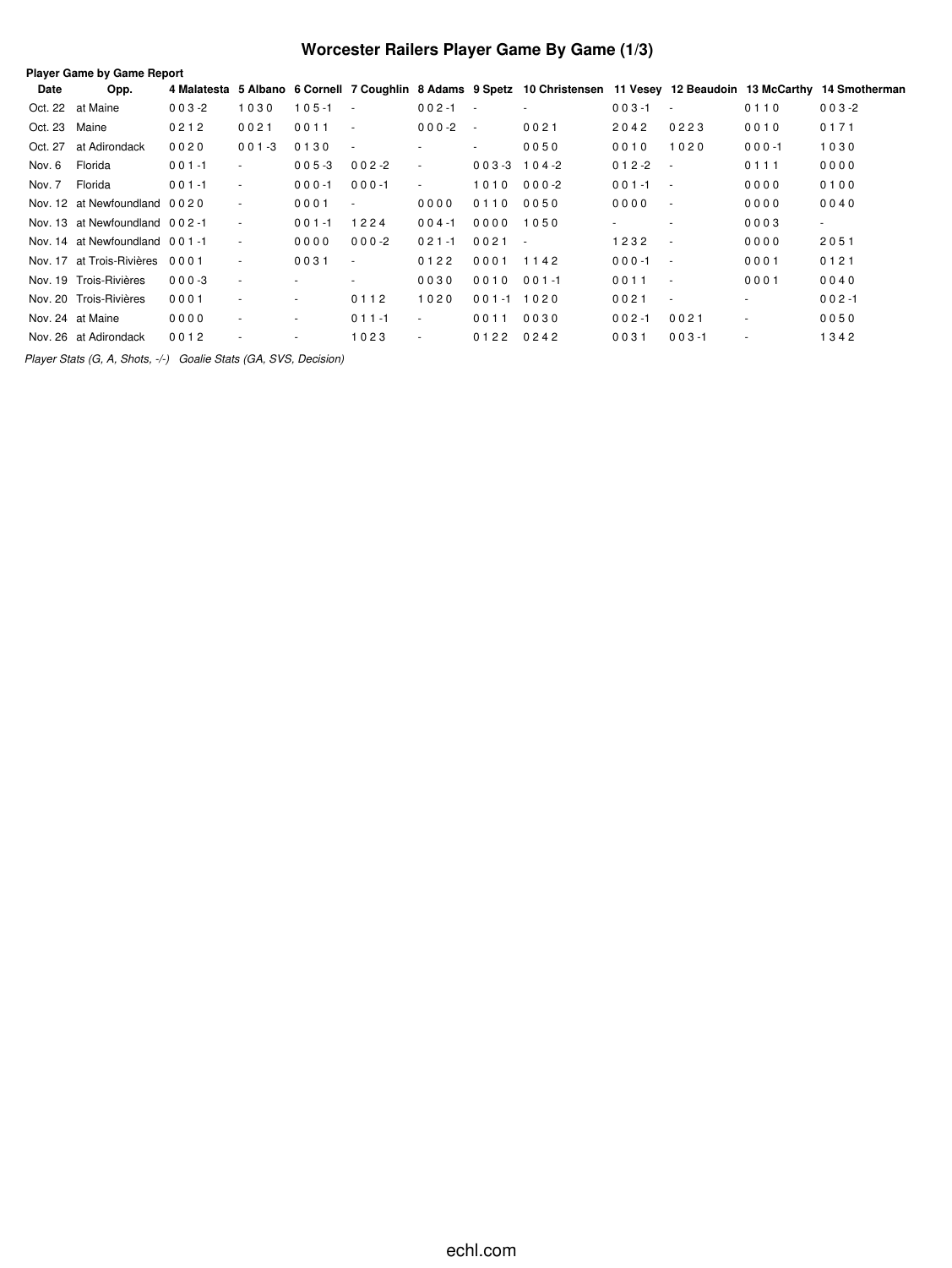# **Worcester Railers Player Game By Game (1/3)**

| Date          | Opp.                           |           |                          |           |                          |                         |                          |           |           |            |           | 4 Malatesta 5 Albano 6 Cornell 7 Coughlin 8 Adams 9 Spetz 10 Christensen 11 Vesey 12 Beaudoin 13 McCarthy 14 Smotherman |
|---------------|--------------------------------|-----------|--------------------------|-----------|--------------------------|-------------------------|--------------------------|-----------|-----------|------------|-----------|-------------------------------------------------------------------------------------------------------------------------|
|               | Oct. 22 at Maine               | $003 - 2$ | 1030                     | $105 - 1$ | $\sim$                   | $002 - 1$<br>$\sim 100$ |                          |           | $003 - 1$ | $\sim$     | 0110      | $003 - 2$                                                                                                               |
| Oct. 23 Maine |                                | 0212      | 0021                     | 0011      | $\sim$                   | $000 - 2$               | $\sim 100$               | 0021      | 2042      | 0223       | 0010      | 0171                                                                                                                    |
| Oct. 27       | at Adirondack                  | 0020      | $001 - 3$                | 0130      | $\overline{\phantom{a}}$ |                         | $\overline{\phantom{a}}$ | 0050      | 0010      | 1020       | $000 - 1$ | 1030                                                                                                                    |
| Nov. 6        | Florida                        | $001 - 1$ | $\overline{\phantom{a}}$ | $005 - 3$ | $002 - 2$                | $\sim$                  | $003 - 3$ 104 - 2        |           | $012 - 2$ | $\sim$     | 0111      | 0000                                                                                                                    |
| Nov. 7        | Florida                        | $001 - 1$ | $\sim$                   | $000 - 1$ | $000 - 1$                | $\sim$                  | 1010                     | $000 - 2$ | $001 - 1$ | $\sim$ $-$ | 0000      | 0100                                                                                                                    |
|               | Nov. 12 at Newfoundland 0020   |           | ٠                        | 0001      | $\overline{\phantom{a}}$ | 0000                    | 0110                     | 0050      | 0000      | $\sim$     | 0000      | 0040                                                                                                                    |
|               | Nov. 13 at Newfoundland 002-1  |           | ٠                        | $001 - 1$ | 1224                     | $004 - 1$               | 0000                     | 1050      |           | $\sim$     | 0003      | $\sim$                                                                                                                  |
|               | Nov. 14 at Newfoundland 001-1  |           | $\sim$                   | 0000      | $000-2$                  | $021 - 1$               | $0021 -$                 |           | 1232      | $\sim$     | 0000      | 2051                                                                                                                    |
|               | Nov. 17 at Trois-Rivières 0001 |           | $\sim$                   | 0031      | $\sim$                   | 0122                    | 0001                     | 1142      | $000 - 1$ | $\sim$ $-$ | 0001      | 0121                                                                                                                    |
|               | Nov. 19 Trois-Rivières         | $000 - 3$ | $\sim$                   |           | $\sim$                   | 0030                    | 0010                     | $001 - 1$ | 0011      | $\sim$     | 0001      | 0040                                                                                                                    |
|               | Nov. 20 Trois-Rivières         | 0001      | ٠                        | $\sim$    | 0112                     | 1020                    | 001-1 1020               |           | 0021      | $\sim$     | $\sim$    | $002 - 1$                                                                                                               |
|               | Nov. 24 at Maine               | 0000      | ٠                        | $\sim$    | $011 - 1$                | $\sim$                  | 0011                     | 0030      | $002 - 1$ | 0021       | $\sim$    | 0050                                                                                                                    |
|               | Nov. 26 at Adirondack          | 0012      |                          | ٠         | 1023                     | ٠                       | 0122 0242                |           | 0031      | $003 - 1$  |           | 1342                                                                                                                    |

*Player Stats (G, A, Shots, -/-) Goalie Stats (GA, SVS, Decision)*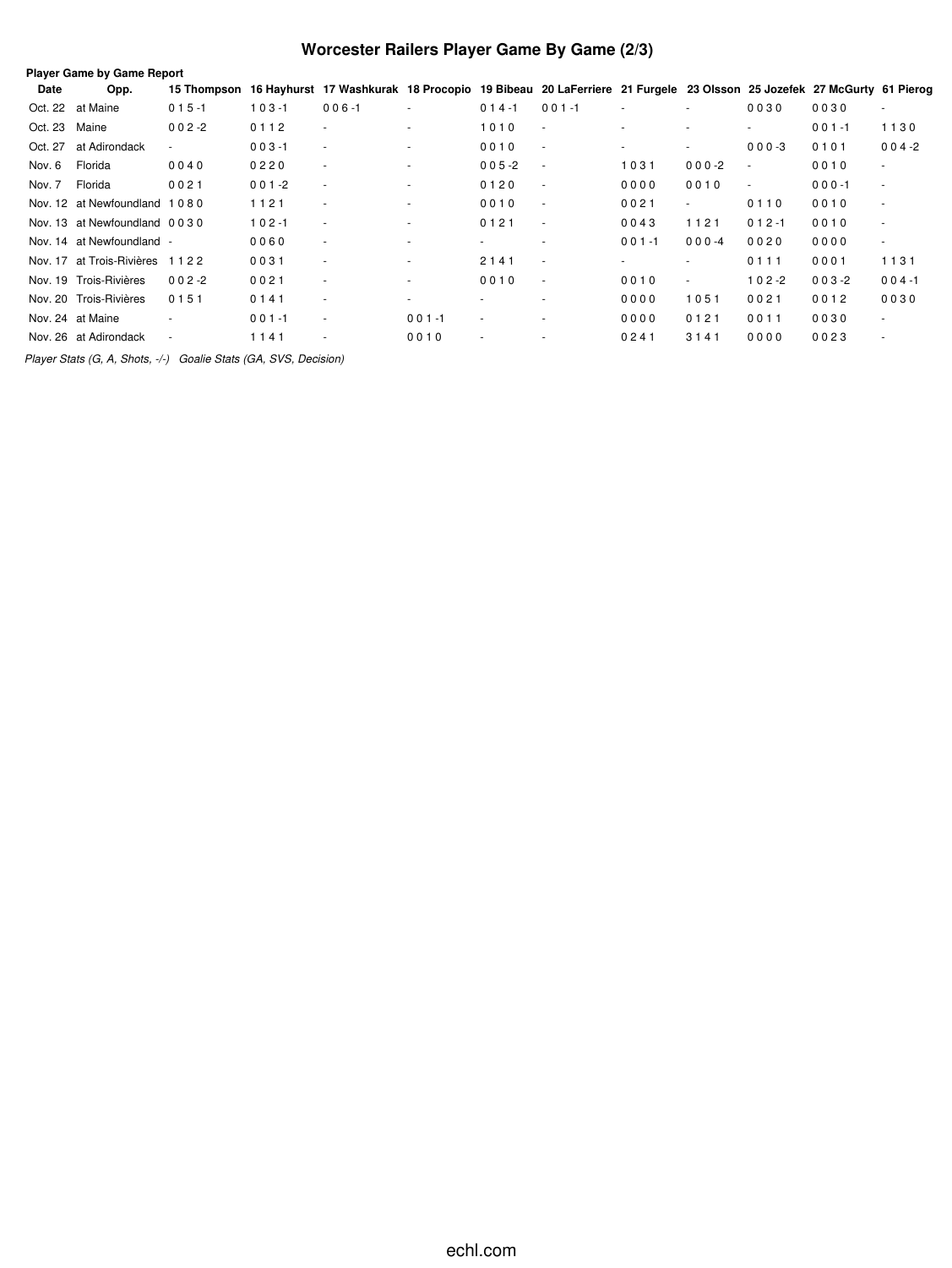# **Worcester Railers Player Game By Game (2/3)**

| <b>Player Game by Game Report</b> |                                |             |           |                                                                                                                   |                          |                          |                |                          |                |                          |           |                          |
|-----------------------------------|--------------------------------|-------------|-----------|-------------------------------------------------------------------------------------------------------------------|--------------------------|--------------------------|----------------|--------------------------|----------------|--------------------------|-----------|--------------------------|
| Date                              | Opp.                           | 15 Thompson |           | 16 Hayhurst 17 Washkurak 18 Procopio 19 Bibeau 20 LaFerriere 21 Furgele 23 Olsson 25 Jozefek 27 McGurty 61 Pierog |                          |                          |                |                          |                |                          |           |                          |
|                                   | Oct. 22 at Maine               | $015 - 1$   | $103 - 1$ | $006 - 1$                                                                                                         | $\overline{\phantom{a}}$ | $014 - 1$                | $001 - 1$      | ٠                        | $\sim$         | 0030                     | 0030      | $\sim$                   |
| Oct. 23                           | Maine                          | $002 - 2$   | 0112      | $\sim$                                                                                                            | $\overline{a}$           | 1010                     | $\sim$         | $\overline{\phantom{a}}$ | $\overline{a}$ | $\sim$                   | $001 - 1$ | 1130                     |
| Oct. 27                           | at Adirondack                  | $\sim$      | $003 - 1$ | $\sim$                                                                                                            | $\overline{\phantom{a}}$ | 0010                     | $\sim$         | $\overline{\phantom{a}}$ | $\sim$         | $000-3$                  | 0101      | $004 - 2$                |
| Nov. 6                            | Florida                        | 0040        | 0220      | $\sim$                                                                                                            | $\overline{\phantom{a}}$ | $005 - 2$                | $\sim$         | 1031                     | $000-2$        | $\overline{\phantom{a}}$ | 0010      | $\overline{\phantom{a}}$ |
| Nov. 7                            | Florida                        | 0021        | $001 - 2$ | $\overline{\phantom{a}}$                                                                                          | ٠                        | 0120                     | $\sim$         | 0000                     | 0010           | $\sim$                   | $000 - 1$ | $\overline{\phantom{a}}$ |
|                                   | Nov. 12 at Newfoundland 1080   |             | 1121      | $\sim$                                                                                                            | $\overline{a}$           | 0010                     | $\sim$         | 0021                     | $\sim$         | 0110                     | 0010      | $\overline{\phantom{a}}$ |
|                                   | Nov. 13 at Newfoundland 0030   |             | $102 - 1$ | $\overline{\phantom{a}}$                                                                                          | $\overline{\phantom{a}}$ | 0121                     | $\sim$         | 0043                     | 1121           | $012 - 1$                | 0010      | $\overline{\phantom{a}}$ |
|                                   | Nov. 14 at Newfoundland -      |             | 0060      | $\sim$                                                                                                            | $\overline{a}$           | $\overline{\phantom{a}}$ | $\overline{a}$ | $001 - 1$                | $000 - 4$      | 0020                     | 0000      | $\sim$                   |
|                                   | Nov. 17 at Trois-Rivières 1122 |             | 0031      | $\sim$                                                                                                            | $\overline{\phantom{a}}$ | 2141                     | $\sim$         | ٠                        | ٠              | 0111                     | 0001      | 1131                     |
|                                   | Nov. 19 Trois-Rivières         | $002 - 2$   | 0021      | $\sim$                                                                                                            | $\overline{\phantom{a}}$ | 0010                     | $\sim$         | 0010                     | $\sim$         | $102 - 2$                | $003 - 2$ | $004 - 1$                |
|                                   | Nov. 20 Trois-Rivières         | 0151        | 0141      | $\sim$                                                                                                            | $\overline{a}$           |                          | $\sim$         | 0000                     | 1051           | 0021                     | 0012      | 0030                     |
|                                   | Nov. 24 at Maine               |             | $001 - 1$ | $\sim$                                                                                                            | $001 - 1$                | $\overline{\phantom{a}}$ | $\sim$         | 0000                     | 0121           | 0011                     | 0030      | $\sim$                   |
|                                   | Nov. 26 at Adirondack          | ٠           | 1141      | $\overline{\phantom{a}}$                                                                                          | 0010                     | $\sim$                   |                | 0241                     | 3141           | 0000                     | 0023      | $\overline{\phantom{a}}$ |
|                                   |                                |             |           |                                                                                                                   |                          |                          |                |                          |                |                          |           |                          |

*Player Stats (G, A, Shots, -/-) Goalie Stats (GA, SVS, Decision)*